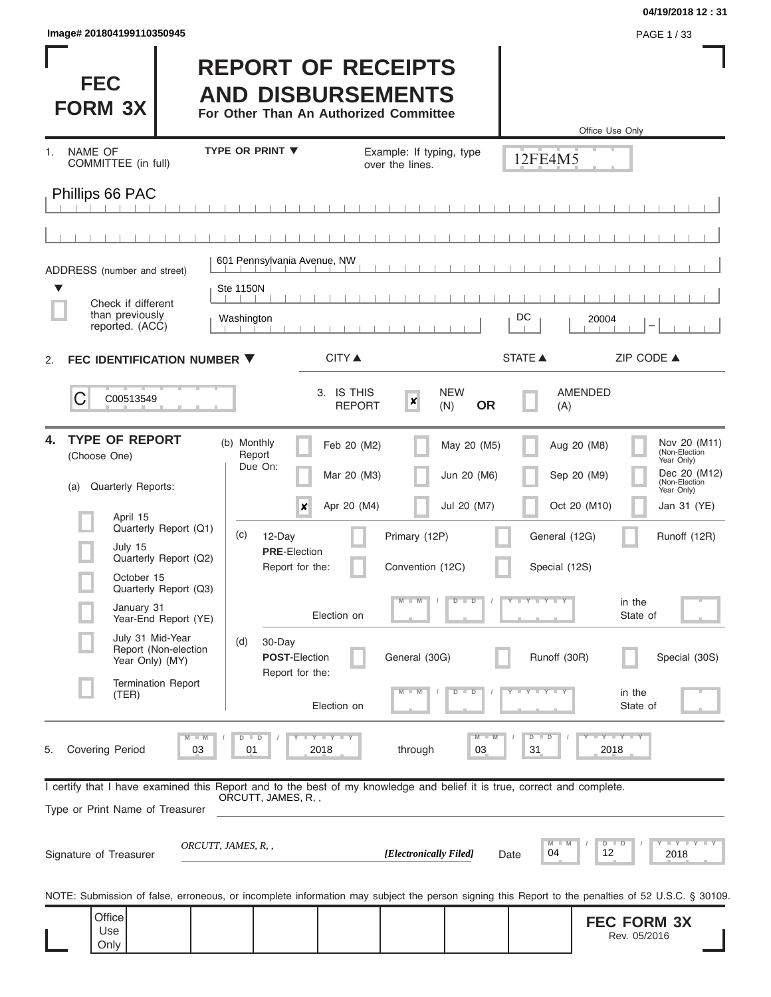| lmage# 201804199110350945 | PAGE 1/33 |
|---------------------------|-----------|
|---------------------------|-----------|

# **04/19/2018 12 : 31**

ı

| <b>FEC</b><br><b>FORM 3X</b>                                                                                                                               | <b>REPORT OF RECEIPTS</b><br><b>AND DISBURSEMENTS</b><br>For Other Than An Authorized Committee |                                                                     | Office Use Only                                                                                                                                   |
|------------------------------------------------------------------------------------------------------------------------------------------------------------|-------------------------------------------------------------------------------------------------|---------------------------------------------------------------------|---------------------------------------------------------------------------------------------------------------------------------------------------|
| <b>NAME OF</b><br>1.<br>COMMITTEE (in full)                                                                                                                | <b>TYPE OR PRINT ▼</b>                                                                          | Example: If typing, type<br>over the lines.                         | 12FE4M5                                                                                                                                           |
| Phillips 66 PAC                                                                                                                                            |                                                                                                 |                                                                     |                                                                                                                                                   |
|                                                                                                                                                            |                                                                                                 |                                                                     |                                                                                                                                                   |
|                                                                                                                                                            |                                                                                                 |                                                                     |                                                                                                                                                   |
| ADDRESS (number and street)                                                                                                                                | 601 Pennsylvania Avenue, NW                                                                     |                                                                     |                                                                                                                                                   |
| Check if different                                                                                                                                         | <b>Ste 1150N</b>                                                                                |                                                                     |                                                                                                                                                   |
| than previously<br>reported. (ACC)                                                                                                                         | Washington                                                                                      |                                                                     | DC<br>20004                                                                                                                                       |
| FEC IDENTIFICATION NUMBER ▼<br>2.                                                                                                                          | <b>CITY</b> ▲                                                                                   |                                                                     | <b>STATE ▲</b><br>ZIP CODE ▲                                                                                                                      |
| С<br>C00513549                                                                                                                                             | 3. IS THIS                                                                                      | <b>NEW</b><br>$\boldsymbol{x}$<br><b>OR</b><br><b>REPORT</b><br>(N) | <b>AMENDED</b><br>(A)                                                                                                                             |
| <b>TYPE OF REPORT</b><br>4.<br>(Choose One)<br>Quarterly Reports:<br>(a)                                                                                   | (b) Monthly<br>Report<br>Due On:                                                                | Feb 20 (M2)<br>May 20 (M5)<br>Mar 20 (M3)<br>Jun 20 (M6)            | Nov 20 (M11)<br>Aug 20 (M8)<br>(Non-Election<br>Year Only)<br>Dec 20 (M12)<br>Sep 20 (M9)<br>(Non-Election<br>Year Only)                          |
| April 15<br>Quarterly Report (Q1)                                                                                                                          | $\pmb{\times}$                                                                                  | Apr 20 (M4)<br>Jul 20 (M7)                                          | Oct 20 (M10)<br>Jan 31 (YE)                                                                                                                       |
| July 15<br>Quarterly Report (Q2)                                                                                                                           | (c)<br>12-Day<br><b>PRE-Election</b>                                                            | Primary (12P)                                                       | General (12G)<br>Runoff (12R)                                                                                                                     |
| October 15<br>Quarterly Report (Q3)                                                                                                                        | Report for the:                                                                                 | Convention (12C)                                                    | Special (12S)                                                                                                                                     |
| January 31<br>Year-End Report (YE)                                                                                                                         | Election on                                                                                     | $D$ $D$                                                             | Y FYLLY L<br>in the<br>State of                                                                                                                   |
| July 31 Mid-Year<br>Report (Non-election<br>Year Only) (MY)                                                                                                | (d)<br>30-Day<br><b>POST-Election</b><br>Report for the:                                        | General (30G)                                                       | Runoff (30R)<br>Special (30S)                                                                                                                     |
| <b>Termination Report</b><br>(TER)                                                                                                                         | Election on                                                                                     | $D$ $D$<br>-M                                                       | $T$ $Y$ $Y$ $T$ $Y$<br>in the<br>State of                                                                                                         |
| $M$ $M$<br><b>Covering Period</b><br>5.<br>03                                                                                                              | Y TY TY TY<br>$D$ $D$<br>01<br>2018                                                             | $M -$<br>M<br>through<br>03                                         | $Y - Y - Y - I - Y$<br>$D$ $D$<br>31<br>2018                                                                                                      |
| I certify that I have examined this Report and to the best of my knowledge and belief it is true, correct and complete.<br>Type or Print Name of Treasurer | ORCUTT, JAMES, R,,                                                                              |                                                                     |                                                                                                                                                   |
| Signature of Treasurer                                                                                                                                     | ORCUTT, JAMES, R,,                                                                              | [Electronically Filed]                                              | Y I Y I Y I Y<br>$D$ $D$<br>M<br>M<br>04<br>12<br>2018<br>Date                                                                                    |
|                                                                                                                                                            |                                                                                                 |                                                                     | NOTE: Submission of false, erroneous, or incomplete information may subject the person signing this Report to the penalties of 52 U.S.C. § 30109. |
| Office<br>Use<br>Only                                                                                                                                      |                                                                                                 |                                                                     | <b>FEC FORM 3X</b><br>Rev. 05/2016                                                                                                                |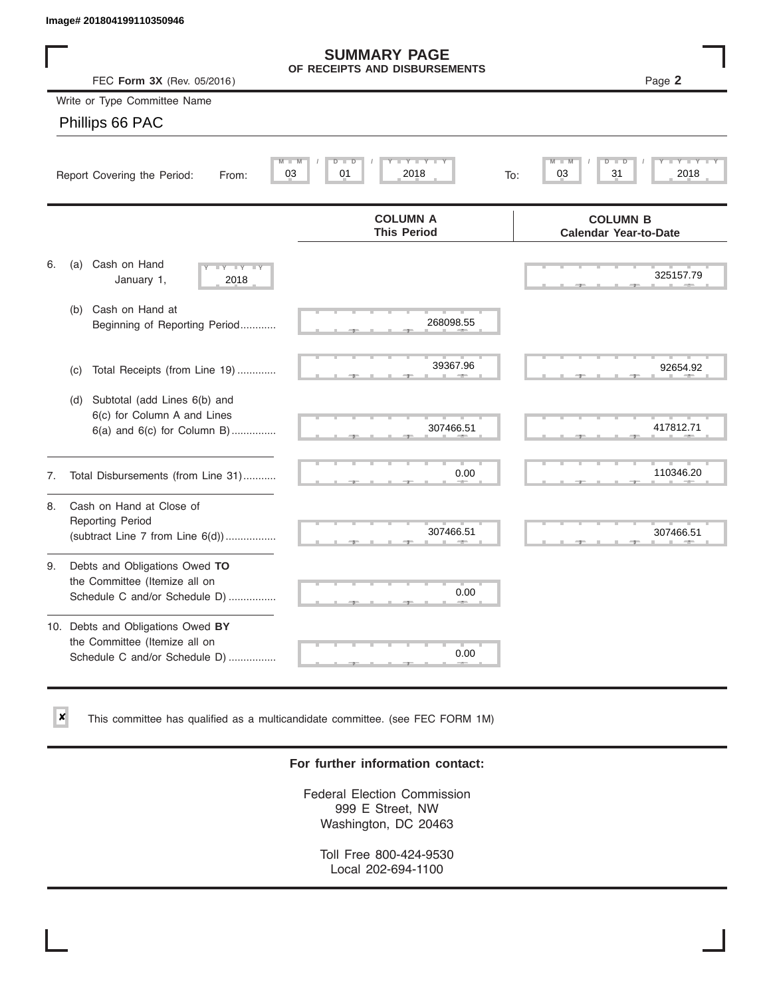$\vert x \vert$ 

|    | Image# 201804199110350946                                                                           |                                                      |                                                 |
|----|-----------------------------------------------------------------------------------------------------|------------------------------------------------------|-------------------------------------------------|
|    | FEC Form 3X (Rev. 05/2016)                                                                          | <b>SUMMARY PAGE</b><br>OF RECEIPTS AND DISBURSEMENTS | Page 2                                          |
|    | Write or Type Committee Name                                                                        |                                                      |                                                 |
|    | Phillips 66 PAC                                                                                     |                                                      |                                                 |
|    | M<br>Report Covering the Period:<br>From:                                                           | Y LY L<br>M<br>$D$ $\Box$<br>D<br>03<br>2018<br>01   | D<br>31<br>03<br>2018<br>To:                    |
|    |                                                                                                     | <b>COLUMN A</b><br><b>This Period</b>                | <b>COLUMN B</b><br><b>Calendar Year-to-Date</b> |
| 6. | Cash on Hand<br>(a)<br>$-Y - Y - IY$<br>January 1,<br>2018                                          |                                                      | 325157.79                                       |
|    | Cash on Hand at<br>(b)<br>Beginning of Reporting Period                                             | 268098.55                                            |                                                 |
|    | Total Receipts (from Line 19)<br>(c)                                                                | 39367.96                                             | 92654.92                                        |
|    | Subtotal (add Lines 6(b) and<br>(d)<br>6(c) for Column A and Lines<br>6(a) and 6(c) for Column B)   | 307466.51                                            | 417812.71                                       |
| 7. | Total Disbursements (from Line 31)                                                                  | 0.00                                                 | 110346.20                                       |
| 8. | Cash on Hand at Close of<br><b>Reporting Period</b><br>(subtract Line $7$ from Line $6(d)$ )        | 307466.51                                            | 307466.51                                       |
| 9. | Debts and Obligations Owed TO<br>the Committee (Itemize all on<br>Schedule C and/or Schedule D)     | 0.00                                                 |                                                 |
|    | 10. Debts and Obligations Owed BY<br>the Committee (Itemize all on<br>Schedule C and/or Schedule D) | <b>The Second</b><br>0.00                            |                                                 |

This committee has qualified as a multicandidate committee. (see FEC FORM 1M)

# **For further information contact:**

Federal Election Commission 999 E Street, NW Washington, DC 20463

Toll Free 800-424-9530 Local 202-694-1100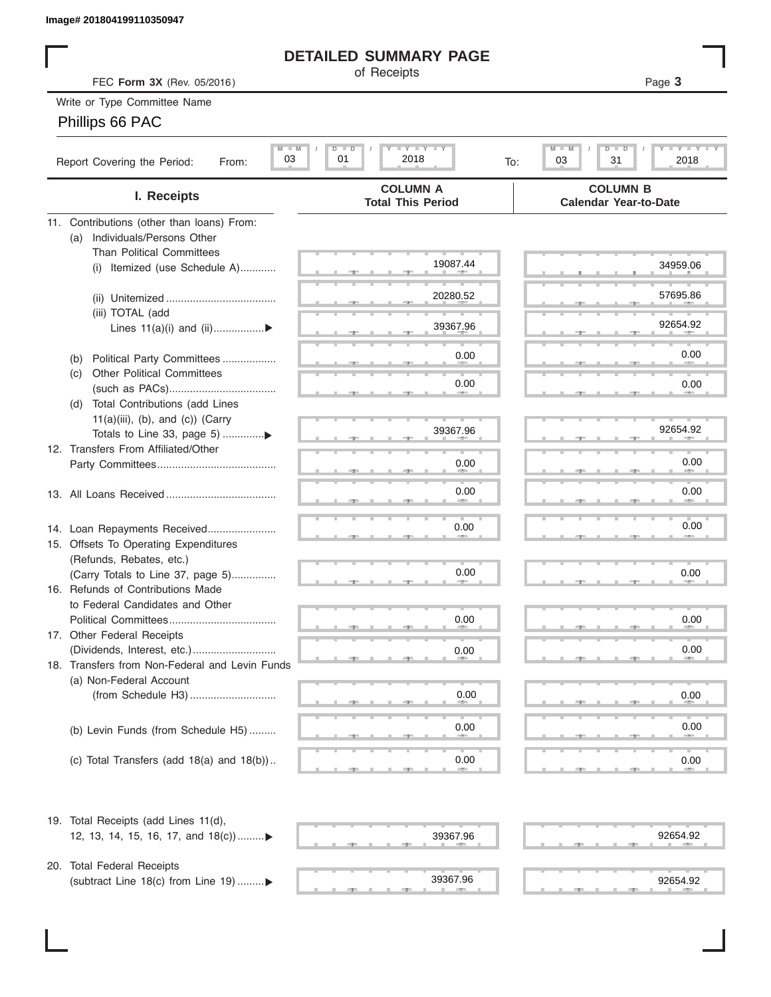# **DETAILED SUMMARY PAGE**

# Phillips 66 PAC

|                                                                              | <b>DETAILED SUMMARY PAGE</b>                          |                                                                     |  |  |  |  |  |
|------------------------------------------------------------------------------|-------------------------------------------------------|---------------------------------------------------------------------|--|--|--|--|--|
| of Receipts<br>Page 3<br>FEC Form 3X (Rev. 05/2016)                          |                                                       |                                                                     |  |  |  |  |  |
| Write or Type Committee Name                                                 |                                                       |                                                                     |  |  |  |  |  |
| Phillips 66 PAC                                                              |                                                       |                                                                     |  |  |  |  |  |
|                                                                              |                                                       |                                                                     |  |  |  |  |  |
| $M$ $M$<br>03<br>Report Covering the Period:<br>From:                        | <b>LYLYLY</b><br>$D$ $\Box$<br>D<br>01<br>2018<br>To: | <b>LYLYLY</b><br>$M$ $M$<br>D<br>$\overline{D}$<br>03<br>31<br>2018 |  |  |  |  |  |
| I. Receipts                                                                  | <b>COLUMN A</b><br><b>Total This Period</b>           | <b>COLUMN B</b><br><b>Calendar Year-to-Date</b>                     |  |  |  |  |  |
| 11. Contributions (other than loans) From:                                   |                                                       |                                                                     |  |  |  |  |  |
| Individuals/Persons Other<br>(a)                                             |                                                       |                                                                     |  |  |  |  |  |
| <b>Than Political Committees</b>                                             | 19087.44                                              | 34959.06                                                            |  |  |  |  |  |
| Itemized (use Schedule A)<br>(i)                                             |                                                       |                                                                     |  |  |  |  |  |
|                                                                              | 20280.52                                              | 57695.86                                                            |  |  |  |  |  |
| (iii) TOTAL (add                                                             |                                                       |                                                                     |  |  |  |  |  |
| Lines $11(a)(i)$ and $(ii)$                                                  | 39367.96                                              | 92654.92                                                            |  |  |  |  |  |
|                                                                              |                                                       |                                                                     |  |  |  |  |  |
| Political Party Committees<br>(b)                                            | 0.00                                                  | 0.00                                                                |  |  |  |  |  |
| <b>Other Political Committees</b><br>(C)                                     | 0.00                                                  | 0.00                                                                |  |  |  |  |  |
|                                                                              |                                                       |                                                                     |  |  |  |  |  |
| Total Contributions (add Lines<br>(d)<br>$11(a)(iii)$ , (b), and (c)) (Carry |                                                       |                                                                     |  |  |  |  |  |
|                                                                              | 39367.96                                              | 92654.92                                                            |  |  |  |  |  |
| 12. Transfers From Affiliated/Other                                          |                                                       |                                                                     |  |  |  |  |  |
|                                                                              | 0.00                                                  | 0.00                                                                |  |  |  |  |  |
|                                                                              |                                                       |                                                                     |  |  |  |  |  |
|                                                                              | 0.00                                                  | 0.00                                                                |  |  |  |  |  |
|                                                                              |                                                       |                                                                     |  |  |  |  |  |
| 14. Loan Repayments Received                                                 | 0.00                                                  | 0.00                                                                |  |  |  |  |  |
| 15. Offsets To Operating Expenditures                                        |                                                       |                                                                     |  |  |  |  |  |
| (Refunds, Rebates, etc.)<br>(Carry Totals to Line 37, page 5)                | 0.00                                                  | 0.00                                                                |  |  |  |  |  |
| 16. Refunds of Contributions Made                                            |                                                       |                                                                     |  |  |  |  |  |
| to Federal Candidates and Other                                              |                                                       |                                                                     |  |  |  |  |  |
| Political Committees                                                         | 0.00                                                  | 0.00                                                                |  |  |  |  |  |
| 17. Other Federal Receipts                                                   |                                                       |                                                                     |  |  |  |  |  |
|                                                                              | 0.00                                                  | 0.00                                                                |  |  |  |  |  |
| 18. Transfers from Non-Federal and Levin Funds                               |                                                       |                                                                     |  |  |  |  |  |
| (a) Non-Federal Account                                                      | 0.00                                                  | 0.00                                                                |  |  |  |  |  |
|                                                                              |                                                       |                                                                     |  |  |  |  |  |
| (b) Levin Funds (from Schedule H5)                                           | 0.00                                                  | 0.00                                                                |  |  |  |  |  |
|                                                                              |                                                       |                                                                     |  |  |  |  |  |
| (c) Total Transfers (add $18(a)$ and $18(b)$ )                               | 0.00                                                  | 0.00                                                                |  |  |  |  |  |
|                                                                              |                                                       |                                                                     |  |  |  |  |  |
| 19. Total Receipts (add Lines 11(d),                                         |                                                       |                                                                     |  |  |  |  |  |
| 12, 13, 14, 15, 16, 17, and 18(c)                                            | 39367.96                                              | 92654.92                                                            |  |  |  |  |  |
|                                                                              |                                                       |                                                                     |  |  |  |  |  |
| 20. Total Federal Receipts                                                   |                                                       |                                                                     |  |  |  |  |  |
| (subtract Line 18(c) from Line 19) ▶                                         | 39367.96                                              | 92654.92                                                            |  |  |  |  |  |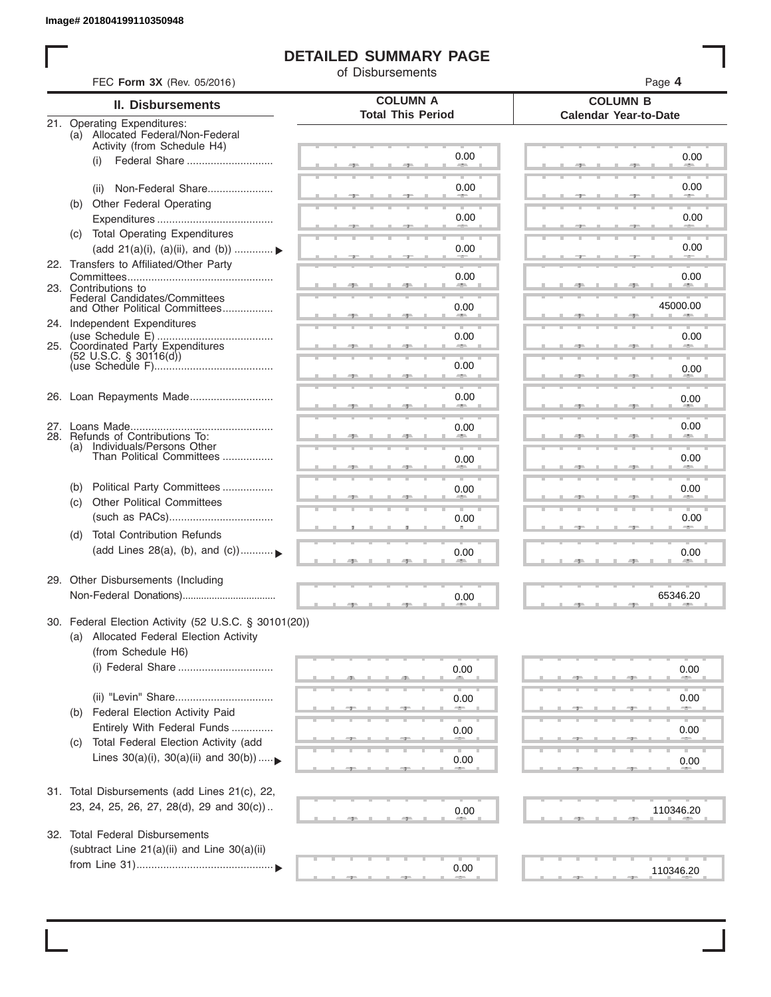ı

# **DETAILED SUMMARY PAGE**

of Disbursements

|     | <b>II. Disbursements</b>                                        | <b>COLUMN A</b>          | <b>COLUMN B</b>              |
|-----|-----------------------------------------------------------------|--------------------------|------------------------------|
|     | 21. Operating Expenditures:                                     | <b>Total This Period</b> | <b>Calendar Year-to-Date</b> |
|     | (a) Allocated Federal/Non-Federal                               |                          |                              |
|     | Activity (from Schedule H4)                                     |                          |                              |
|     | Federal Share<br>(i)                                            | 0.00                     | 0.00                         |
|     |                                                                 |                          |                              |
|     | Non-Federal Share<br>(ii)                                       | 0.00                     | 0.00                         |
| (b) | <b>Other Federal Operating</b>                                  |                          |                              |
|     |                                                                 | 0.00                     | 0.00                         |
|     | (c) Total Operating Expenditures                                |                          | 0.00                         |
|     | (add 21(a)(i), (a)(ii), and (b))                                | 0.00                     |                              |
|     | 22. Transfers to Affiliated/Other Party                         | 0.00                     | 0.00                         |
|     | 23. Contributions to                                            | <b>All 200</b>           | <b>AREA</b>                  |
|     | Federal Candidates/Committees<br>and Other Political Committees | 0.00                     | 45000.00                     |
|     |                                                                 |                          | <b>All Contracts</b>         |
|     | 24. Independent Expenditures                                    | 0.00                     | 0.00                         |
|     | 25. Coordinated Party Expenditures                              |                          |                              |
|     | $(52 \text{ U.S.C. }$ § 30116(d))                               | 0.00                     | 0.00                         |
|     |                                                                 |                          |                              |
|     | 26. Loan Repayments Made                                        | 0.00                     | 0.00                         |
|     |                                                                 |                          |                              |
|     |                                                                 | 0.00                     | 0.00                         |
|     | 28. Refunds of Contributions To:                                |                          |                              |
|     | (a) Individuals/Persons Other<br>Than Political Committees      | 0.00                     | 0.00                         |
|     |                                                                 |                          |                              |
| (b) | Political Party Committees                                      | 0.00                     | 0.00                         |
| (c) | <b>Other Political Committees</b>                               |                          |                              |
|     |                                                                 | 0.00                     | 0.00                         |
| (d) | <b>Total Contribution Refunds</b>                               |                          |                              |
|     | (add Lines 28(a), (b), and (c))                                 | 0.00                     | 0.00                         |
|     |                                                                 |                          |                              |
|     | 29. Other Disbursements (Including                              |                          |                              |
|     |                                                                 | 0.00                     | 65346.20                     |
|     |                                                                 |                          |                              |
|     | 30. Federal Election Activity (52 U.S.C. § 30101(20))           |                          |                              |
|     | (a) Allocated Federal Election Activity                         |                          |                              |
|     | (from Schedule H6)                                              |                          |                              |
|     | (i) Federal Share                                               | 0.00                     | 0.00                         |
|     |                                                                 |                          |                              |
|     |                                                                 | 0.00                     | 0.00                         |
| (b) | Federal Election Activity Paid                                  |                          |                              |
|     | Entirely With Federal Funds                                     | 0.00                     | 0.00                         |
| (C) | Total Federal Election Activity (add                            |                          |                              |
|     | Lines $30(a)(i)$ , $30(a)(ii)$ and $30(b))$                     | 0.00                     | 0.00                         |
|     |                                                                 |                          |                              |
|     | 31. Total Disbursements (add Lines 21(c), 22,                   |                          |                              |
|     | 23, 24, 25, 26, 27, 28(d), 29 and 30(c))                        | 0.00                     | 110346.20                    |
|     |                                                                 |                          |                              |
| 32. | <b>Total Federal Disbursements</b>                              |                          |                              |
|     | (subtract Line 21(a)(ii) and Line 30(a)(ii)                     |                          |                              |
|     |                                                                 | 0.00                     | 110346.20                    |
|     |                                                                 |                          |                              |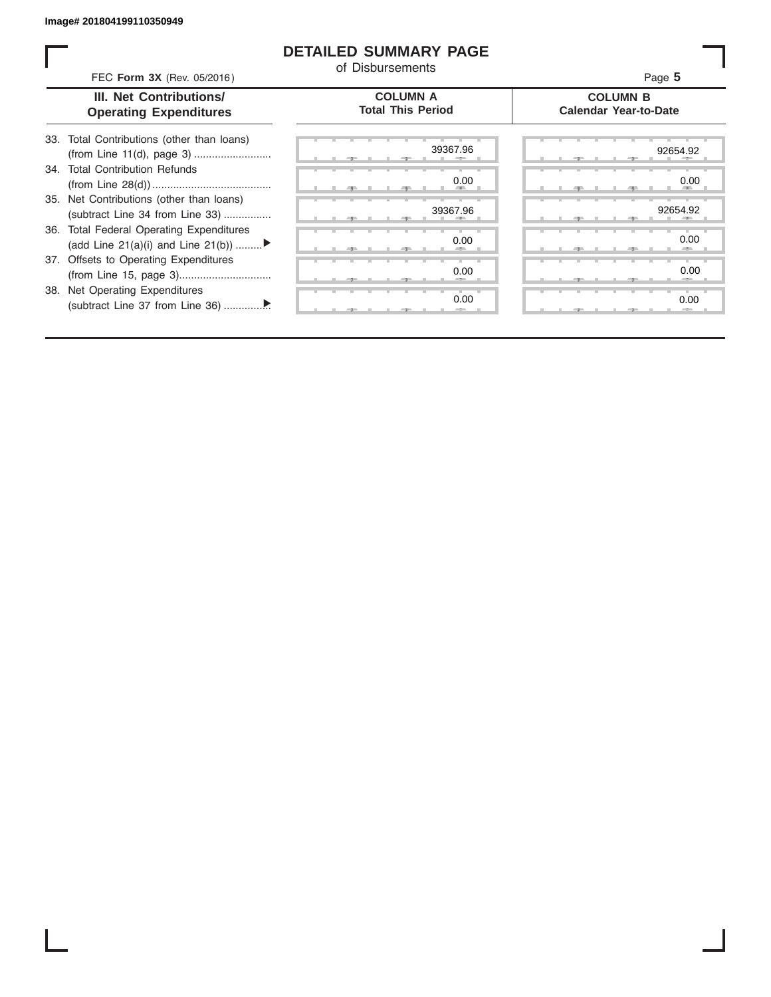# **DETAILED SUMMARY PAGE**

of Disbursements

FEC **Form 3X** (Rev. 05/2016) Page **5**

|  | III. Net Contributions/       |
|--|-------------------------------|
|  | <b>Operating Expenditures</b> |

## **COLUMN A Total This Period**

## **COLUMN B Calendar Year-to-Date**

| 33. Total Contributions (other than loans) |
|--------------------------------------------|
|                                            |
| 34. Total Contribution Refunds             |
|                                            |
| 35. Net Contributions (other than loans)   |
| (subtract Line 34 from Line 33)            |
| 36. Total Federal Operating Expenditures   |
| (add Line 21(a)(i) and Line 21(b))         |
| 37. Offsets to Operating Expenditures      |
|                                            |
| 38. Net Operating Expenditures             |
|                                            |

| 39367.96             | 92654.9                           |
|----------------------|-----------------------------------|
| 0.00<br>-            | 0.0                               |
| 39367.96<br><b>H</b> | 92654.9<br><b>ALC 1999</b><br>- 5 |
| 0.00<br>-            | 0.0                               |
| 0.00                 | 0. <sub>C</sub>                   |
| ш<br>٠<br>0.00<br>-- | ٠<br>ш<br>0.0<br>$-2-$            |
|                      |                                   |

|       |  | 39367.96<br>۰      | 92654.92<br>              |  |
|-------|--|--------------------|---------------------------|--|
|       |  | 0.00<br><b>ALL</b> | 0.00<br><b>AREA</b><br>49 |  |
|       |  | 39367.96           | 92654.92<br>÷             |  |
|       |  | 0.00<br>-          | 0.00<br>-                 |  |
|       |  | 0.00<br>- -        | 0.00                      |  |
| $-7-$ |  | 0.00<br>$\sim$     | 0.00<br>$-$               |  |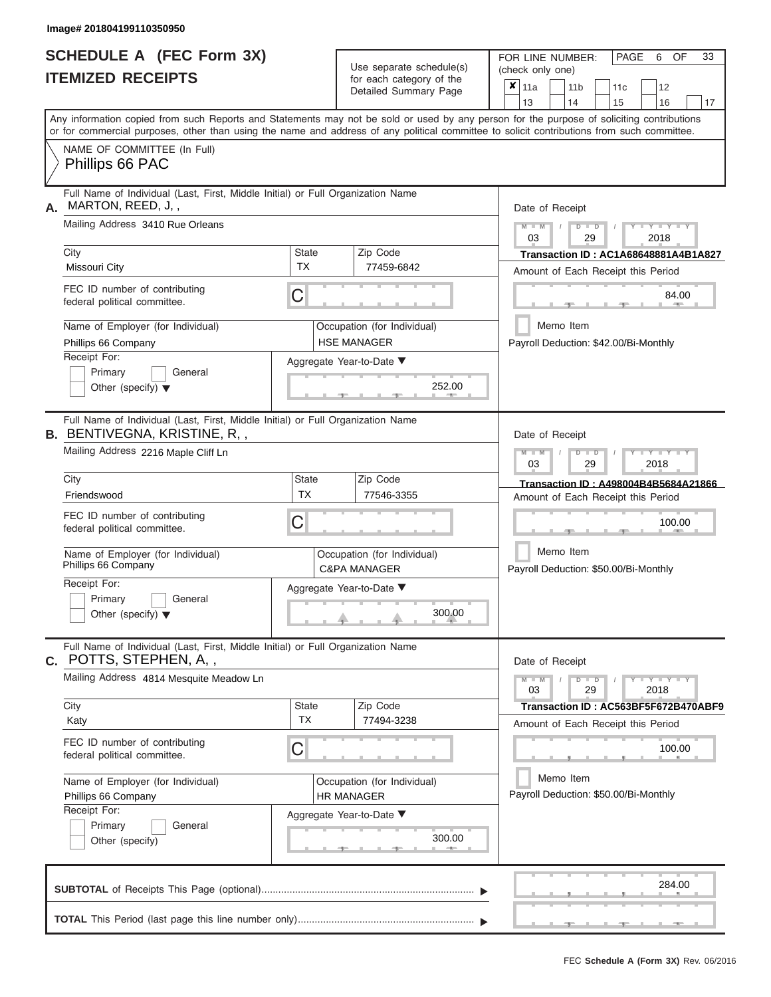ı

|                          | <b>SCHEDULE A (FEC Form 3X)</b> |
|--------------------------|---------------------------------|
| <b>ITEMIZED RECEIPTS</b> |                                 |

Use separate schedule(s)<br>for each category of the

FOR LINE NUMBER:<br>(check only one)

PAGE 6 OF 33

|                                                                                                                                                                                                                                                                                         |                                                                                                                                         | ivi vavii valvyviy vi liiv<br>Detailed Summary Page    |                                                       | $x \mid$ 11a    |           | 11 <sub>b</sub> |               | 11 <sub>c</sub> | 12                                          |    |
|-----------------------------------------------------------------------------------------------------------------------------------------------------------------------------------------------------------------------------------------------------------------------------------------|-----------------------------------------------------------------------------------------------------------------------------------------|--------------------------------------------------------|-------------------------------------------------------|-----------------|-----------|-----------------|---------------|-----------------|---------------------------------------------|----|
|                                                                                                                                                                                                                                                                                         |                                                                                                                                         |                                                        |                                                       | 13              |           | 14              |               | 15              | 16                                          | 17 |
| Any information copied from such Reports and Statements may not be sold or used by any person for the purpose of soliciting contributions<br>or for commercial purposes, other than using the name and address of any political committee to solicit contributions from such committee. |                                                                                                                                         |                                                        |                                                       |                 |           |                 |               |                 |                                             |    |
| NAME OF COMMITTEE (In Full)                                                                                                                                                                                                                                                             |                                                                                                                                         |                                                        |                                                       |                 |           |                 |               |                 |                                             |    |
| Phillips 66 PAC                                                                                                                                                                                                                                                                         |                                                                                                                                         |                                                        |                                                       |                 |           |                 |               |                 |                                             |    |
| Full Name of Individual (Last, First, Middle Initial) or Full Organization Name<br>MARTON, REED, J,,<br>А.                                                                                                                                                                              |                                                                                                                                         |                                                        |                                                       | Date of Receipt |           |                 |               |                 |                                             |    |
| Mailing Address 3410 Rue Orleans                                                                                                                                                                                                                                                        |                                                                                                                                         |                                                        |                                                       | $M - M$<br>03   |           |                 | $D$ $D$<br>29 |                 | $Y - Y - Y$<br>2018                         |    |
| City                                                                                                                                                                                                                                                                                    | State                                                                                                                                   | Zip Code                                               |                                                       |                 |           |                 |               |                 | <b>Transaction ID: AC1A68648881A4B1A827</b> |    |
| Missouri City                                                                                                                                                                                                                                                                           | <b>TX</b>                                                                                                                               | 77459-6842                                             |                                                       |                 |           |                 |               |                 | Amount of Each Receipt this Period          |    |
| FEC ID number of contributing<br>federal political committee.                                                                                                                                                                                                                           | C                                                                                                                                       |                                                        |                                                       |                 |           |                 |               | $-1$            | 84.00<br>$1 - 400$                          |    |
| Name of Employer (for Individual)                                                                                                                                                                                                                                                       |                                                                                                                                         | Occupation (for Individual)                            |                                                       |                 | Memo Item |                 |               |                 |                                             |    |
| Phillips 66 Company                                                                                                                                                                                                                                                                     |                                                                                                                                         | <b>HSE MANAGER</b>                                     |                                                       |                 |           |                 |               |                 | Payroll Deduction: \$42.00/Bi-Monthly       |    |
| Receipt For:<br>Primary<br>General                                                                                                                                                                                                                                                      |                                                                                                                                         | Aggregate Year-to-Date ▼                               |                                                       |                 |           |                 |               |                 |                                             |    |
| Other (specify) $\blacktriangledown$                                                                                                                                                                                                                                                    |                                                                                                                                         | 252.00<br>-91                                          |                                                       |                 |           |                 |               |                 |                                             |    |
| Full Name of Individual (Last, First, Middle Initial) or Full Organization Name<br><b>B.</b> BENTIVEGNA, KRISTINE, R,,                                                                                                                                                                  |                                                                                                                                         |                                                        |                                                       | Date of Receipt |           |                 |               |                 |                                             |    |
| Mailing Address 2216 Maple Cliff Ln                                                                                                                                                                                                                                                     |                                                                                                                                         |                                                        | $M - M$<br>$D$ $D$<br>$Y - Y - Y$<br>03<br>29<br>2018 |                 |           |                 |               |                 |                                             |    |
| City                                                                                                                                                                                                                                                                                    | State                                                                                                                                   | Zip Code                                               |                                                       |                 |           |                 |               |                 | Transaction ID: A498004B4B5684A21866        |    |
| Friendswood                                                                                                                                                                                                                                                                             | <b>TX</b>                                                                                                                               | 77546-3355                                             |                                                       |                 |           |                 |               |                 | Amount of Each Receipt this Period          |    |
| FEC ID number of contributing<br>federal political committee.                                                                                                                                                                                                                           | С                                                                                                                                       |                                                        |                                                       |                 |           |                 |               |                 | 100.00                                      |    |
| Name of Employer (for Individual)<br>Phillips 66 Company                                                                                                                                                                                                                                |                                                                                                                                         | Occupation (for Individual)<br><b>C&amp;PA MANAGER</b> |                                                       |                 | Memo Item |                 |               |                 | Payroll Deduction: \$50.00/Bi-Monthly       |    |
| Receipt For:                                                                                                                                                                                                                                                                            |                                                                                                                                         | Aggregate Year-to-Date ▼                               |                                                       |                 |           |                 |               |                 |                                             |    |
| Primary<br>General                                                                                                                                                                                                                                                                      |                                                                                                                                         |                                                        |                                                       |                 |           |                 |               |                 |                                             |    |
|                                                                                                                                                                                                                                                                                         | 300.00<br>Other (specify) $\blacktriangledown$                                                                                          |                                                        |                                                       |                 |           |                 |               |                 |                                             |    |
| Full Name of Individual (Last, First, Middle Initial) or Full Organization Name<br><b>C.</b> POTTS, STEPHEN, A,,                                                                                                                                                                        |                                                                                                                                         |                                                        |                                                       | Date of Receipt |           |                 |               |                 |                                             |    |
| Mailing Address 4814 Mesquite Meadow Ln                                                                                                                                                                                                                                                 |                                                                                                                                         |                                                        |                                                       | $M - M$<br>03   |           |                 | $D$ $D$<br>29 |                 | $+Y+Y+Y$<br>2018                            |    |
| City                                                                                                                                                                                                                                                                                    | State                                                                                                                                   | Zip Code                                               |                                                       |                 |           |                 |               |                 | Transaction ID: AC563BF5F672B470ABF9        |    |
| Katy                                                                                                                                                                                                                                                                                    | TX                                                                                                                                      | 77494-3238                                             |                                                       |                 |           |                 |               |                 | Amount of Each Receipt this Period          |    |
| FEC ID number of contributing<br>federal political committee.                                                                                                                                                                                                                           | C                                                                                                                                       |                                                        |                                                       |                 |           |                 |               |                 | 100.00                                      |    |
| Name of Employer (for Individual)                                                                                                                                                                                                                                                       | Occupation (for Individual)                                                                                                             |                                                        | Memo Item<br>Payroll Deduction: \$50.00/Bi-Monthly    |                 |           |                 |               |                 |                                             |    |
|                                                                                                                                                                                                                                                                                         | HR MANAGER<br>Phillips 66 Company<br>Receipt For:<br>Aggregate Year-to-Date ▼<br>General<br>Primary<br>300.00<br>Other (specify)<br>___ |                                                        |                                                       |                 |           |                 |               |                 |                                             |    |
|                                                                                                                                                                                                                                                                                         |                                                                                                                                         |                                                        |                                                       |                 |           |                 |               |                 |                                             |    |
|                                                                                                                                                                                                                                                                                         |                                                                                                                                         |                                                        |                                                       |                 |           |                 |               |                 |                                             |    |
|                                                                                                                                                                                                                                                                                         |                                                                                                                                         |                                                        |                                                       |                 |           |                 |               |                 |                                             |    |
|                                                                                                                                                                                                                                                                                         |                                                                                                                                         |                                                        |                                                       |                 |           |                 |               |                 | 284.00                                      |    |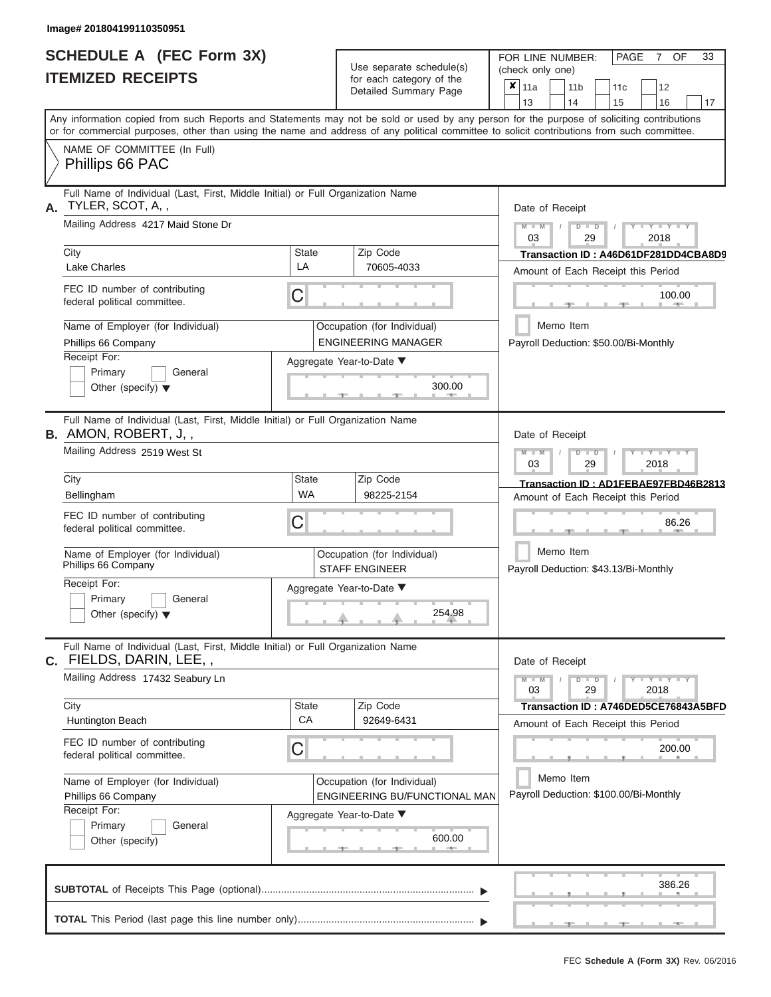|                          | <b>SCHEDULE A (FEC Form 3X)</b> |
|--------------------------|---------------------------------|
| <b>ITEMIZED RECEIPTS</b> |                                 |

Use separate schedule(s)<br>for each category of the

FOR LINE NUMBER:

PAGE 7 OF 33

|                                                          |                                                                                                                | Use separate schedule(s) | (check only one)                                             |                                                                                                                                                                                                                                                                                         |  |  |  |  |  |  |
|----------------------------------------------------------|----------------------------------------------------------------------------------------------------------------|--------------------------|--------------------------------------------------------------|-----------------------------------------------------------------------------------------------------------------------------------------------------------------------------------------------------------------------------------------------------------------------------------------|--|--|--|--|--|--|
|                                                          | <b>ITEMIZED RECEIPTS</b>                                                                                       |                          | for each category of the<br>Detailed Summary Page            | $\overline{\mathbf{x}}$   11a<br>12<br>11 <sub>b</sub><br>11c<br>13<br>14<br>15<br>16<br>17                                                                                                                                                                                             |  |  |  |  |  |  |
|                                                          |                                                                                                                |                          |                                                              | Any information copied from such Reports and Statements may not be sold or used by any person for the purpose of soliciting contributions<br>or for commercial purposes, other than using the name and address of any political committee to solicit contributions from such committee. |  |  |  |  |  |  |
|                                                          | NAME OF COMMITTEE (In Full)<br>Phillips 66 PAC                                                                 |                          |                                                              |                                                                                                                                                                                                                                                                                         |  |  |  |  |  |  |
| А.                                                       | Full Name of Individual (Last, First, Middle Initial) or Full Organization Name<br>TYLER, SCOT, A,,            |                          |                                                              | Date of Receipt                                                                                                                                                                                                                                                                         |  |  |  |  |  |  |
|                                                          | Mailing Address 4217 Maid Stone Dr                                                                             |                          |                                                              | $-Y - Y - Y - Y$<br>$M - M$<br>$D$ $\Box$ $D$<br>03<br>29<br>2018                                                                                                                                                                                                                       |  |  |  |  |  |  |
|                                                          | City<br>Lake Charles                                                                                           | <b>State</b><br>LA       | Zip Code<br>70605-4033                                       | Transaction ID: A46D61DF281DD4CBA8D9<br>Amount of Each Receipt this Period                                                                                                                                                                                                              |  |  |  |  |  |  |
|                                                          | FEC ID number of contributing<br>federal political committee.                                                  | C                        |                                                              | 100.00                                                                                                                                                                                                                                                                                  |  |  |  |  |  |  |
|                                                          | Name of Employer (for Individual)<br>Phillips 66 Company                                                       |                          | Occupation (for Individual)<br><b>ENGINEERING MANAGER</b>    | Memo Item<br>Payroll Deduction: \$50.00/Bi-Monthly                                                                                                                                                                                                                                      |  |  |  |  |  |  |
|                                                          | Receipt For:<br>Primary<br>General<br>Other (specify) $\blacktriangledown$                                     |                          | Aggregate Year-to-Date ▼<br>300.00                           |                                                                                                                                                                                                                                                                                         |  |  |  |  |  |  |
|                                                          | Full Name of Individual (Last, First, Middle Initial) or Full Organization Name<br><b>B.</b> AMON, ROBERT, J,, |                          |                                                              | Date of Receipt                                                                                                                                                                                                                                                                         |  |  |  |  |  |  |
|                                                          | Mailing Address 2519 West St                                                                                   |                          |                                                              | $M - M$<br>$T - Y = T - Y = T - Y$<br>$D$ $D$<br>03<br>29<br>2018                                                                                                                                                                                                                       |  |  |  |  |  |  |
|                                                          | City<br>Bellingham                                                                                             | State<br>WA              | Zip Code<br>98225-2154                                       | Transaction ID: AD1FEBAE97FBD46B2813<br>Amount of Each Receipt this Period                                                                                                                                                                                                              |  |  |  |  |  |  |
|                                                          | FEC ID number of contributing<br>federal political committee.                                                  | C                        |                                                              | 86.26                                                                                                                                                                                                                                                                                   |  |  |  |  |  |  |
| Name of Employer (for Individual)<br>Phillips 66 Company |                                                                                                                |                          | Occupation (for Individual)<br><b>STAFF ENGINEER</b>         | Memo Item<br>Payroll Deduction: \$43.13/Bi-Monthly                                                                                                                                                                                                                                      |  |  |  |  |  |  |
|                                                          | Receipt For:<br>Primary<br>General<br>Other (specify) $\blacktriangledown$                                     |                          | Aggregate Year-to-Date ▼<br>254.98                           |                                                                                                                                                                                                                                                                                         |  |  |  |  |  |  |
|                                                          | Full Name of Individual (Last, First, Middle Initial) or Full Organization Name<br>C. FIELDS, DARIN, LEE,,     |                          |                                                              | Date of Receipt                                                                                                                                                                                                                                                                         |  |  |  |  |  |  |
|                                                          | Mailing Address 17432 Seabury Ln                                                                               |                          |                                                              | $T$ $T$ $T$ $T$ $T$ $T$ $T$ $T$<br>$M - M$<br>$D$ $D$<br>Ÿ<br>29<br>03<br>2018                                                                                                                                                                                                          |  |  |  |  |  |  |
|                                                          | City<br>Huntington Beach                                                                                       | State<br>CA              | Zip Code<br>92649-6431                                       | Transaction ID: A746DED5CE76843A5BFD<br>Amount of Each Receipt this Period                                                                                                                                                                                                              |  |  |  |  |  |  |
|                                                          | FEC ID number of contributing<br>federal political committee.                                                  | C                        |                                                              | 200.00                                                                                                                                                                                                                                                                                  |  |  |  |  |  |  |
|                                                          | Name of Employer (for Individual)<br>Phillips 66 Company<br>Receipt For:                                       |                          | Occupation (for Individual)<br>ENGINEERING BU/FUNCTIONAL MAN | Memo Item<br>Payroll Deduction: \$100.00/Bi-Monthly                                                                                                                                                                                                                                     |  |  |  |  |  |  |
|                                                          | Primary<br>General<br>Other (specify)                                                                          |                          | Aggregate Year-to-Date ▼<br>600.00<br><b>CONTRACTOR</b>      |                                                                                                                                                                                                                                                                                         |  |  |  |  |  |  |
|                                                          |                                                                                                                |                          |                                                              | 386.26                                                                                                                                                                                                                                                                                  |  |  |  |  |  |  |
|                                                          |                                                                                                                |                          |                                                              |                                                                                                                                                                                                                                                                                         |  |  |  |  |  |  |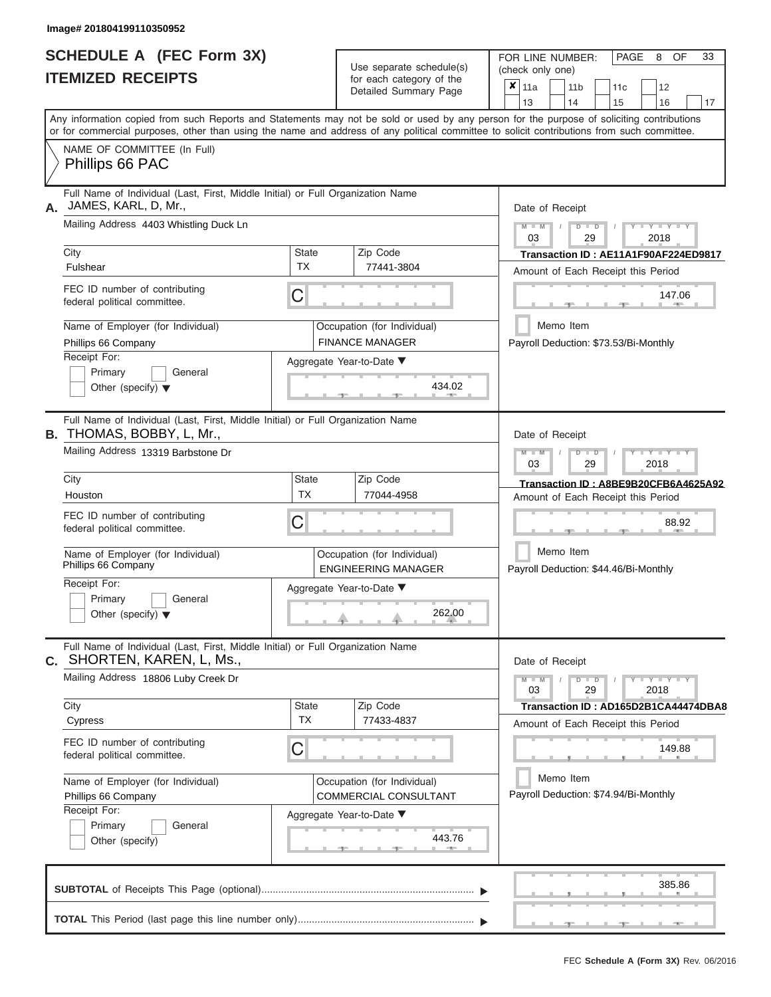|                          | SCHEDULE A (FEC Form 3X) |
|--------------------------|--------------------------|
| <b>ITEMIZED RECEIPTS</b> |                          |

| SCHEDULE A (FEC Form 3X)<br><b>ITEMIZED RECEIPTS</b>                                                                                                      |                                                                                                    | Use separate schedule(s)<br>for each category of the  | 33<br>FOR LINE NUMBER:<br>PAGE<br>8<br>OF<br>(check only one)                                                                                                                                                                                                                           |  |  |  |  |  |
|-----------------------------------------------------------------------------------------------------------------------------------------------------------|----------------------------------------------------------------------------------------------------|-------------------------------------------------------|-----------------------------------------------------------------------------------------------------------------------------------------------------------------------------------------------------------------------------------------------------------------------------------------|--|--|--|--|--|
|                                                                                                                                                           |                                                                                                    | Detailed Summary Page                                 | $\overline{\mathbf{x}}$   11a<br>11 <sub>b</sub><br>11 <sub>c</sub><br>12<br>14<br>15<br>13<br>16<br>17                                                                                                                                                                                 |  |  |  |  |  |
|                                                                                                                                                           |                                                                                                    |                                                       | Any information copied from such Reports and Statements may not be sold or used by any person for the purpose of soliciting contributions<br>or for commercial purposes, other than using the name and address of any political committee to solicit contributions from such committee. |  |  |  |  |  |
| NAME OF COMMITTEE (In Full)<br>Phillips 66 PAC                                                                                                            |                                                                                                    |                                                       |                                                                                                                                                                                                                                                                                         |  |  |  |  |  |
| Full Name of Individual (Last, First, Middle Initial) or Full Organization Name<br>JAMES, KARL, D, Mr.,                                                   |                                                                                                    |                                                       | Date of Receipt                                                                                                                                                                                                                                                                         |  |  |  |  |  |
| Mailing Address 4403 Whistling Duck Ln                                                                                                                    |                                                                                                    |                                                       | $M$ $M$ $N$<br>$T - Y = Y + Y$<br>$D$ $D$<br>03<br>29<br>2018                                                                                                                                                                                                                           |  |  |  |  |  |
| City<br>Fulshear                                                                                                                                          | <b>State</b><br><b>TX</b>                                                                          | Zip Code<br>77441-3804                                | Transaction ID: AE11A1F90AF224ED9817<br>Amount of Each Receipt this Period                                                                                                                                                                                                              |  |  |  |  |  |
| FEC ID number of contributing<br>federal political committee.                                                                                             | C                                                                                                  |                                                       | 147.06<br><b>AND A</b>                                                                                                                                                                                                                                                                  |  |  |  |  |  |
| Name of Employer (for Individual)<br>Phillips 66 Company                                                                                                  |                                                                                                    | Occupation (for Individual)<br><b>FINANCE MANAGER</b> | Memo Item<br>Payroll Deduction: \$73.53/Bi-Monthly                                                                                                                                                                                                                                      |  |  |  |  |  |
| Receipt For:<br>Primary<br>General<br>Other (specify) $\blacktriangledown$                                                                                |                                                                                                    | Aggregate Year-to-Date ▼<br>434.02                    |                                                                                                                                                                                                                                                                                         |  |  |  |  |  |
| Full Name of Individual (Last, First, Middle Initial) or Full Organization Name<br><b>B.</b> THOMAS, BOBBY, L, Mr.,<br>Mailing Address 13319 Barbstone Dr | Date of Receipt<br>$M - M$<br>$D$ $D$<br>$\Box$ $\Upsilon$ $\Box$ $\Upsilon$ $\Upsilon$ $\Upsilon$ |                                                       |                                                                                                                                                                                                                                                                                         |  |  |  |  |  |
| City                                                                                                                                                      | <b>State</b>                                                                                       | Zip Code                                              | 03<br>29<br>2018<br>Transaction ID: A8BE9B20CFB6A4625A92                                                                                                                                                                                                                                |  |  |  |  |  |
| Houston                                                                                                                                                   | TX                                                                                                 | 77044-4958                                            | Amount of Each Receipt this Period                                                                                                                                                                                                                                                      |  |  |  |  |  |
| FEC ID number of contributing<br>federal political committee.                                                                                             | C                                                                                                  |                                                       |                                                                                                                                                                                                                                                                                         |  |  |  |  |  |
| Name of Employer (for Individual)<br>Phillips 66 Company                                                                                                  | Occupation (for Individual)<br><b>ENGINEERING MANAGER</b>                                          |                                                       |                                                                                                                                                                                                                                                                                         |  |  |  |  |  |
| Receipt For:                                                                                                                                              |                                                                                                    | Aggregate Year-to-Date ▼                              |                                                                                                                                                                                                                                                                                         |  |  |  |  |  |
| Primary<br>General<br>Other (specify) $\blacktriangledown$                                                                                                |                                                                                                    | 262.00                                                |                                                                                                                                                                                                                                                                                         |  |  |  |  |  |
| Full Name of Individual (Last, First, Middle Initial) or Full Organization Name<br>C. SHORTEN, KAREN, L, Ms.,                                             |                                                                                                    |                                                       | Date of Receipt                                                                                                                                                                                                                                                                         |  |  |  |  |  |
| Mailing Address 18806 Luby Creek Dr                                                                                                                       |                                                                                                    |                                                       | $M - M$<br>$D$ $D$<br>$Y - Y - Y - Y - Y$<br>03<br>29<br>2018                                                                                                                                                                                                                           |  |  |  |  |  |
| City<br>Cypress                                                                                                                                           | <b>State</b><br><b>TX</b>                                                                          | Zip Code<br>77433-4837                                | Transaction ID: AD165D2B1CA44474DBA8<br>Amount of Each Receipt this Period                                                                                                                                                                                                              |  |  |  |  |  |
| FEC ID number of contributing<br>federal political committee.                                                                                             | С                                                                                                  |                                                       | 149.88                                                                                                                                                                                                                                                                                  |  |  |  |  |  |
| Name of Employer (for Individual)<br>Phillips 66 Company                                                                                                  |                                                                                                    | Occupation (for Individual)<br>COMMERCIAL CONSULTANT  | Memo Item<br>Payroll Deduction: \$74.94/Bi-Monthly                                                                                                                                                                                                                                      |  |  |  |  |  |
| Receipt For:<br>Primary<br>General<br>Other (specify)                                                                                                     |                                                                                                    | Aggregate Year-to-Date ▼<br>443.76                    |                                                                                                                                                                                                                                                                                         |  |  |  |  |  |
|                                                                                                                                                           |                                                                                                    |                                                       | 385.86                                                                                                                                                                                                                                                                                  |  |  |  |  |  |
|                                                                                                                                                           |                                                                                                    |                                                       | $-1$<br>$-1$<br>$-1$                                                                                                                                                                                                                                                                    |  |  |  |  |  |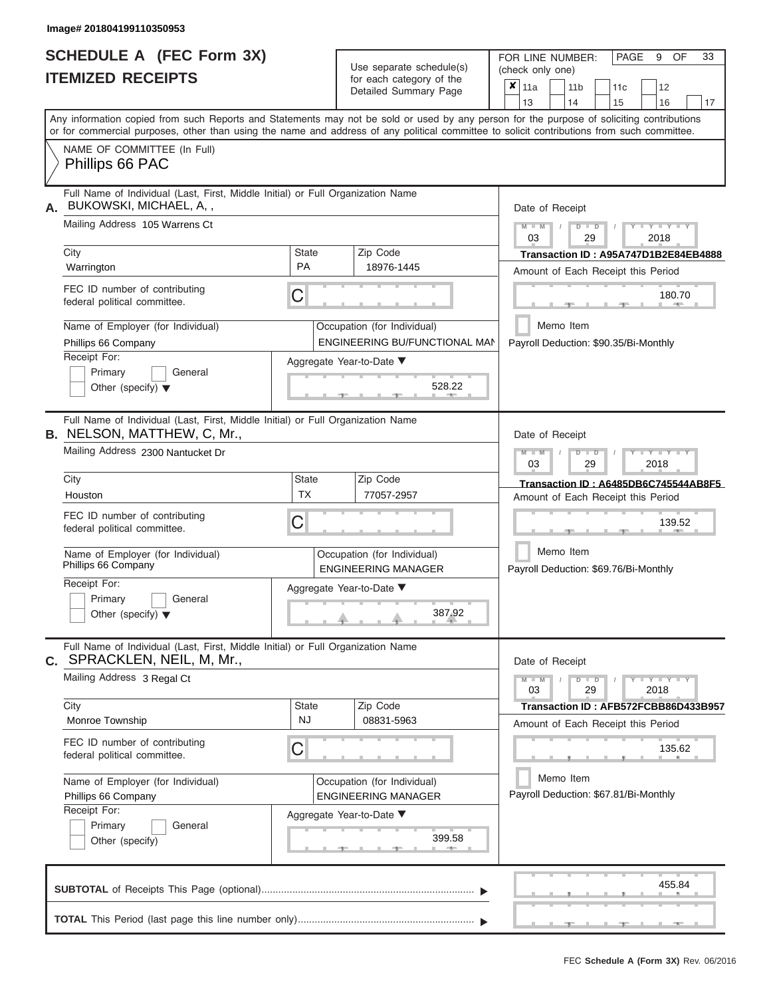|                          | SCHEDULE A (FEC Form 3X) |
|--------------------------|--------------------------|
| <b>ITEMIZED RECEIPTS</b> |                          |

Use separate schedule(s)<br>for each category of the

FOR LINE NUMBER:<br>(check only one)

PAGE 9 OF 33

|                                                                              |                                                                                                                                                                                                                                                                                         |                                                                             | $0.0011$ $0.000901$ $y$ $0.010$<br>Detailed Summary Page     | x                                                  | 11a                                             |  | 11 <sub>b</sub>                       |               | 11 <sub>c</sub> | 12                                   |    |  |  |  |
|------------------------------------------------------------------------------|-----------------------------------------------------------------------------------------------------------------------------------------------------------------------------------------------------------------------------------------------------------------------------------------|-----------------------------------------------------------------------------|--------------------------------------------------------------|----------------------------------------------------|-------------------------------------------------|--|---------------------------------------|---------------|-----------------|--------------------------------------|----|--|--|--|
|                                                                              |                                                                                                                                                                                                                                                                                         |                                                                             |                                                              |                                                    | 13                                              |  | 14                                    |               | 15              | 16                                   | 17 |  |  |  |
|                                                                              | Any information copied from such Reports and Statements may not be sold or used by any person for the purpose of soliciting contributions<br>or for commercial purposes, other than using the name and address of any political committee to solicit contributions from such committee. |                                                                             |                                                              |                                                    |                                                 |  |                                       |               |                 |                                      |    |  |  |  |
|                                                                              | NAME OF COMMITTEE (In Full)<br>Phillips 66 PAC                                                                                                                                                                                                                                          |                                                                             |                                                              |                                                    |                                                 |  |                                       |               |                 |                                      |    |  |  |  |
|                                                                              | Full Name of Individual (Last, First, Middle Initial) or Full Organization Name<br>BUKOWSKI, MICHAEL, A,,                                                                                                                                                                               |                                                                             |                                                              |                                                    | Date of Receipt                                 |  |                                       |               |                 |                                      |    |  |  |  |
|                                                                              | Mailing Address 105 Warrens Ct                                                                                                                                                                                                                                                          |                                                                             |                                                              |                                                    | $M - M$<br>03                                   |  |                                       | $D$ $D$<br>29 |                 | $Y - Y - Y$<br>2018                  |    |  |  |  |
| City                                                                         |                                                                                                                                                                                                                                                                                         | <b>State</b>                                                                | Zip Code                                                     |                                                    |                                                 |  |                                       |               |                 | Transaction ID: A95A747D1B2E84EB4888 |    |  |  |  |
| Warrington                                                                   |                                                                                                                                                                                                                                                                                         | <b>PA</b>                                                                   | 18976-1445                                                   | Amount of Each Receipt this Period                 |                                                 |  |                                       |               |                 |                                      |    |  |  |  |
|                                                                              | FEC ID number of contributing<br>federal political committee.                                                                                                                                                                                                                           | C                                                                           |                                                              |                                                    |                                                 |  |                                       |               |                 | 180.70<br>$-$                        |    |  |  |  |
|                                                                              | Name of Employer (for Individual)<br>Phillips 66 Company                                                                                                                                                                                                                                |                                                                             | Occupation (for Individual)<br>ENGINEERING BU/FUNCTIONAL MAN |                                                    |                                                 |  | Memo Item                             |               |                 |                                      |    |  |  |  |
| Receipt For:                                                                 | Primary<br>General<br>Other (specify) $\blacktriangledown$                                                                                                                                                                                                                              | Payroll Deduction: \$90.35/Bi-Monthly<br>Aggregate Year-to-Date ▼<br>528.22 |                                                              |                                                    |                                                 |  |                                       |               |                 |                                      |    |  |  |  |
|                                                                              | Full Name of Individual (Last, First, Middle Initial) or Full Organization Name<br><b>B.</b> NELSON, MATTHEW, C, Mr.,                                                                                                                                                                   |                                                                             |                                                              |                                                    | Date of Receipt                                 |  |                                       |               |                 |                                      |    |  |  |  |
|                                                                              | Mailing Address 2300 Nantucket Dr                                                                                                                                                                                                                                                       |                                                                             |                                                              |                                                    | $M - M$<br>Y TYT<br>$D$ $D$<br>2018<br>03<br>29 |  |                                       |               |                 |                                      |    |  |  |  |
| City                                                                         |                                                                                                                                                                                                                                                                                         | <b>State</b>                                                                | Zip Code                                                     |                                                    |                                                 |  |                                       |               |                 | Transaction ID: A6485DB6C745544AB8F5 |    |  |  |  |
| Houston                                                                      |                                                                                                                                                                                                                                                                                         | TX                                                                          | 77057-2957                                                   | Amount of Each Receipt this Period                 |                                                 |  |                                       |               |                 |                                      |    |  |  |  |
|                                                                              | FEC ID number of contributing<br>C<br>federal political committee.                                                                                                                                                                                                                      |                                                                             |                                                              |                                                    |                                                 |  | 139.52                                |               |                 |                                      |    |  |  |  |
|                                                                              | Name of Employer (for Individual)<br>Phillips 66 Company                                                                                                                                                                                                                                | Occupation (for Individual)<br><b>ENGINEERING MANAGER</b>                   |                                                              | Memo Item<br>Payroll Deduction: \$69.76/Bi-Monthly |                                                 |  |                                       |               |                 |                                      |    |  |  |  |
|                                                                              | Receipt For:<br>Aggregate Year-to-Date ▼<br>Primary<br>General                                                                                                                                                                                                                          |                                                                             |                                                              |                                                    |                                                 |  |                                       |               |                 |                                      |    |  |  |  |
| 387.92<br>Other (specify) $\blacktriangledown$                               |                                                                                                                                                                                                                                                                                         |                                                                             |                                                              |                                                    |                                                 |  |                                       |               |                 |                                      |    |  |  |  |
|                                                                              | Full Name of Individual (Last, First, Middle Initial) or Full Organization Name<br>C. SPRACKLEN, NEIL, M, Mr.,                                                                                                                                                                          |                                                                             |                                                              |                                                    | Date of Receipt                                 |  |                                       |               |                 |                                      |    |  |  |  |
|                                                                              | Mailing Address 3 Regal Ct                                                                                                                                                                                                                                                              |                                                                             |                                                              |                                                    | $M - M$<br>03                                   |  |                                       | $D$ $D$<br>29 |                 | $Y - Y - Y - Y - Y$<br>2018          |    |  |  |  |
| City                                                                         |                                                                                                                                                                                                                                                                                         | <b>State</b>                                                                | Zip Code                                                     |                                                    |                                                 |  |                                       |               |                 | Transaction ID: AFB572FCBB86D433B957 |    |  |  |  |
|                                                                              | Monroe Township                                                                                                                                                                                                                                                                         | NJ                                                                          | 08831-5963                                                   |                                                    |                                                 |  |                                       |               |                 | Amount of Each Receipt this Period   |    |  |  |  |
| FEC ID number of contributing<br>С<br>135.62<br>federal political committee. |                                                                                                                                                                                                                                                                                         |                                                                             |                                                              |                                                    |                                                 |  |                                       |               |                 |                                      |    |  |  |  |
|                                                                              | Name of Employer (for Individual)                                                                                                                                                                                                                                                       |                                                                             | Occupation (for Individual)                                  |                                                    |                                                 |  | Memo Item                             |               |                 |                                      |    |  |  |  |
|                                                                              | <b>ENGINEERING MANAGER</b><br>Phillips 66 Company                                                                                                                                                                                                                                       |                                                                             |                                                              |                                                    |                                                 |  | Payroll Deduction: \$67.81/Bi-Monthly |               |                 |                                      |    |  |  |  |
| Receipt For:                                                                 |                                                                                                                                                                                                                                                                                         |                                                                             | Aggregate Year-to-Date ▼                                     |                                                    |                                                 |  |                                       |               |                 |                                      |    |  |  |  |
|                                                                              | Primary<br>General<br>Other (specify)                                                                                                                                                                                                                                                   |                                                                             | 399.58                                                       |                                                    |                                                 |  |                                       |               |                 |                                      |    |  |  |  |
|                                                                              |                                                                                                                                                                                                                                                                                         |                                                                             |                                                              |                                                    |                                                 |  |                                       |               |                 | 455.84                               |    |  |  |  |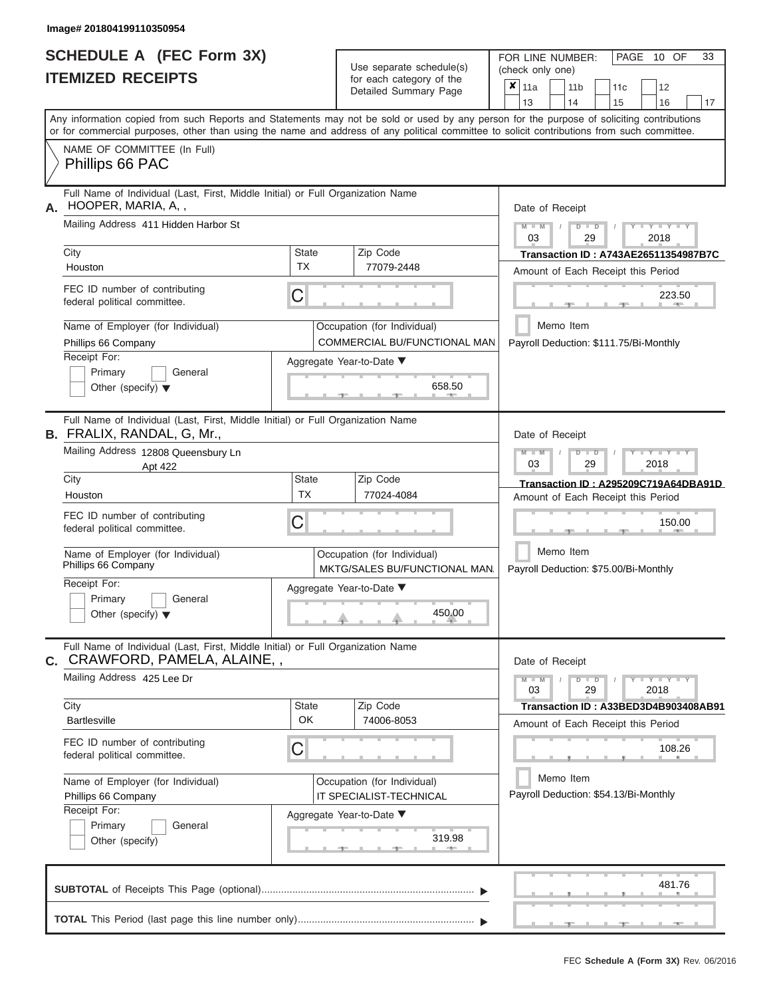ı

|                          | <b>SCHEDULE A (FEC Form 3X)</b> |
|--------------------------|---------------------------------|
| <b>ITEMIZED RECEIPTS</b> |                                 |

Use separate schedule(s) (check only one) (one)

FOR LINE NUMBER:

PAGE 10 OF 33

|                                      |                                                                                                                  |                         | babii batogory<br>Detailed Summary Page                                                                                                                                                                                                                                                 | x | 11a                                  |           | 11 b |               | 11c                                   | 12                                     |    |  |  |  |  |  |
|--------------------------------------|------------------------------------------------------------------------------------------------------------------|-------------------------|-----------------------------------------------------------------------------------------------------------------------------------------------------------------------------------------------------------------------------------------------------------------------------------------|---|--------------------------------------|-----------|------|---------------|---------------------------------------|----------------------------------------|----|--|--|--|--|--|
|                                      |                                                                                                                  |                         |                                                                                                                                                                                                                                                                                         |   | 13                                   |           | 14   |               | 15                                    | 16                                     | 17 |  |  |  |  |  |
|                                      |                                                                                                                  |                         | Any information copied from such Reports and Statements may not be sold or used by any person for the purpose of soliciting contributions<br>or for commercial purposes, other than using the name and address of any political committee to solicit contributions from such committee. |   |                                      |           |      |               |                                       |                                        |    |  |  |  |  |  |
| Phillips 66 PAC                      | NAME OF COMMITTEE (In Full)                                                                                      |                         |                                                                                                                                                                                                                                                                                         |   |                                      |           |      |               |                                       |                                        |    |  |  |  |  |  |
| HOOPER, MARIA, A,,<br>А.             | Full Name of Individual (Last, First, Middle Initial) or Full Organization Name                                  |                         |                                                                                                                                                                                                                                                                                         |   | Date of Receipt                      |           |      |               |                                       |                                        |    |  |  |  |  |  |
|                                      | Mailing Address 411 Hidden Harbor St                                                                             |                         |                                                                                                                                                                                                                                                                                         |   | $M - M$<br>03                        |           |      | $D$ $D$<br>29 |                                       | Y I Y I Y<br>2018                      |    |  |  |  |  |  |
| City                                 |                                                                                                                  | <b>State</b>            | Zip Code                                                                                                                                                                                                                                                                                |   | Transaction ID: A743AE26511354987B7C |           |      |               |                                       |                                        |    |  |  |  |  |  |
| Houston                              |                                                                                                                  | <b>TX</b>               | 77079-2448                                                                                                                                                                                                                                                                              |   | Amount of Each Receipt this Period   |           |      |               |                                       |                                        |    |  |  |  |  |  |
| federal political committee.         | FEC ID number of contributing                                                                                    | С                       |                                                                                                                                                                                                                                                                                         |   |                                      |           |      |               |                                       | 223.50                                 |    |  |  |  |  |  |
| Phillips 66 Company                  | Name of Employer (for Individual)                                                                                |                         | Occupation (for Individual)<br>COMMERCIAL BU/FUNCTIONAL MAN                                                                                                                                                                                                                             |   |                                      | Memo Item |      |               |                                       | Payroll Deduction: \$111.75/Bi-Monthly |    |  |  |  |  |  |
| Receipt For:                         |                                                                                                                  |                         |                                                                                                                                                                                                                                                                                         |   |                                      |           |      |               |                                       |                                        |    |  |  |  |  |  |
| Primary                              | Aggregate Year-to-Date ▼<br>General<br>658.50<br>Other (specify) $\blacktriangledown$                            |                         |                                                                                                                                                                                                                                                                                         |   |                                      |           |      |               |                                       |                                        |    |  |  |  |  |  |
|                                      | Full Name of Individual (Last, First, Middle Initial) or Full Organization Name<br>B. FRALIX, RANDAL, G, Mr.,    |                         |                                                                                                                                                                                                                                                                                         |   | Date of Receipt                      |           |      |               |                                       |                                        |    |  |  |  |  |  |
|                                      | Mailing Address 12808 Queensbury Ln<br>Apt 422                                                                   |                         |                                                                                                                                                                                                                                                                                         |   |                                      |           |      | $D$ $D$<br>29 |                                       | Y TYT<br>2018                          |    |  |  |  |  |  |
| City                                 |                                                                                                                  | <b>State</b>            | Zip Code                                                                                                                                                                                                                                                                                |   |                                      |           |      |               |                                       | Transaction ID: A295209C719A64DBA91D   |    |  |  |  |  |  |
| Houston                              |                                                                                                                  | <b>TX</b>               | 77024-4084                                                                                                                                                                                                                                                                              |   |                                      |           |      |               |                                       | Amount of Each Receipt this Period     |    |  |  |  |  |  |
| federal political committee.         | FEC ID number of contributing                                                                                    | С                       |                                                                                                                                                                                                                                                                                         |   |                                      |           |      |               |                                       | 150.00                                 |    |  |  |  |  |  |
| Phillips 66 Company                  | Name of Employer (for Individual)                                                                                |                         | Occupation (for Individual)<br>MKTG/SALES BU/FUNCTIONAL MAN                                                                                                                                                                                                                             |   |                                      |           |      | Memo Item     |                                       | Payroll Deduction: \$75.00/Bi-Monthly  |    |  |  |  |  |  |
| Receipt For:                         |                                                                                                                  |                         | Aggregate Year-to-Date ▼                                                                                                                                                                                                                                                                |   |                                      |           |      |               |                                       |                                        |    |  |  |  |  |  |
| Primary                              | General                                                                                                          |                         |                                                                                                                                                                                                                                                                                         |   |                                      |           |      |               |                                       |                                        |    |  |  |  |  |  |
| Other (specify) $\blacktriangledown$ |                                                                                                                  |                         | 450.00                                                                                                                                                                                                                                                                                  |   |                                      |           |      |               |                                       |                                        |    |  |  |  |  |  |
|                                      | Full Name of Individual (Last, First, Middle Initial) or Full Organization Name<br>C. CRAWFORD, PAMELA, ALAINE,, |                         |                                                                                                                                                                                                                                                                                         |   | Date of Receipt                      |           |      |               |                                       |                                        |    |  |  |  |  |  |
| Mailing Address 425 Lee Dr           |                                                                                                                  |                         |                                                                                                                                                                                                                                                                                         |   | $M - M$<br>03                        |           |      | $D$ $D$<br>29 |                                       | $Y = Y + Y + Y + Y$<br>2018            |    |  |  |  |  |  |
| City                                 |                                                                                                                  | <b>State</b>            | Zip Code                                                                                                                                                                                                                                                                                |   |                                      |           |      |               |                                       | Transaction ID: A33BED3D4B903408AB91   |    |  |  |  |  |  |
| Bartlesville                         |                                                                                                                  | OK                      | 74006-8053                                                                                                                                                                                                                                                                              |   |                                      |           |      |               |                                       | Amount of Each Receipt this Period     |    |  |  |  |  |  |
| federal political committee.         | FEC ID number of contributing                                                                                    | С                       |                                                                                                                                                                                                                                                                                         |   |                                      |           |      |               |                                       | 108.26                                 |    |  |  |  |  |  |
|                                      | Name of Employer (for Individual)                                                                                |                         | Occupation (for Individual)                                                                                                                                                                                                                                                             |   |                                      | Memo Item |      |               |                                       |                                        |    |  |  |  |  |  |
| Phillips 66 Company                  |                                                                                                                  | IT SPECIALIST-TECHNICAL |                                                                                                                                                                                                                                                                                         |   |                                      |           |      |               | Payroll Deduction: \$54.13/Bi-Monthly |                                        |    |  |  |  |  |  |
| Receipt For:                         |                                                                                                                  |                         | Aggregate Year-to-Date ▼                                                                                                                                                                                                                                                                |   |                                      |           |      |               |                                       |                                        |    |  |  |  |  |  |
| Primary                              | General                                                                                                          |                         |                                                                                                                                                                                                                                                                                         |   |                                      |           |      |               |                                       |                                        |    |  |  |  |  |  |
| Other (specify)                      |                                                                                                                  |                         | 319.98                                                                                                                                                                                                                                                                                  |   |                                      |           |      |               |                                       |                                        |    |  |  |  |  |  |
|                                      |                                                                                                                  |                         |                                                                                                                                                                                                                                                                                         |   |                                      |           |      |               |                                       | 481.76                                 |    |  |  |  |  |  |
|                                      |                                                                                                                  |                         |                                                                                                                                                                                                                                                                                         |   |                                      |           |      |               |                                       |                                        |    |  |  |  |  |  |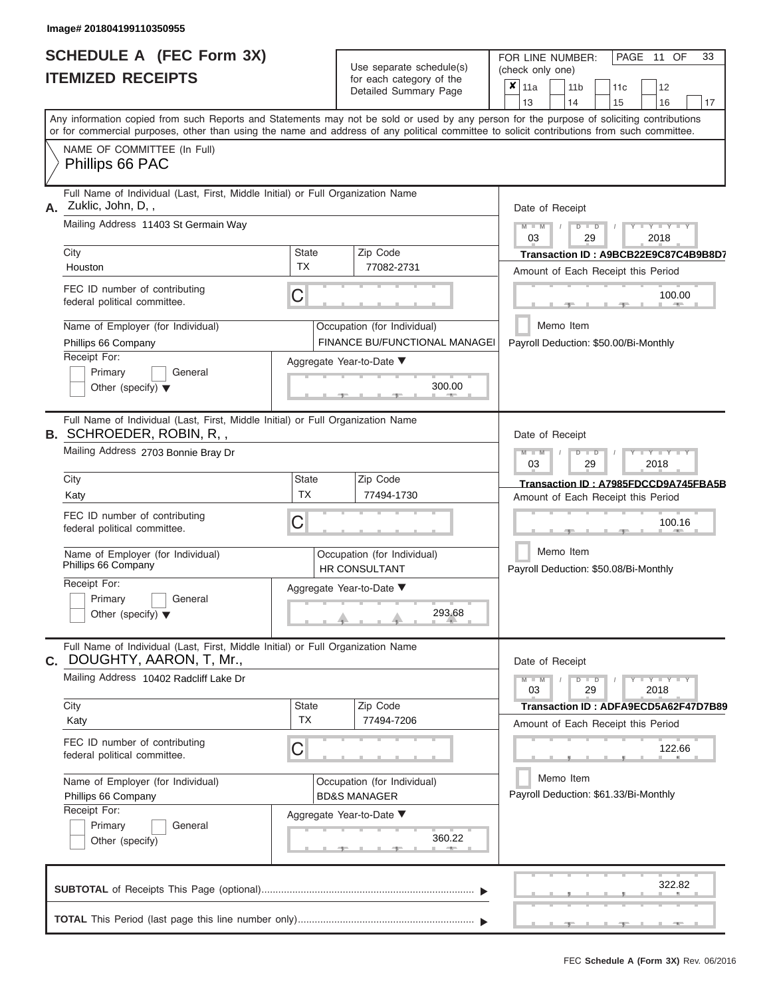|                          | <b>SCHEDULE A (FEC Form 3X)</b> |
|--------------------------|---------------------------------|
| <b>ITEMIZED RECEIPTS</b> |                                 |

| SCHEDULE A (FEC Form 3X)<br><b>ITEMIZED RECEIPTS</b>                                                                                                                                                                                                                                                                                  |                                | Use separate schedule(s)<br>for each category of the<br>Detailed Summary Page                                                | 33<br>FOR LINE NUMBER:<br>PAGE<br>11 OF<br>(check only one)<br>×<br>11a<br>11 <sub>b</sub><br>12<br>11 <sub>c</sub>                                                                                                                    |
|---------------------------------------------------------------------------------------------------------------------------------------------------------------------------------------------------------------------------------------------------------------------------------------------------------------------------------------|--------------------------------|------------------------------------------------------------------------------------------------------------------------------|----------------------------------------------------------------------------------------------------------------------------------------------------------------------------------------------------------------------------------------|
| Any information copied from such Reports and Statements may not be sold or used by any person for the purpose of soliciting contributions<br>or for commercial purposes, other than using the name and address of any political committee to solicit contributions from such committee.<br>NAME OF COMMITTEE (In Full)                |                                |                                                                                                                              | 13<br>14<br>15<br>16<br>17                                                                                                                                                                                                             |
| Phillips 66 PAC                                                                                                                                                                                                                                                                                                                       |                                |                                                                                                                              |                                                                                                                                                                                                                                        |
| Full Name of Individual (Last, First, Middle Initial) or Full Organization Name<br>A. Zuklic, John, D,,<br>Mailing Address 11403 St Germain Way<br>City<br>Houston<br>FEC ID number of contributing<br>federal political committee.<br>Name of Employer (for Individual)<br>Phillips 66 Company<br>Receipt For:<br>Primary<br>General | <b>State</b><br><b>TX</b><br>С | Zip Code<br>77082-2731<br>Occupation (for Individual)<br>FINANCE BU/FUNCTIONAL MANAGEI<br>Aggregate Year-to-Date ▼<br>300.00 | Date of Receipt<br>$Y = Y = Y$<br>$M - M$<br>$D$ $D$<br>03<br>29<br>2018<br>Transaction ID: A9BCB22E9C87C4B9B8D7<br>Amount of Each Receipt this Period<br>100.00<br><b>AND A</b><br>Memo Item<br>Payroll Deduction: \$50.00/Bi-Monthly |
| Other (specify) $\blacktriangledown$<br>Full Name of Individual (Last, First, Middle Initial) or Full Organization Name<br><b>B. SCHROEDER, ROBIN, R,,</b><br>Mailing Address 2703 Bonnie Bray Dr                                                                                                                                     |                                |                                                                                                                              | Date of Receipt<br>$M - M$<br>$D$ $D$<br>Y TYT                                                                                                                                                                                         |
| City<br>Katy<br>FEC ID number of contributing<br>federal political committee.<br>Name of Employer (for Individual)<br>Phillips 66 Company<br>Receipt For:<br>Primary<br>General<br>Other (specify) $\blacktriangledown$                                                                                                               | <b>State</b><br><b>TX</b><br>С | Zip Code<br>77494-1730<br>Occupation (for Individual)<br><b>HR CONSULTANT</b><br>Aggregate Year-to-Date ▼<br>293.68          | 03<br>29<br>2018<br>Transaction ID: A7985FDCCD9A745FBA5B<br>Amount of Each Receipt this Period<br>100.16<br>Memo Item<br>Payroll Deduction: \$50.08/Bi-Monthly                                                                         |
| Full Name of Individual (Last, First, Middle Initial) or Full Organization Name<br>DOUGHTY, AARON, T, Mr.,<br>C.<br>Mailing Address 10402 Radcliff Lake Dr<br>City<br>Katy<br>FEC ID number of contributing<br>federal political committee.                                                                                           | <b>State</b><br><b>TX</b><br>С | Zip Code<br>77494-7206                                                                                                       | Date of Receipt<br>$M - M$<br>$D$ $D$<br>$Y - Y - Y - Y - Y$<br>03<br>29<br>2018<br>Transaction ID: ADFA9ECD5A62F47D7B89<br>Amount of Each Receipt this Period<br>122.66                                                               |
| Name of Employer (for Individual)<br>Phillips 66 Company<br>Receipt For:<br>Primary<br>General<br>Other (specify)                                                                                                                                                                                                                     |                                | Occupation (for Individual)<br><b>BD&amp;S MANAGER</b><br>Aggregate Year-to-Date ▼<br>360.22                                 | Memo Item<br>Payroll Deduction: \$61.33/Bi-Monthly                                                                                                                                                                                     |
|                                                                                                                                                                                                                                                                                                                                       |                                |                                                                                                                              | 322.82                                                                                                                                                                                                                                 |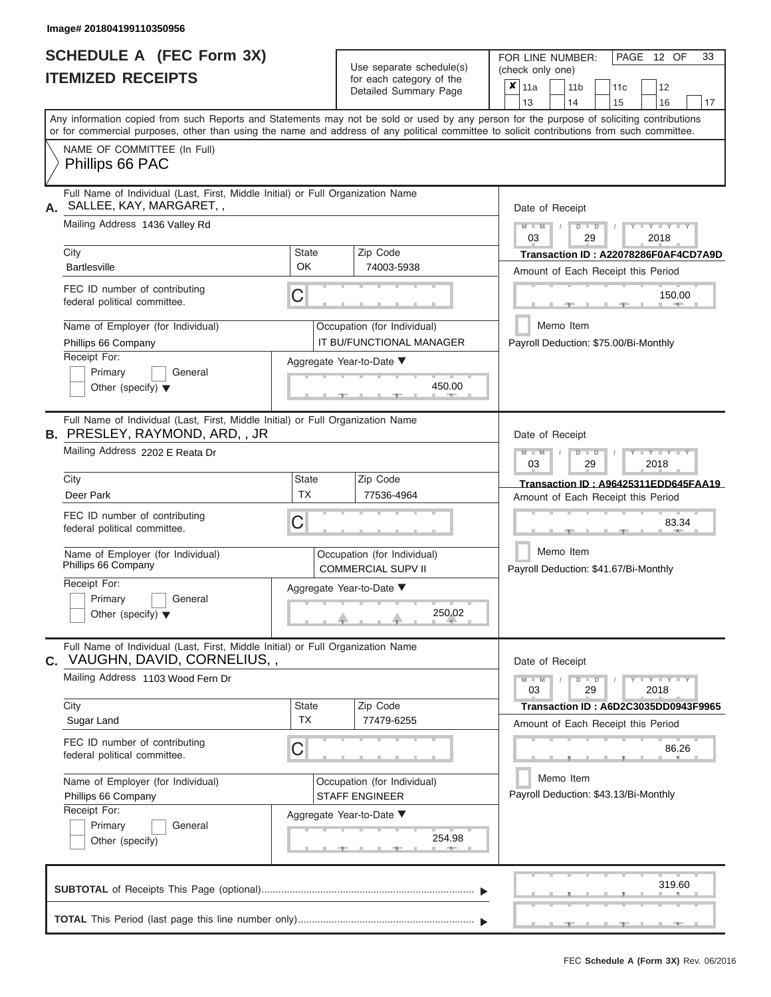ı

|                          | <b>SCHEDULE A (FEC Form 3X)</b> |
|--------------------------|---------------------------------|
| <b>ITEMIZED RECEIPTS</b> |                                 |

Use separate schedule(s) (check only one) (one)

FOR LINE NUMBER:

PAGE 12 OF 33

|                                                 |                                                                                                                   |                                                          | $\alpha$<br>Detailed Summary Page                                                                                                                                                                                                                                                       |                                       | $x \mid$ 11a                                          |       | 11 <sub>b</sub> |               | 11 <sub>c</sub> | 12                                    |    |  |  |  |  |
|-------------------------------------------------|-------------------------------------------------------------------------------------------------------------------|----------------------------------------------------------|-----------------------------------------------------------------------------------------------------------------------------------------------------------------------------------------------------------------------------------------------------------------------------------------|---------------------------------------|-------------------------------------------------------|-------|-----------------|---------------|-----------------|---------------------------------------|----|--|--|--|--|
|                                                 |                                                                                                                   |                                                          |                                                                                                                                                                                                                                                                                         |                                       | 13                                                    |       | 14              |               | 15              | 16                                    | 17 |  |  |  |  |
|                                                 |                                                                                                                   |                                                          | Any information copied from such Reports and Statements may not be sold or used by any person for the purpose of soliciting contributions<br>or for commercial purposes, other than using the name and address of any political committee to solicit contributions from such committee. |                                       |                                                       |       |                 |               |                 |                                       |    |  |  |  |  |
|                                                 | NAME OF COMMITTEE (In Full)                                                                                       |                                                          |                                                                                                                                                                                                                                                                                         |                                       |                                                       |       |                 |               |                 |                                       |    |  |  |  |  |
| Phillips 66 PAC                                 |                                                                                                                   |                                                          |                                                                                                                                                                                                                                                                                         |                                       |                                                       |       |                 |               |                 |                                       |    |  |  |  |  |
|                                                 | Full Name of Individual (Last, First, Middle Initial) or Full Organization Name<br>SALLEE, KAY, MARGARET,,        |                                                          |                                                                                                                                                                                                                                                                                         |                                       | Date of Receipt                                       |       |                 |               |                 |                                       |    |  |  |  |  |
|                                                 | Mailing Address 1436 Valley Rd                                                                                    |                                                          |                                                                                                                                                                                                                                                                                         |                                       | $Y = Y = Y$<br>$M - M$<br>$D$ $D$<br>2018<br>03<br>29 |       |                 |               |                 |                                       |    |  |  |  |  |
| City                                            |                                                                                                                   | <b>State</b>                                             | Zip Code                                                                                                                                                                                                                                                                                | Transaction ID: A22078286F0AF4CD7A9D  |                                                       |       |                 |               |                 |                                       |    |  |  |  |  |
| <b>Bartlesville</b>                             |                                                                                                                   | OK                                                       | 74003-5938                                                                                                                                                                                                                                                                              | Amount of Each Receipt this Period    |                                                       |       |                 |               |                 |                                       |    |  |  |  |  |
| federal political committee.                    | FEC ID number of contributing                                                                                     | С                                                        |                                                                                                                                                                                                                                                                                         |                                       |                                                       |       |                 |               |                 | 150.00<br>$\sim$                      |    |  |  |  |  |
|                                                 | Name of Employer (for Individual)                                                                                 |                                                          | Occupation (for Individual)                                                                                                                                                                                                                                                             |                                       |                                                       |       | Memo Item       |               |                 |                                       |    |  |  |  |  |
| Phillips 66 Company                             |                                                                                                                   |                                                          | IT BU/FUNCTIONAL MANAGER                                                                                                                                                                                                                                                                |                                       |                                                       |       |                 |               |                 | Payroll Deduction: \$75.00/Bi-Monthly |    |  |  |  |  |
| Receipt For:                                    |                                                                                                                   |                                                          | Aggregate Year-to-Date ▼                                                                                                                                                                                                                                                                |                                       |                                                       |       |                 |               |                 |                                       |    |  |  |  |  |
| Primary<br>Other (specify) $\blacktriangledown$ | General                                                                                                           |                                                          | 450.00                                                                                                                                                                                                                                                                                  |                                       |                                                       |       |                 |               |                 |                                       |    |  |  |  |  |
|                                                 | Full Name of Individual (Last, First, Middle Initial) or Full Organization Name<br>B. PRESLEY, RAYMOND, ARD, , JR |                                                          |                                                                                                                                                                                                                                                                                         |                                       | Date of Receipt                                       |       |                 |               |                 |                                       |    |  |  |  |  |
| Mailing Address 2202 E Reata Dr                 |                                                                                                                   |                                                          |                                                                                                                                                                                                                                                                                         |                                       | $M - M$<br>Y TYT<br>$D$ $D$<br>03<br>29<br>2018       |       |                 |               |                 |                                       |    |  |  |  |  |
| City                                            |                                                                                                                   | State                                                    |                                                                                                                                                                                                                                                                                         | Transaction ID: A96425311EDD645FAA19  |                                                       |       |                 |               |                 |                                       |    |  |  |  |  |
| Deer Park                                       |                                                                                                                   | <b>TX</b>                                                | 77536-4964                                                                                                                                                                                                                                                                              | Amount of Each Receipt this Period    |                                                       |       |                 |               |                 |                                       |    |  |  |  |  |
| federal political committee.                    | FEC ID number of contributing                                                                                     | С                                                        |                                                                                                                                                                                                                                                                                         |                                       |                                                       |       |                 |               | 83.34           |                                       |    |  |  |  |  |
| Phillips 66 Company                             | Name of Employer (for Individual)                                                                                 | Occupation (for Individual)<br><b>COMMERCIAL SUPV II</b> | Memo Item<br>Payroll Deduction: \$41.67/Bi-Monthly                                                                                                                                                                                                                                      |                                       |                                                       |       |                 |               |                 |                                       |    |  |  |  |  |
| Receipt For:                                    |                                                                                                                   | Aggregate Year-to-Date ▼                                 |                                                                                                                                                                                                                                                                                         |                                       |                                                       |       |                 |               |                 |                                       |    |  |  |  |  |
| Primary                                         | General                                                                                                           |                                                          |                                                                                                                                                                                                                                                                                         |                                       |                                                       |       |                 |               |                 |                                       |    |  |  |  |  |
| Other (specify) $\blacktriangledown$            |                                                                                                                   |                                                          |                                                                                                                                                                                                                                                                                         |                                       |                                                       |       |                 |               |                 |                                       |    |  |  |  |  |
|                                                 | Full Name of Individual (Last, First, Middle Initial) or Full Organization Name<br>C. VAUGHN, DAVID, CORNELIUS,,  |                                                          |                                                                                                                                                                                                                                                                                         |                                       | Date of Receipt                                       |       |                 |               |                 |                                       |    |  |  |  |  |
|                                                 | Mailing Address 1103 Wood Fern Dr                                                                                 |                                                          |                                                                                                                                                                                                                                                                                         |                                       | $M - M$<br>03                                         |       |                 | $D$ $D$<br>29 |                 | $Y - Y - Y - Y + Y$<br>2018           |    |  |  |  |  |
| City                                            |                                                                                                                   | State                                                    | Zip Code                                                                                                                                                                                                                                                                                |                                       |                                                       |       |                 |               |                 | Transaction ID: A6D2C3035DD0943F9965  |    |  |  |  |  |
| Sugar Land                                      |                                                                                                                   | <b>TX</b>                                                | 77479-6255                                                                                                                                                                                                                                                                              |                                       |                                                       |       |                 |               |                 | Amount of Each Receipt this Period    |    |  |  |  |  |
| federal political committee.                    | FEC ID number of contributing                                                                                     | С                                                        |                                                                                                                                                                                                                                                                                         |                                       |                                                       | 86.26 |                 |               |                 |                                       |    |  |  |  |  |
|                                                 | Name of Employer (for Individual)                                                                                 |                                                          | Occupation (for Individual)                                                                                                                                                                                                                                                             |                                       |                                                       |       | Memo Item       |               |                 |                                       |    |  |  |  |  |
| Phillips 66 Company                             |                                                                                                                   |                                                          | <b>STAFF ENGINEER</b>                                                                                                                                                                                                                                                                   | Payroll Deduction: \$43.13/Bi-Monthly |                                                       |       |                 |               |                 |                                       |    |  |  |  |  |
| Receipt For:                                    |                                                                                                                   |                                                          | Aggregate Year-to-Date ▼                                                                                                                                                                                                                                                                |                                       |                                                       |       |                 |               |                 |                                       |    |  |  |  |  |
| Primary                                         | General                                                                                                           |                                                          | 254.98                                                                                                                                                                                                                                                                                  |                                       |                                                       |       |                 |               |                 |                                       |    |  |  |  |  |
| Other (specify)                                 |                                                                                                                   |                                                          |                                                                                                                                                                                                                                                                                         |                                       |                                                       |       |                 |               |                 |                                       |    |  |  |  |  |
|                                                 |                                                                                                                   |                                                          |                                                                                                                                                                                                                                                                                         |                                       |                                                       |       |                 |               |                 | 319.60                                |    |  |  |  |  |
|                                                 |                                                                                                                   |                                                          |                                                                                                                                                                                                                                                                                         |                                       |                                                       |       |                 |               |                 |                                       |    |  |  |  |  |
|                                                 |                                                                                                                   |                                                          |                                                                                                                                                                                                                                                                                         |                                       |                                                       |       |                 |               |                 |                                       |    |  |  |  |  |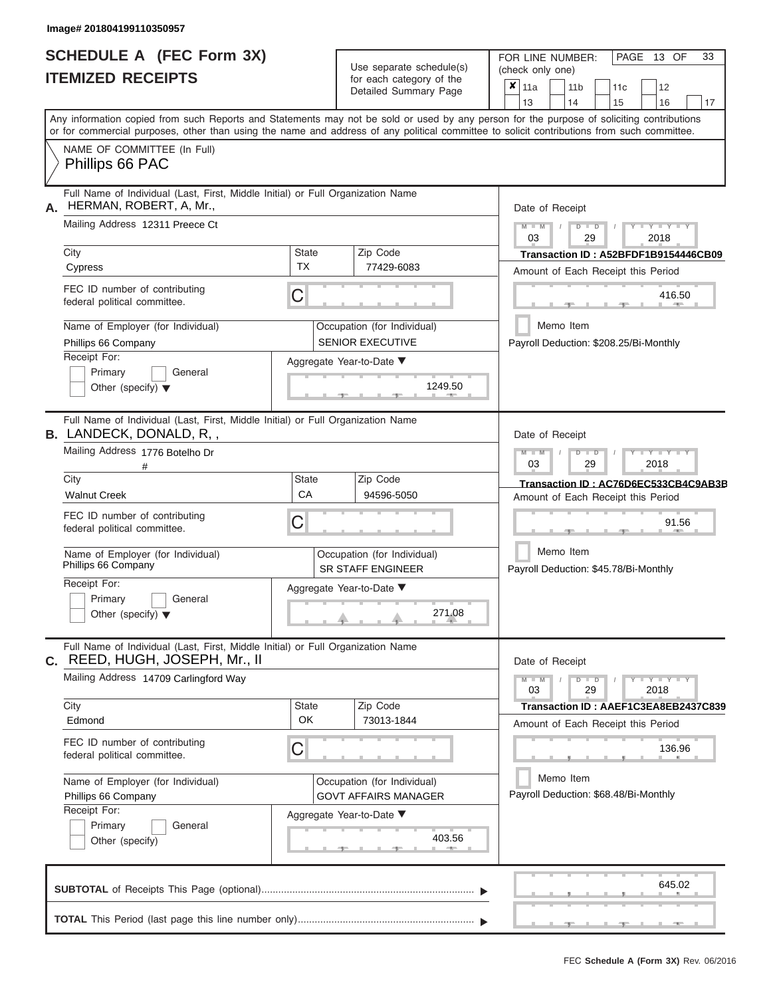|                          | <b>SCHEDULE A (FEC Form 3X)</b> |
|--------------------------|---------------------------------|
| <b>ITEMIZED RECEIPTS</b> |                                 |

Use separate schedule(s)<br>for each category of the

FOR LINE NUMBER:

PAGE 13 OF 33

| <b>ITEMIZED RECEIPTS</b> |                                                                                                                                                                                                                                                                                         |                                                       | Use separate schedule(s)<br>for each category of the       | (check only one)                                                              |  |  |  |  |
|--------------------------|-----------------------------------------------------------------------------------------------------------------------------------------------------------------------------------------------------------------------------------------------------------------------------------------|-------------------------------------------------------|------------------------------------------------------------|-------------------------------------------------------------------------------|--|--|--|--|
|                          |                                                                                                                                                                                                                                                                                         |                                                       | Detailed Summary Page                                      | $x \vert_{11a}$<br>12<br>11 <sub>b</sub><br>11c<br>13<br>15<br>16<br>14<br>17 |  |  |  |  |
|                          | Any information copied from such Reports and Statements may not be sold or used by any person for the purpose of soliciting contributions<br>or for commercial purposes, other than using the name and address of any political committee to solicit contributions from such committee. |                                                       |                                                            |                                                                               |  |  |  |  |
|                          | NAME OF COMMITTEE (In Full)<br>Phillips 66 PAC                                                                                                                                                                                                                                          |                                                       |                                                            |                                                                               |  |  |  |  |
| А.                       | Full Name of Individual (Last, First, Middle Initial) or Full Organization Name<br>HERMAN, ROBERT, A, Mr.,                                                                                                                                                                              |                                                       |                                                            | Date of Receipt                                                               |  |  |  |  |
|                          | Mailing Address 12311 Preece Ct                                                                                                                                                                                                                                                         | $Y = Y = Y$<br>$M - M$<br>$D$ $D$<br>03<br>29<br>2018 |                                                            |                                                                               |  |  |  |  |
|                          | City<br>Cypress                                                                                                                                                                                                                                                                         | <b>State</b><br><b>TX</b>                             | Zip Code<br>77429-6083                                     | Transaction ID: A52BFDF1B9154446CB09<br>Amount of Each Receipt this Period    |  |  |  |  |
|                          | FEC ID number of contributing<br>federal political committee.                                                                                                                                                                                                                           | C                                                     |                                                            | 416.50                                                                        |  |  |  |  |
|                          | Name of Employer (for Individual)<br>Phillips 66 Company                                                                                                                                                                                                                                |                                                       | Occupation (for Individual)<br><b>SENIOR EXECUTIVE</b>     | Memo Item<br>Payroll Deduction: \$208.25/Bi-Monthly                           |  |  |  |  |
|                          | Receipt For:<br>Primary<br>General<br>Other (specify) $\blacktriangledown$                                                                                                                                                                                                              | Aggregate Year-to-Date ▼<br>1249.50                   |                                                            |                                                                               |  |  |  |  |
|                          | Full Name of Individual (Last, First, Middle Initial) or Full Organization Name<br><b>B.</b> LANDECK, DONALD, R, ,                                                                                                                                                                      |                                                       |                                                            | Date of Receipt                                                               |  |  |  |  |
|                          | Mailing Address 1776 Botelho Dr<br>#                                                                                                                                                                                                                                                    |                                                       |                                                            | $M - M$<br>Y I Y I Y<br>$D$ $\Box$ $D$<br>03<br>29<br>2018                    |  |  |  |  |
|                          | City<br><b>Walnut Creek</b>                                                                                                                                                                                                                                                             | <b>State</b><br>CA                                    | Zip Code<br>94596-5050                                     | Transaction ID: AC76D6EC533CB4C9AB3B<br>Amount of Each Receipt this Period    |  |  |  |  |
|                          | FEC ID number of contributing<br>C<br>federal political committee.                                                                                                                                                                                                                      |                                                       |                                                            | 91.56                                                                         |  |  |  |  |
|                          | Name of Employer (for Individual)<br>Phillips 66 Company                                                                                                                                                                                                                                |                                                       | Occupation (for Individual)<br><b>SR STAFF ENGINEER</b>    | Memo Item<br>Payroll Deduction: \$45.78/Bi-Monthly                            |  |  |  |  |
|                          | Receipt For:<br>Primary<br>General<br>Other (specify) $\blacktriangledown$                                                                                                                                                                                                              |                                                       | Aggregate Year-to-Date ▼<br>271.08                         |                                                                               |  |  |  |  |
|                          | Full Name of Individual (Last, First, Middle Initial) or Full Organization Name<br>C. REED, HUGH, JOSEPH, Mr., II                                                                                                                                                                       |                                                       |                                                            | Date of Receipt                                                               |  |  |  |  |
|                          | Mailing Address 14709 Carlingford Way                                                                                                                                                                                                                                                   |                                                       |                                                            | $Y = Y = Y = Y$<br>$M - M$<br>$D$ $D$<br>03<br>29<br>2018                     |  |  |  |  |
|                          | City<br>Edmond                                                                                                                                                                                                                                                                          | <b>State</b><br>OK                                    | Zip Code<br>73013-1844                                     | Transaction ID: AAEF1C3EA8EB2437C839<br>Amount of Each Receipt this Period    |  |  |  |  |
|                          | FEC ID number of contributing<br>federal political committee.                                                                                                                                                                                                                           | С                                                     |                                                            | 136.96                                                                        |  |  |  |  |
|                          | Name of Employer (for Individual)<br>Phillips 66 Company                                                                                                                                                                                                                                |                                                       | Occupation (for Individual)<br><b>GOVT AFFAIRS MANAGER</b> | Memo Item<br>Payroll Deduction: \$68.48/Bi-Monthly                            |  |  |  |  |
|                          | Receipt For:<br>Primary<br>General<br>Other (specify)                                                                                                                                                                                                                                   |                                                       | Aggregate Year-to-Date ▼<br>403.56<br>48.75                |                                                                               |  |  |  |  |
|                          |                                                                                                                                                                                                                                                                                         |                                                       |                                                            | 645.02                                                                        |  |  |  |  |
|                          |                                                                                                                                                                                                                                                                                         |                                                       |                                                            |                                                                               |  |  |  |  |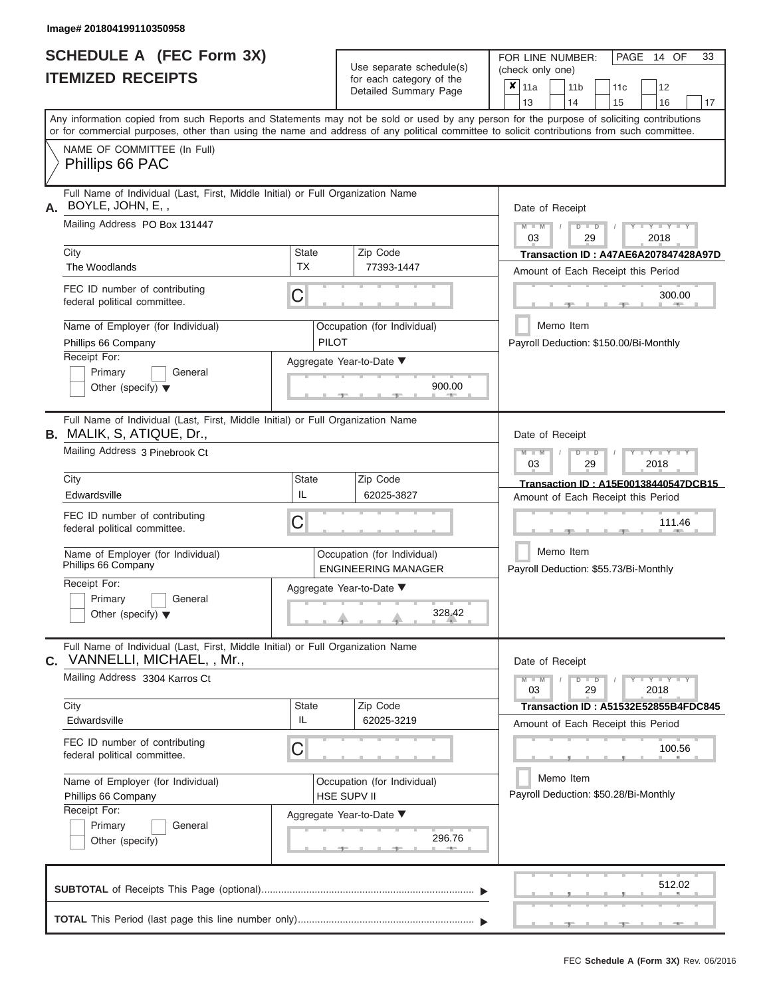|                          | <b>SCHEDULE A (FEC Form 3X)</b> |  |
|--------------------------|---------------------------------|--|
| <b>ITEMIZED RECEIPTS</b> |                                 |  |

Use separate schedule(s)<br>for each category of the

FOR LINE NUMBER:<br>(check only one)

PAGE 14 OF 33

|                                                                                                                                                                                                                                                                                         |                          | Detailed Summary Page                                     |        |                 |                                                    |                                                        |                                       |                                             |    |  |  |
|-----------------------------------------------------------------------------------------------------------------------------------------------------------------------------------------------------------------------------------------------------------------------------------------|--------------------------|-----------------------------------------------------------|--------|-----------------|----------------------------------------------------|--------------------------------------------------------|---------------------------------------|---------------------------------------------|----|--|--|
|                                                                                                                                                                                                                                                                                         |                          |                                                           |        | 13              |                                                    | 14                                                     | 15                                    | 16                                          | 17 |  |  |
| Any information copied from such Reports and Statements may not be sold or used by any person for the purpose of soliciting contributions<br>or for commercial purposes, other than using the name and address of any political committee to solicit contributions from such committee. |                          |                                                           |        |                 |                                                    |                                                        |                                       |                                             |    |  |  |
| NAME OF COMMITTEE (In Full)<br>Phillips 66 PAC                                                                                                                                                                                                                                          |                          |                                                           |        |                 |                                                    |                                                        |                                       |                                             |    |  |  |
| Full Name of Individual (Last, First, Middle Initial) or Full Organization Name<br>BOYLE, JOHN, E,,                                                                                                                                                                                     |                          |                                                           |        | Date of Receipt |                                                    |                                                        |                                       |                                             |    |  |  |
| Mailing Address PO Box 131447                                                                                                                                                                                                                                                           |                          |                                                           |        | $M = M$ /<br>03 |                                                    | $D$ $D$<br>29                                          |                                       | $Y - Y - Y$<br>2018                         |    |  |  |
| City                                                                                                                                                                                                                                                                                    | <b>State</b>             | Zip Code                                                  |        |                 |                                                    |                                                        |                                       | Transaction ID: A47AE6A207847428A97D        |    |  |  |
| The Woodlands                                                                                                                                                                                                                                                                           | <b>TX</b>                | 77393-1447                                                |        |                 |                                                    |                                                        |                                       | Amount of Each Receipt this Period          |    |  |  |
| FEC ID number of contributing<br>federal political committee.                                                                                                                                                                                                                           | C                        |                                                           |        |                 |                                                    |                                                        | $-9 -$                                | 300.00<br>11 - 2005 -                       |    |  |  |
| Name of Employer (for Individual)<br>Phillips 66 Company                                                                                                                                                                                                                                | <b>PILOT</b>             | Occupation (for Individual)                               |        |                 |                                                    | Memo Item                                              |                                       | Payroll Deduction: \$150.00/Bi-Monthly      |    |  |  |
| Receipt For:                                                                                                                                                                                                                                                                            |                          |                                                           |        |                 |                                                    |                                                        |                                       |                                             |    |  |  |
| Primary<br>General                                                                                                                                                                                                                                                                      |                          | Aggregate Year-to-Date ▼                                  |        |                 |                                                    |                                                        |                                       |                                             |    |  |  |
| Other (specify) $\blacktriangledown$                                                                                                                                                                                                                                                    |                          | 900.00<br><b>Britannia</b><br>$-1-$                       |        |                 |                                                    |                                                        |                                       |                                             |    |  |  |
| Full Name of Individual (Last, First, Middle Initial) or Full Organization Name<br><b>B.</b> MALIK, S, ATIQUE, Dr.,                                                                                                                                                                     |                          |                                                           |        |                 |                                                    | Date of Receipt                                        |                                       |                                             |    |  |  |
| Mailing Address 3 Pinebrook Ct                                                                                                                                                                                                                                                          |                          |                                                           |        |                 |                                                    | $M - M$<br>$D$ $D$<br>$-Y - Y - Y$<br>03<br>29<br>2018 |                                       |                                             |    |  |  |
| City                                                                                                                                                                                                                                                                                    | <b>State</b>             | Zip Code                                                  |        |                 |                                                    |                                                        |                                       | Transaction ID: A15E00138440547DCB15        |    |  |  |
| Edwardsville                                                                                                                                                                                                                                                                            | IL                       | 62025-3827                                                |        |                 |                                                    |                                                        |                                       | Amount of Each Receipt this Period          |    |  |  |
| FEC ID number of contributing<br>federal political committee.                                                                                                                                                                                                                           | C                        |                                                           | 111.46 |                 |                                                    |                                                        |                                       |                                             |    |  |  |
| Name of Employer (for Individual)<br>Phillips 66 Company                                                                                                                                                                                                                                |                          | Occupation (for Individual)<br><b>ENGINEERING MANAGER</b> |        |                 | Memo Item<br>Payroll Deduction: \$55.73/Bi-Monthly |                                                        |                                       |                                             |    |  |  |
| Receipt For:                                                                                                                                                                                                                                                                            |                          | Aggregate Year-to-Date ▼                                  |        |                 |                                                    |                                                        |                                       |                                             |    |  |  |
| Primary<br>General<br>Other (specify) $\blacktriangledown$                                                                                                                                                                                                                              |                          | 328.42                                                    |        |                 |                                                    |                                                        |                                       |                                             |    |  |  |
| Full Name of Individual (Last, First, Middle Initial) or Full Organization Name<br>VANNELLI, MICHAEL, , Mr.,<br>C.                                                                                                                                                                      |                          |                                                           |        | Date of Receipt |                                                    |                                                        |                                       |                                             |    |  |  |
| Mailing Address 3304 Karros Ct                                                                                                                                                                                                                                                          |                          |                                                           |        | $M - M$<br>03   |                                                    | $D$ $D$<br>29                                          |                                       | $T - Y - T - Y - T - Y$<br>2018             |    |  |  |
| City                                                                                                                                                                                                                                                                                    | State                    | Zip Code                                                  |        |                 |                                                    |                                                        |                                       | <b>Transaction ID: A51532E52855B4FDC845</b> |    |  |  |
| Edwardsville                                                                                                                                                                                                                                                                            | IL                       | 62025-3219                                                |        |                 |                                                    |                                                        |                                       | Amount of Each Receipt this Period          |    |  |  |
| FEC ID number of contributing<br>federal political committee.                                                                                                                                                                                                                           | C                        |                                                           |        |                 |                                                    |                                                        |                                       | 100.56                                      |    |  |  |
| Name of Employer (for Individual)                                                                                                                                                                                                                                                       |                          | Occupation (for Individual)                               |        |                 |                                                    | Memo Item                                              |                                       |                                             |    |  |  |
| Phillips 66 Company                                                                                                                                                                                                                                                                     |                          | HSE SUPV II                                               |        |                 |                                                    |                                                        | Payroll Deduction: \$50.28/Bi-Monthly |                                             |    |  |  |
| Receipt For:                                                                                                                                                                                                                                                                            | Aggregate Year-to-Date ▼ |                                                           |        |                 |                                                    |                                                        |                                       |                                             |    |  |  |
| Primary<br>General<br>Other (specify)                                                                                                                                                                                                                                                   |                          | 296.76                                                    |        |                 |                                                    |                                                        |                                       |                                             |    |  |  |
|                                                                                                                                                                                                                                                                                         |                          |                                                           |        |                 |                                                    |                                                        |                                       | 512.02                                      |    |  |  |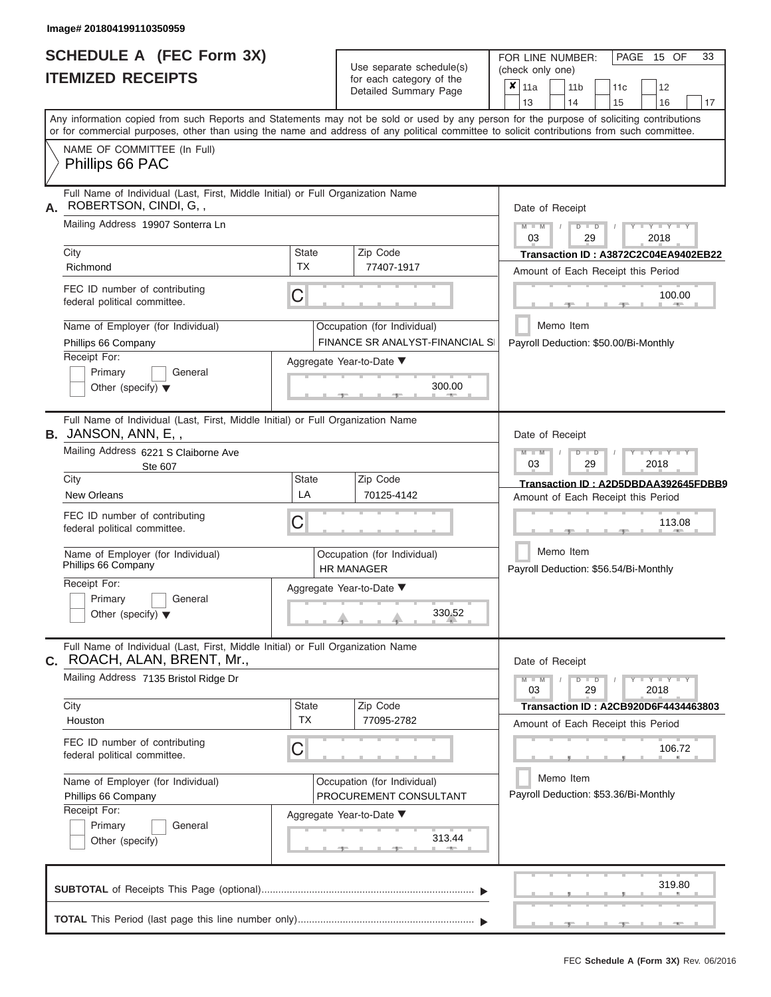ı

|                          | <b>SCHEDULE A (FEC Form 3X)</b> |
|--------------------------|---------------------------------|
| <b>ITEMIZED RECEIPTS</b> |                                 |

Use separate schedule(s)<br>for each category of the

FOR LINE NUMBER:

PAGE 15 OF 33

| <b>ITEMIZED RECEIPTS</b>                                                                                       |                    | Use separate schedule(s)<br>for each category of the<br>Detailed Summary Page | (check only one)<br>$\boldsymbol{x}$   11a<br>12<br>11 <sub>b</sub><br>11c                                                                                                                                                                                                              |
|----------------------------------------------------------------------------------------------------------------|--------------------|-------------------------------------------------------------------------------|-----------------------------------------------------------------------------------------------------------------------------------------------------------------------------------------------------------------------------------------------------------------------------------------|
|                                                                                                                |                    |                                                                               | 13<br>14<br>15<br>16<br>17                                                                                                                                                                                                                                                              |
|                                                                                                                |                    |                                                                               | Any information copied from such Reports and Statements may not be sold or used by any person for the purpose of soliciting contributions<br>or for commercial purposes, other than using the name and address of any political committee to solicit contributions from such committee. |
| NAME OF COMMITTEE (In Full)<br>Phillips 66 PAC                                                                 |                    |                                                                               |                                                                                                                                                                                                                                                                                         |
| Full Name of Individual (Last, First, Middle Initial) or Full Organization Name<br>ROBERTSON, CINDI, G,,<br>А. |                    |                                                                               | Date of Receipt                                                                                                                                                                                                                                                                         |
| Mailing Address 19907 Sonterra Ln                                                                              |                    |                                                                               | $Y - Y - Y$<br>$M - M$<br>$D$ $D$<br>03<br>29<br>2018                                                                                                                                                                                                                                   |
| City<br>Richmond                                                                                               | State<br><b>TX</b> | Zip Code<br>77407-1917                                                        | Transaction ID: A3872C2C04EA9402EB22<br>Amount of Each Receipt this Period                                                                                                                                                                                                              |
| FEC ID number of contributing<br>federal political committee.                                                  | $\mathsf C$        |                                                                               | 100.00                                                                                                                                                                                                                                                                                  |
| Name of Employer (for Individual)<br>Phillips 66 Company                                                       |                    | Occupation (for Individual)<br><b>FINANCE SR ANALYST-FINANCIAL SI</b>         | Memo Item<br>Payroll Deduction: \$50.00/Bi-Monthly                                                                                                                                                                                                                                      |
| Receipt For:<br>Primary<br>General<br>Other (specify) $\blacktriangledown$                                     |                    | Aggregate Year-to-Date ▼<br>300.00                                            |                                                                                                                                                                                                                                                                                         |
| Full Name of Individual (Last, First, Middle Initial) or Full Organization Name<br><b>B.</b> JANSON, ANN, E,,  |                    |                                                                               | Date of Receipt                                                                                                                                                                                                                                                                         |
| Mailing Address 6221 S Claiborne Ave<br><b>Ste 607</b>                                                         |                    |                                                                               | $M - M$<br>Y TYT<br>$D$ $D$<br>03<br>29<br>2018                                                                                                                                                                                                                                         |
| City<br>New Orleans                                                                                            | State<br>LA        | Zip Code<br>70125-4142                                                        | Transaction ID: A2D5DBDAA392645FDBB9<br>Amount of Each Receipt this Period                                                                                                                                                                                                              |
| FEC ID number of contributing<br>federal political committee.                                                  | C                  |                                                                               | 113.08                                                                                                                                                                                                                                                                                  |
| Name of Employer (for Individual)<br>Phillips 66 Company                                                       |                    | Occupation (for Individual)<br><b>HR MANAGER</b>                              | Memo Item<br>Payroll Deduction: \$56.54/Bi-Monthly                                                                                                                                                                                                                                      |
| Receipt For:<br>Primary<br>General<br>Other (specify) $\blacktriangledown$                                     |                    | Aggregate Year-to-Date ▼<br>330.52                                            |                                                                                                                                                                                                                                                                                         |
| Full Name of Individual (Last, First, Middle Initial) or Full Organization Name<br>C. ROACH, ALAN, BRENT, Mr., |                    |                                                                               | Date of Receipt                                                                                                                                                                                                                                                                         |
| Mailing Address 7135 Bristol Ridge Dr                                                                          |                    |                                                                               | $Y - Y - Y - Y - Y$<br>$M - M$<br>$D$ $\Box$ $D$<br>29<br>03<br>2018                                                                                                                                                                                                                    |
| City<br>Houston                                                                                                | State<br><b>TX</b> | Zip Code<br>77095-2782                                                        | Transaction ID: A2CB920D6F4434463803                                                                                                                                                                                                                                                    |
| FEC ID number of contributing<br>federal political committee.                                                  | C                  |                                                                               | Amount of Each Receipt this Period<br>106.72                                                                                                                                                                                                                                            |
| Name of Employer (for Individual)<br>Phillips 66 Company                                                       |                    | Occupation (for Individual)<br>PROCUREMENT CONSULTANT                         | Memo Item<br>Payroll Deduction: \$53.36/Bi-Monthly                                                                                                                                                                                                                                      |
| Receipt For:<br>Primary<br>General<br>Other (specify)                                                          |                    | Aggregate Year-to-Date ▼<br>313.44<br><b>AND IN</b>                           |                                                                                                                                                                                                                                                                                         |
|                                                                                                                |                    |                                                                               | 319.80                                                                                                                                                                                                                                                                                  |
|                                                                                                                |                    |                                                                               |                                                                                                                                                                                                                                                                                         |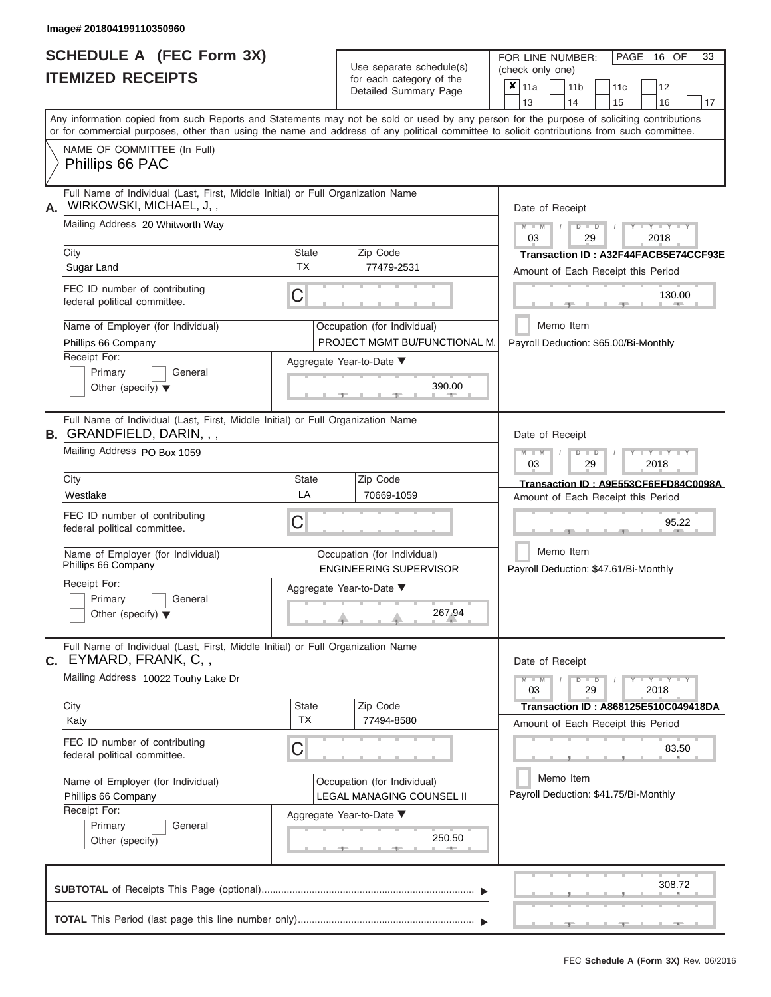ı

|                          | <b>SCHEDULE A (FEC Form 3X)</b> |
|--------------------------|---------------------------------|
| <b>ITEMIZED RECEIPTS</b> |                                 |

Use separate schedule(s)<br>for each category of the

FOR LINE NUMBER:

PAGE 16 OF 33

| <b>ITEMIZED RECEIPTS</b>                                                                                                                   |                           | Use separate schedule(s)                                     | (check only one)                                                                                                                          |  |  |  |  |  |
|--------------------------------------------------------------------------------------------------------------------------------------------|---------------------------|--------------------------------------------------------------|-------------------------------------------------------------------------------------------------------------------------------------------|--|--|--|--|--|
|                                                                                                                                            |                           | for each category of the<br>Detailed Summary Page            | $x _{11a}$<br>12<br>11 <sub>b</sub><br>11 <sub>c</sub><br>13<br>14<br>15<br>16<br>17                                                      |  |  |  |  |  |
| or for commercial purposes, other than using the name and address of any political committee to solicit contributions from such committee. |                           |                                                              | Any information copied from such Reports and Statements may not be sold or used by any person for the purpose of soliciting contributions |  |  |  |  |  |
| NAME OF COMMITTEE (In Full)<br>Phillips 66 PAC                                                                                             |                           |                                                              |                                                                                                                                           |  |  |  |  |  |
| Full Name of Individual (Last, First, Middle Initial) or Full Organization Name<br>WIRKOWSKI, MICHAEL, J,,<br>А.                           |                           |                                                              | Date of Receipt                                                                                                                           |  |  |  |  |  |
| Mailing Address 20 Whitworth Way                                                                                                           |                           |                                                              | $-Y - Y - Y - Y$<br>$M - M$<br>$D$ $\Box$ $D$<br>03<br>29<br>2018                                                                         |  |  |  |  |  |
| City<br>Sugar Land                                                                                                                         | <b>State</b><br><b>TX</b> | Zip Code<br>77479-2531                                       | Transaction ID: A32F44FACB5E74CCF93E<br>Amount of Each Receipt this Period                                                                |  |  |  |  |  |
| FEC ID number of contributing<br>federal political committee.                                                                              | C                         |                                                              | 130.00                                                                                                                                    |  |  |  |  |  |
| Name of Employer (for Individual)<br>Phillips 66 Company                                                                                   |                           | Occupation (for Individual)<br>PROJECT MGMT BU/FUNCTIONAL M. | Memo Item<br>Payroll Deduction: \$65.00/Bi-Monthly                                                                                        |  |  |  |  |  |
| Receipt For:<br>Primary<br>General<br>Other (specify) $\blacktriangledown$                                                                 |                           | Aggregate Year-to-Date ▼<br>390.00                           |                                                                                                                                           |  |  |  |  |  |
| Full Name of Individual (Last, First, Middle Initial) or Full Organization Name<br><b>B.</b> GRANDFIELD, DARIN, , ,                        |                           |                                                              | Date of Receipt                                                                                                                           |  |  |  |  |  |
| Mailing Address PO Box 1059                                                                                                                |                           |                                                              |                                                                                                                                           |  |  |  |  |  |
| City<br>Westlake                                                                                                                           | State<br>LA               | Zip Code<br>70669-1059                                       | Transaction ID: A9E553CF6EFD84C0098A<br>Amount of Each Receipt this Period                                                                |  |  |  |  |  |
| FEC ID number of contributing<br>federal political committee.                                                                              | С                         | 95.22                                                        |                                                                                                                                           |  |  |  |  |  |
| Name of Employer (for Individual)<br>Phillips 66 Company                                                                                   |                           | Occupation (for Individual)<br><b>ENGINEERING SUPERVISOR</b> | Memo Item<br>Payroll Deduction: \$47.61/Bi-Monthly                                                                                        |  |  |  |  |  |
| Receipt For:<br>Primary<br>General<br>Other (specify) $\blacktriangledown$                                                                 |                           | Aggregate Year-to-Date ▼<br>267.94                           |                                                                                                                                           |  |  |  |  |  |
| Full Name of Individual (Last, First, Middle Initial) or Full Organization Name<br><b>C.</b> EYMARD, FRANK, C, ,                           |                           |                                                              | Date of Receipt                                                                                                                           |  |  |  |  |  |
| Mailing Address 10022 Touhy Lake Dr                                                                                                        |                           |                                                              | $Y - Y - Y - Y - Y$<br>$M - M$<br>$D$ $D$<br>03<br>29<br>2018                                                                             |  |  |  |  |  |
| City<br>Katy                                                                                                                               | State<br><b>TX</b>        | Zip Code<br>77494-8580                                       | Transaction ID: A868125E510C049418DA<br>Amount of Each Receipt this Period                                                                |  |  |  |  |  |
| FEC ID number of contributing<br>federal political committee.                                                                              | C                         |                                                              | 83.50                                                                                                                                     |  |  |  |  |  |
| Name of Employer (for Individual)<br>Phillips 66 Company                                                                                   |                           | Occupation (for Individual)<br>LEGAL MANAGING COUNSEL II     | Memo Item<br>Payroll Deduction: \$41.75/Bi-Monthly                                                                                        |  |  |  |  |  |
| Receipt For:<br>Primary<br>General<br>Other (specify)                                                                                      |                           | Aggregate Year-to-Date ▼<br>250.50<br>A                      |                                                                                                                                           |  |  |  |  |  |
|                                                                                                                                            |                           |                                                              | 308.72                                                                                                                                    |  |  |  |  |  |
|                                                                                                                                            |                           |                                                              |                                                                                                                                           |  |  |  |  |  |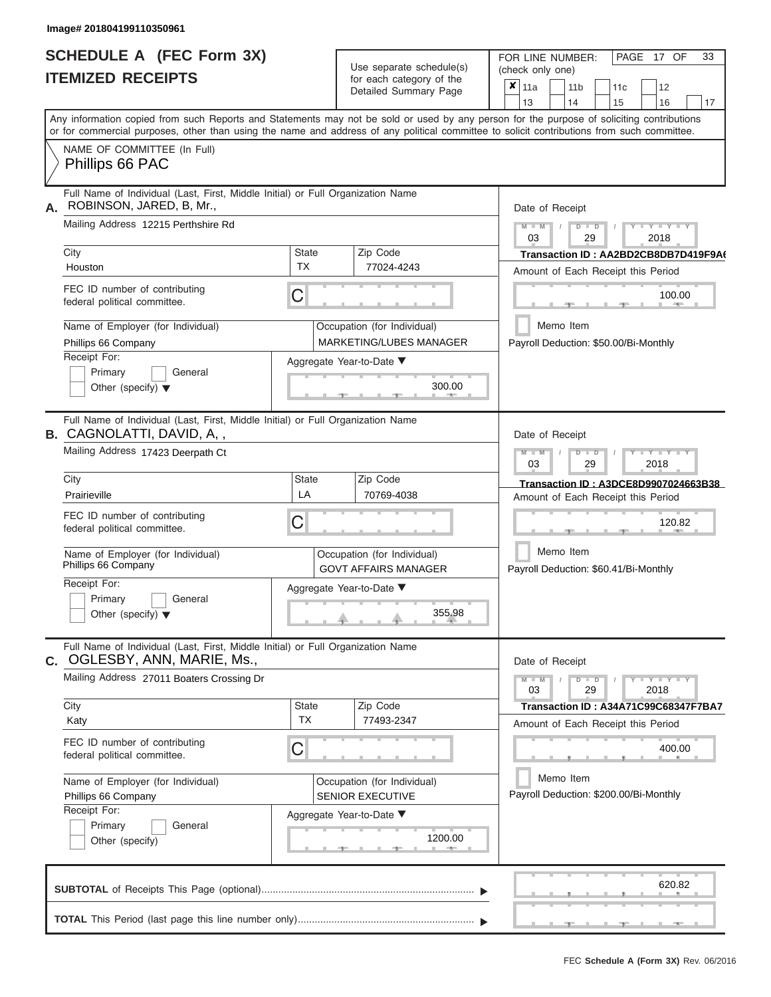|                          | SCHEDULE A (FEC Form 3X) |
|--------------------------|--------------------------|
| <b>ITEMIZED RECEIPTS</b> |                          |

Use separate schedule(s)<br>for each category of the

FOR LINE NUMBER:<br>(check only one)

PAGE 17 OF 33

|                                                                                                                                            |                                                               | ivi vavii valvyviy vi liiv<br>Detailed Summary Page    | ×                                                                          | 11a             |                                                     | 11 <sub>b</sub> |                                                                                                                                | 11 <sub>c</sub> | 12                                                                         |    |  |  |
|--------------------------------------------------------------------------------------------------------------------------------------------|---------------------------------------------------------------|--------------------------------------------------------|----------------------------------------------------------------------------|-----------------|-----------------------------------------------------|-----------------|--------------------------------------------------------------------------------------------------------------------------------|-----------------|----------------------------------------------------------------------------|----|--|--|
| Any information copied from such Reports and Statements may not be sold or used by any person for the purpose of soliciting contributions  |                                                               |                                                        |                                                                            | 13              |                                                     | 14              |                                                                                                                                | 15              | 16                                                                         | 17 |  |  |
| or for commercial purposes, other than using the name and address of any political committee to solicit contributions from such committee. |                                                               |                                                        |                                                                            |                 |                                                     |                 |                                                                                                                                |                 |                                                                            |    |  |  |
| NAME OF COMMITTEE (In Full)<br>Phillips 66 PAC                                                                                             |                                                               |                                                        |                                                                            |                 |                                                     |                 |                                                                                                                                |                 |                                                                            |    |  |  |
| Full Name of Individual (Last, First, Middle Initial) or Full Organization Name<br>ROBINSON, JARED, B, Mr.,<br>А.                          |                                                               |                                                        |                                                                            | Date of Receipt |                                                     |                 |                                                                                                                                |                 |                                                                            |    |  |  |
| Mailing Address 12215 Perthshire Rd                                                                                                        |                                                               |                                                        |                                                                            | $M - M$<br>03   |                                                     |                 | $D$ $D$<br>29                                                                                                                  |                 | $Y - Y - Y$<br>2018                                                        |    |  |  |
| City<br>Houston                                                                                                                            | <b>State</b><br><b>TX</b>                                     | Zip Code<br>77024-4243                                 |                                                                            |                 |                                                     |                 |                                                                                                                                |                 | Transaction ID: AA2BD2CB8DB7D419F9A6<br>Amount of Each Receipt this Period |    |  |  |
| FEC ID number of contributing<br>federal political committee.                                                                              | С                                                             |                                                        |                                                                            |                 |                                                     |                 |                                                                                                                                |                 | 100.00<br><b>British Allen</b>                                             |    |  |  |
| Name of Employer (for Individual)<br>Phillips 66 Company                                                                                   | Occupation (for Individual)<br><b>MARKETING/LUBES MANAGER</b> |                                                        |                                                                            |                 | Memo Item                                           |                 |                                                                                                                                |                 | Payroll Deduction: \$50.00/Bi-Monthly                                      |    |  |  |
| Receipt For:<br>Primary<br>General<br>Other (specify) $\blacktriangledown$                                                                 | Aggregate Year-to-Date ▼<br>300.00<br>- 40                    |                                                        |                                                                            |                 |                                                     |                 |                                                                                                                                |                 |                                                                            |    |  |  |
| Full Name of Individual (Last, First, Middle Initial) or Full Organization Name<br><b>B.</b> CAGNOLATTI, DAVID, A,,                        |                                                               |                                                        | Date of Receipt                                                            |                 |                                                     |                 |                                                                                                                                |                 |                                                                            |    |  |  |
| Mailing Address 17423 Deerpath Ct                                                                                                          |                                                               |                                                        |                                                                            |                 |                                                     |                 | $M - M$<br>$D$ $\Box$ $D$<br>$\blacksquare$ $\vdash$ $\vdash$ $\vdash$ $\vdash$ $\vdash$ $\vdash$ $\vdash$<br>03<br>2018<br>29 |                 |                                                                            |    |  |  |
| City<br>Prairieville                                                                                                                       | State<br>LA                                                   |                                                        | Transaction ID: A3DCE8D9907024663B38<br>Amount of Each Receipt this Period |                 |                                                     |                 |                                                                                                                                |                 |                                                                            |    |  |  |
| FEC ID number of contributing<br>federal political committee.                                                                              | 70769-4038<br>С                                               |                                                        |                                                                            | 120.82          |                                                     |                 |                                                                                                                                |                 |                                                                            |    |  |  |
| Name of Employer (for Individual)<br>Phillips 66 Company                                                                                   | Occupation (for Individual)<br><b>GOVT AFFAIRS MANAGER</b>    |                                                        | Memo Item<br>Payroll Deduction: \$60.41/Bi-Monthly                         |                 |                                                     |                 |                                                                                                                                |                 |                                                                            |    |  |  |
| Receipt For:<br>Primary<br>General<br>Other (specify) $\blacktriangledown$                                                                 | Aggregate Year-to-Date ▼                                      |                                                        |                                                                            |                 |                                                     |                 |                                                                                                                                |                 |                                                                            |    |  |  |
| Full Name of Individual (Last, First, Middle Initial) or Full Organization Name<br>C. OGLESBY, ANN, MARIE, Ms.,                            |                                                               |                                                        |                                                                            | Date of Receipt |                                                     |                 |                                                                                                                                |                 |                                                                            |    |  |  |
| Mailing Address 27011 Boaters Crossing Dr                                                                                                  |                                                               |                                                        |                                                                            | $M - M$<br>03   |                                                     |                 | $D$ $D$<br>29                                                                                                                  |                 | $  Y$ $  Y$ $  Y$<br>2018                                                  |    |  |  |
| City<br>Katy                                                                                                                               | State<br><b>TX</b>                                            | Zip Code<br>77493-2347                                 |                                                                            |                 |                                                     |                 |                                                                                                                                |                 | Transaction ID: A34A71C99C68347F7BA7<br>Amount of Each Receipt this Period |    |  |  |
| FEC ID number of contributing<br>federal political committee.                                                                              | С                                                             |                                                        |                                                                            |                 |                                                     |                 |                                                                                                                                |                 | 400.00                                                                     |    |  |  |
| Name of Employer (for Individual)<br>Phillips 66 Company                                                                                   |                                                               | Occupation (for Individual)<br><b>SENIOR EXECUTIVE</b> |                                                                            |                 | Memo Item<br>Payroll Deduction: \$200.00/Bi-Monthly |                 |                                                                                                                                |                 |                                                                            |    |  |  |
| Receipt For:<br>General<br>Primary<br>Other (specify)                                                                                      |                                                               | Aggregate Year-to-Date ▼<br>1200.00<br>___             |                                                                            |                 |                                                     |                 |                                                                                                                                |                 |                                                                            |    |  |  |
|                                                                                                                                            |                                                               |                                                        |                                                                            |                 |                                                     |                 |                                                                                                                                |                 | 620.82                                                                     |    |  |  |
|                                                                                                                                            |                                                               |                                                        |                                                                            |                 |                                                     |                 |                                                                                                                                |                 |                                                                            |    |  |  |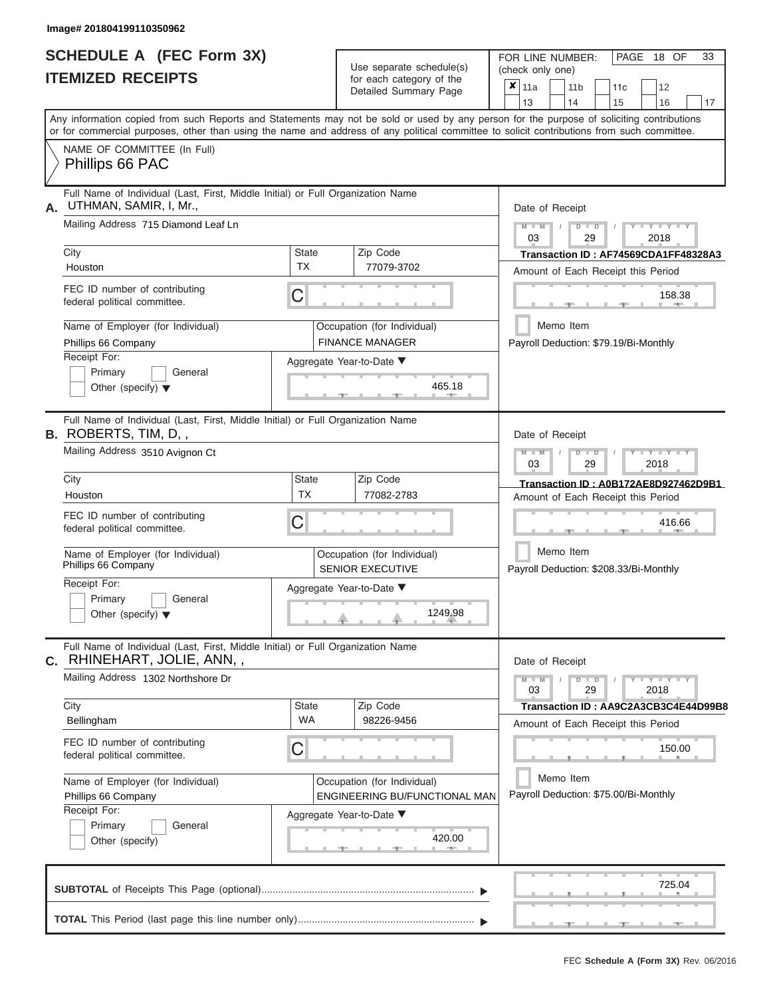|                          | <b>SCHEDULE A (FEC Form 3X)</b> |
|--------------------------|---------------------------------|
| <b>ITEMIZED RECEIPTS</b> |                                 |

Use separate schedule(s)<br>for each category of the

FOR LINE NUMBER:<br>(check only one)

PAGE 18 OF 33

|    | IIEMIZEV REVEIPIJ                                                                                                                                                                                                                                                                       |                                                                                     | for each category of the<br>Detailed Summary Page      | $\pmb{\times}$<br>11a<br>11 <sub>b</sub><br>11 <sub>c</sub><br>12         |  |  |  |
|----|-----------------------------------------------------------------------------------------------------------------------------------------------------------------------------------------------------------------------------------------------------------------------------------------|-------------------------------------------------------------------------------------|--------------------------------------------------------|---------------------------------------------------------------------------|--|--|--|
|    |                                                                                                                                                                                                                                                                                         |                                                                                     |                                                        | 13<br>14<br>15<br>16                                                      |  |  |  |
|    | Any information copied from such Reports and Statements may not be sold or used by any person for the purpose of soliciting contributions<br>or for commercial purposes, other than using the name and address of any political committee to solicit contributions from such committee. |                                                                                     |                                                        |                                                                           |  |  |  |
|    | NAME OF COMMITTEE (In Full)<br>Phillips 66 PAC                                                                                                                                                                                                                                          |                                                                                     |                                                        |                                                                           |  |  |  |
| А. | Full Name of Individual (Last, First, Middle Initial) or Full Organization Name<br>UTHMAN, SAMIR, I, Mr.,                                                                                                                                                                               |                                                                                     |                                                        | Date of Receipt                                                           |  |  |  |
|    | Mailing Address 715 Diamond Leaf Ln                                                                                                                                                                                                                                                     | $M - M$<br>$D$ $D$<br>$T - Y = Y + Y$<br>03<br>29<br>2018                           |                                                        |                                                                           |  |  |  |
|    | City                                                                                                                                                                                                                                                                                    | <b>State</b><br><b>TX</b>                                                           | Zip Code                                               | Transaction ID: AF74569CDA1FF48328A3                                      |  |  |  |
|    | Houston                                                                                                                                                                                                                                                                                 |                                                                                     | 77079-3702                                             | Amount of Each Receipt this Period                                        |  |  |  |
|    | FEC ID number of contributing<br>federal political committee.                                                                                                                                                                                                                           | C                                                                                   |                                                        | 158.38                                                                    |  |  |  |
|    | Name of Employer (for Individual)<br>Phillips 66 Company                                                                                                                                                                                                                                |                                                                                     | Occupation (for Individual)<br><b>FINANCE MANAGER</b>  | Memo Item<br>Payroll Deduction: \$79.19/Bi-Monthly                        |  |  |  |
|    | Receipt For:                                                                                                                                                                                                                                                                            |                                                                                     | Aggregate Year-to-Date ▼                               |                                                                           |  |  |  |
|    | Primary<br>General<br>Other (specify) $\blacktriangledown$                                                                                                                                                                                                                              |                                                                                     | 465.18                                                 |                                                                           |  |  |  |
|    | Full Name of Individual (Last, First, Middle Initial) or Full Organization Name<br><b>B.</b> ROBERTS, TIM, D,,                                                                                                                                                                          |                                                                                     |                                                        | Date of Receipt                                                           |  |  |  |
|    | Mailing Address 3510 Avignon Ct                                                                                                                                                                                                                                                         | $M - M$<br>$D$ $\Box$ $D$<br>$T - Y = Y - T$<br>03<br>29<br>2018                    |                                                        |                                                                           |  |  |  |
|    | City                                                                                                                                                                                                                                                                                    | <b>State</b>                                                                        | Zip Code                                               | Transaction ID: A0B172AE8D927462D9B1                                      |  |  |  |
|    | Houston                                                                                                                                                                                                                                                                                 | <b>TX</b>                                                                           | 77082-2783                                             | Amount of Each Receipt this Period                                        |  |  |  |
|    | FEC ID number of contributing<br>federal political committee.                                                                                                                                                                                                                           | C                                                                                   |                                                        | 416.66                                                                    |  |  |  |
|    | Name of Employer (for Individual)<br>Phillips 66 Company                                                                                                                                                                                                                                |                                                                                     | Occupation (for Individual)<br><b>SENIOR EXECUTIVE</b> | Memo Item<br>Payroll Deduction: \$208.33/Bi-Monthly                       |  |  |  |
|    | Receipt For:                                                                                                                                                                                                                                                                            |                                                                                     | Aggregate Year-to-Date ▼                               |                                                                           |  |  |  |
|    | Primary<br>General<br>Other (specify) $\blacktriangledown$                                                                                                                                                                                                                              |                                                                                     | 1249.98                                                |                                                                           |  |  |  |
|    | Full Name of Individual (Last, First, Middle Initial) or Full Organization Name<br>C. RHINEHART, JOLIE, ANN,,                                                                                                                                                                           |                                                                                     |                                                        | Date of Receipt                                                           |  |  |  |
|    | Mailing Address 1302 Northshore Dr                                                                                                                                                                                                                                                      |                                                                                     |                                                        | $Y - Y - Y - Y - Y$<br>$M - M$<br>$D$ $D$<br>$\prime$<br>03<br>29<br>2018 |  |  |  |
|    | City                                                                                                                                                                                                                                                                                    | <b>State</b>                                                                        | Zip Code                                               | Transaction ID: AA9C2A3CB3C4E44D99B8                                      |  |  |  |
|    | Bellingham                                                                                                                                                                                                                                                                              | WA                                                                                  | 98226-9456                                             | Amount of Each Receipt this Period                                        |  |  |  |
|    | FEC ID number of contributing<br>federal political committee.                                                                                                                                                                                                                           | C                                                                                   |                                                        | 150.00                                                                    |  |  |  |
|    | Name of Employer (for Individual)<br>Phillips 66 Company                                                                                                                                                                                                                                | Memo Item<br>Payroll Deduction: \$75.00/Bi-Monthly<br>ENGINEERING BU/FUNCTIONAL MAN |                                                        |                                                                           |  |  |  |
|    | Receipt For:                                                                                                                                                                                                                                                                            |                                                                                     | Aggregate Year-to-Date ▼                               |                                                                           |  |  |  |
|    | General<br>Primary<br>Other (specify)                                                                                                                                                                                                                                                   |                                                                                     | 420.00<br><b>AND</b>                                   |                                                                           |  |  |  |
|    |                                                                                                                                                                                                                                                                                         |                                                                                     |                                                        |                                                                           |  |  |  |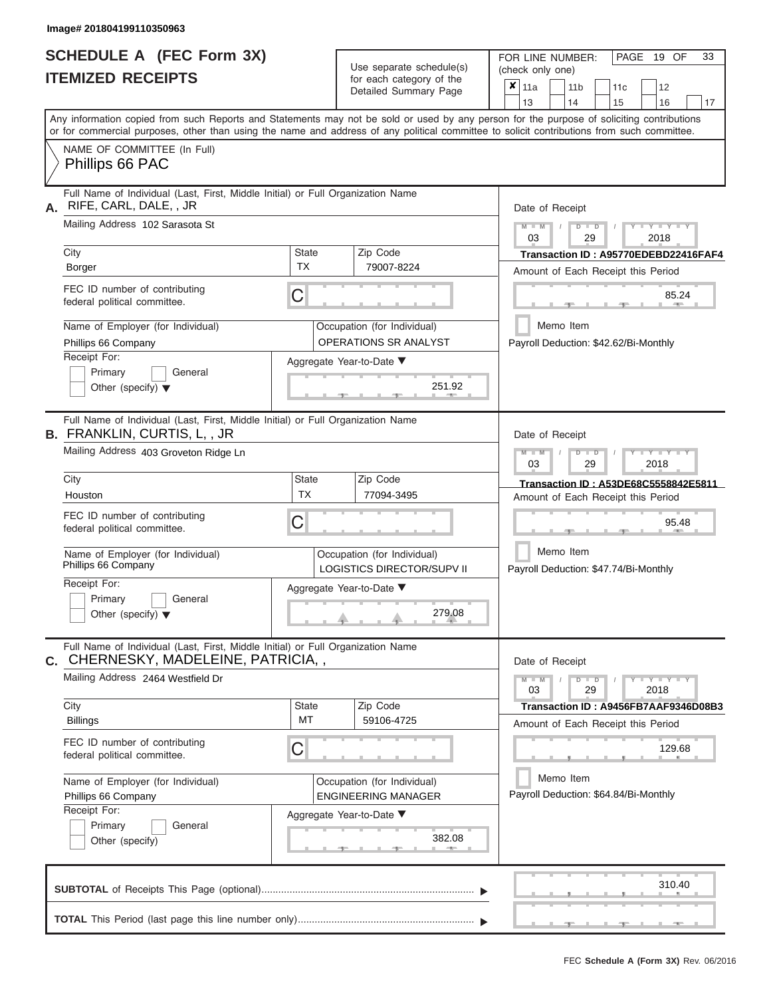|                          | SCHEDULE A (FEC Form 3X) |
|--------------------------|--------------------------|
| <b>ITEMIZED RECEIPTS</b> |                          |

Use separate schedule(s)<br>for each category of the

FOR LINE NUMBER:<br>(check only one)

PAGE 19 OF 33

|                                                                                                                                                                                                                                                                                         |                                                           | babii balogory<br>Detailed Summary Page                   | ×                                  | 11a                                             |           | 11 <sub>b</sub> |               | 11 <sub>c</sub>                       | 12                                                                                    |    |  |
|-----------------------------------------------------------------------------------------------------------------------------------------------------------------------------------------------------------------------------------------------------------------------------------------|-----------------------------------------------------------|-----------------------------------------------------------|------------------------------------|-------------------------------------------------|-----------|-----------------|---------------|---------------------------------------|---------------------------------------------------------------------------------------|----|--|
|                                                                                                                                                                                                                                                                                         |                                                           |                                                           |                                    | 13                                              |           | 14              |               | 15                                    | 16                                                                                    | 17 |  |
| Any information copied from such Reports and Statements may not be sold or used by any person for the purpose of soliciting contributions<br>or for commercial purposes, other than using the name and address of any political committee to solicit contributions from such committee. |                                                           |                                                           |                                    |                                                 |           |                 |               |                                       |                                                                                       |    |  |
| NAME OF COMMITTEE (In Full)<br>Phillips 66 PAC                                                                                                                                                                                                                                          |                                                           |                                                           |                                    |                                                 |           |                 |               |                                       |                                                                                       |    |  |
| Full Name of Individual (Last, First, Middle Initial) or Full Organization Name<br>RIFE, CARL, DALE, , JR<br>А.                                                                                                                                                                         |                                                           | Date of Receipt                                           |                                    |                                                 |           |                 |               |                                       |                                                                                       |    |  |
| Mailing Address 102 Sarasota St                                                                                                                                                                                                                                                         |                                                           |                                                           |                                    | $M - M$<br>03                                   |           |                 | $D$ $D$<br>29 |                                       | $Y - Y - Y$<br>2018                                                                   |    |  |
| City<br>Borger                                                                                                                                                                                                                                                                          | <b>State</b><br><b>TX</b>                                 | Zip Code<br>79007-8224                                    |                                    |                                                 |           |                 |               |                                       | Transaction ID: A95770EDEBD22416FAF4                                                  |    |  |
| FEC ID number of contributing                                                                                                                                                                                                                                                           |                                                           |                                                           |                                    |                                                 |           |                 |               |                                       | Amount of Each Receipt this Period                                                    |    |  |
| federal political committee.                                                                                                                                                                                                                                                            | C                                                         |                                                           |                                    |                                                 |           |                 |               |                                       | 85.24<br>$-$                                                                          |    |  |
| Name of Employer (for Individual)<br>Phillips 66 Company                                                                                                                                                                                                                                |                                                           | Occupation (for Individual)<br>OPERATIONS SR ANALYST      |                                    |                                                 | Memo Item |                 |               |                                       | Payroll Deduction: \$42.62/Bi-Monthly                                                 |    |  |
| Receipt For:<br>Primary<br>General<br>Other (specify) $\blacktriangledown$                                                                                                                                                                                                              | Aggregate Year-to-Date ▼                                  |                                                           |                                    |                                                 |           |                 |               |                                       |                                                                                       |    |  |
| Full Name of Individual (Last, First, Middle Initial) or Full Organization Name<br><b>B. FRANKLIN, CURTIS, L,, JR</b>                                                                                                                                                                   |                                                           |                                                           |                                    | Date of Receipt                                 |           |                 |               |                                       |                                                                                       |    |  |
| Mailing Address 403 Groveton Ridge Ln                                                                                                                                                                                                                                                   |                                                           |                                                           |                                    | $M - M$<br>Y TYT<br>$D$ $D$<br>03<br>29<br>2018 |           |                 |               |                                       |                                                                                       |    |  |
| City<br>Houston                                                                                                                                                                                                                                                                         | State<br><b>TX</b>                                        | Zip Code<br>77094-3495                                    |                                    |                                                 |           |                 |               |                                       | Transaction ID: A53DE68C5558842E5811<br>Amount of Each Receipt this Period            |    |  |
| FEC ID number of contributing<br>federal political committee.                                                                                                                                                                                                                           | С                                                         | 95.48                                                     |                                    |                                                 |           |                 |               |                                       |                                                                                       |    |  |
| Name of Employer (for Individual)<br>Phillips 66 Company                                                                                                                                                                                                                                |                                                           | Occupation (for Individual)<br>LOGISTICS DIRECTOR/SUPV II |                                    |                                                 | Memo Item |                 |               | Payroll Deduction: \$47.74/Bi-Monthly |                                                                                       |    |  |
| Receipt For:<br>Primary<br>General<br>Other (specify) $\blacktriangledown$                                                                                                                                                                                                              | Aggregate Year-to-Date ▼                                  |                                                           |                                    |                                                 |           |                 |               |                                       |                                                                                       |    |  |
| Full Name of Individual (Last, First, Middle Initial) or Full Organization Name<br>C. CHERNESKY, MADELEINE, PATRICIA,,                                                                                                                                                                  |                                                           |                                                           |                                    | Date of Receipt                                 |           |                 |               |                                       |                                                                                       |    |  |
| Mailing Address 2464 Westfield Dr                                                                                                                                                                                                                                                       |                                                           |                                                           |                                    | $M - M$<br>03                                   |           |                 | $D$ $D$<br>29 |                                       | $\frac{1}{1-\gamma} \frac{1}{1-\gamma} \frac{1}{1-\gamma} \frac{1}{1-\gamma}$<br>2018 |    |  |
| City<br><b>Billings</b>                                                                                                                                                                                                                                                                 | State<br>МT                                               | Zip Code<br>59106-4725                                    |                                    |                                                 |           |                 |               |                                       | Transaction ID: A9456FB7AAF9346D08B3                                                  |    |  |
| FEC ID number of contributing<br>federal political committee.                                                                                                                                                                                                                           | C                                                         |                                                           | Amount of Each Receipt this Period |                                                 |           |                 |               | 129.68                                |                                                                                       |    |  |
| Name of Employer (for Individual)<br>Phillips 66 Company                                                                                                                                                                                                                                | Occupation (for Individual)<br><b>ENGINEERING MANAGER</b> |                                                           |                                    |                                                 |           |                 | Memo Item     |                                       | Payroll Deduction: \$64.84/Bi-Monthly                                                 |    |  |
| Receipt For:<br>Primary<br>General<br>Other (specify)                                                                                                                                                                                                                                   |                                                           | Aggregate Year-to-Date ▼<br>382.08                        |                                    |                                                 |           |                 |               |                                       |                                                                                       |    |  |
|                                                                                                                                                                                                                                                                                         |                                                           |                                                           |                                    |                                                 |           |                 |               |                                       | 310.40                                                                                |    |  |
|                                                                                                                                                                                                                                                                                         |                                                           |                                                           |                                    |                                                 |           |                 |               |                                       | <b>COLLEGE</b>                                                                        |    |  |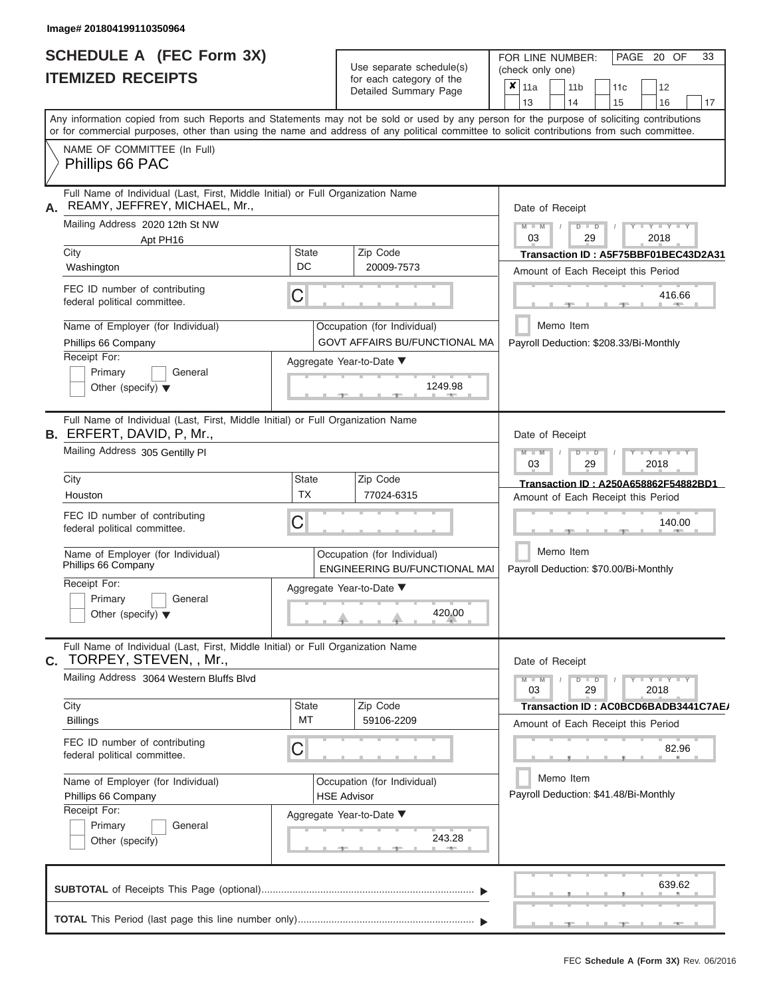# **SCHEDULE A (FEC Form 3X)**

FOR LINE NUMBER:

PAGE 20 OF 33

|    | <b>ITEMIZED RECEIPTS</b>                                                                                                                                                                                                                                                                |                                                                    | Use separate schedule(s)<br>for each category of the<br>Detailed Summary Page | (check only one)<br>x<br>11a<br>11 <sub>b</sub><br>11c<br>12<br>13<br>14<br>15<br>16<br>17 |
|----|-----------------------------------------------------------------------------------------------------------------------------------------------------------------------------------------------------------------------------------------------------------------------------------------|--------------------------------------------------------------------|-------------------------------------------------------------------------------|--------------------------------------------------------------------------------------------|
|    | Any information copied from such Reports and Statements may not be sold or used by any person for the purpose of soliciting contributions<br>or for commercial purposes, other than using the name and address of any political committee to solicit contributions from such committee. |                                                                    |                                                                               |                                                                                            |
|    | NAME OF COMMITTEE (In Full)<br>Phillips 66 PAC                                                                                                                                                                                                                                          |                                                                    |                                                                               |                                                                                            |
| Α. | Full Name of Individual (Last, First, Middle Initial) or Full Organization Name<br>REAMY, JEFFREY, MICHAEL, Mr.,                                                                                                                                                                        |                                                                    |                                                                               | Date of Receipt                                                                            |
|    | Mailing Address 2020 12th St NW<br>Apt PH16                                                                                                                                                                                                                                             |                                                                    |                                                                               | $M - M$<br>$D$ $D$<br><b>TELEVISION</b><br>03<br>29<br>2018                                |
|    | City<br>Washington                                                                                                                                                                                                                                                                      | <b>State</b><br>DC                                                 | Zip Code<br>20009-7573                                                        | Transaction ID: A5F75BBF01BEC43D2A31<br>Amount of Each Receipt this Period                 |
|    | FEC ID number of contributing<br>federal political committee.                                                                                                                                                                                                                           | C                                                                  |                                                                               | 416.66<br><b>AND</b>                                                                       |
|    | Name of Employer (for Individual)                                                                                                                                                                                                                                                       |                                                                    | Occupation (for Individual)                                                   | Memo Item                                                                                  |
|    | Phillips 66 Company                                                                                                                                                                                                                                                                     |                                                                    | <b>GOVT AFFAIRS BU/FUNCTIONAL MA</b>                                          | Payroll Deduction: \$208.33/Bi-Monthly                                                     |
|    | Receipt For:<br>Primary<br>General<br>Other (specify) $\blacktriangledown$                                                                                                                                                                                                              |                                                                    | Aggregate Year-to-Date ▼<br>1249.98                                           |                                                                                            |
|    | Full Name of Individual (Last, First, Middle Initial) or Full Organization Name<br><b>B.</b> ERFERT, DAVID, P, Mr.,                                                                                                                                                                     |                                                                    |                                                                               | Date of Receipt                                                                            |
|    | Mailing Address 305 Gentilly PI                                                                                                                                                                                                                                                         | $M - M$<br><b>TELEVISION</b><br>$\blacksquare$<br>03<br>29<br>2018 |                                                                               |                                                                                            |
|    | City<br>Houston                                                                                                                                                                                                                                                                         | <b>State</b><br><b>TX</b>                                          | Zip Code<br>77024-6315                                                        | Transaction ID: A250A658862F54882BD1<br>Amount of Each Receipt this Period                 |
|    | FEC ID number of contributing<br>federal political committee.                                                                                                                                                                                                                           | С                                                                  |                                                                               | 140.00                                                                                     |
|    | Name of Employer (for Individual)<br>Phillips 66 Company                                                                                                                                                                                                                                |                                                                    | Occupation (for Individual)<br>ENGINEERING BU/FUNCTIONAL MAI                  | Memo Item<br>Payroll Deduction: \$70.00/Bi-Monthly                                         |
|    | Receipt For:<br>Primary<br>General<br>Other (specify) $\blacktriangledown$                                                                                                                                                                                                              |                                                                    | Aggregate Year-to-Date ▼<br>420.00                                            |                                                                                            |
| С. | Full Name of Individual (Last, First, Middle Initial) or Full Organization Name<br>TORPEY, STEVEN, , Mr.,                                                                                                                                                                               |                                                                    |                                                                               | Date of Receipt                                                                            |
|    | Mailing Address 3064 Western Bluffs Blvd                                                                                                                                                                                                                                                |                                                                    |                                                                               | $M - M$<br>$D$ $D$<br>$Y - Y - Y$<br>29<br>2018<br>03                                      |
|    | City<br><b>Billings</b>                                                                                                                                                                                                                                                                 | <b>State</b><br>МT                                                 | Zip Code<br>59106-2209                                                        | Transaction ID: AC0BCD6BADB3441C7AE/<br>Amount of Each Receipt this Period                 |
|    | FEC ID number of contributing<br>federal political committee.                                                                                                                                                                                                                           | С                                                                  |                                                                               | 82.96                                                                                      |
|    | Name of Employer (for Individual)<br>Phillips 66 Company                                                                                                                                                                                                                                |                                                                    | Occupation (for Individual)<br><b>HSE Advisor</b>                             | Memo Item<br>Payroll Deduction: \$41.48/Bi-Monthly                                         |
|    | Receipt For:<br>Primary<br>General<br>Other (specify)                                                                                                                                                                                                                                   |                                                                    | Aggregate Year-to-Date ▼<br>243.28                                            |                                                                                            |
|    |                                                                                                                                                                                                                                                                                         |                                                                    |                                                                               | 639.62                                                                                     |
|    |                                                                                                                                                                                                                                                                                         |                                                                    |                                                                               |                                                                                            |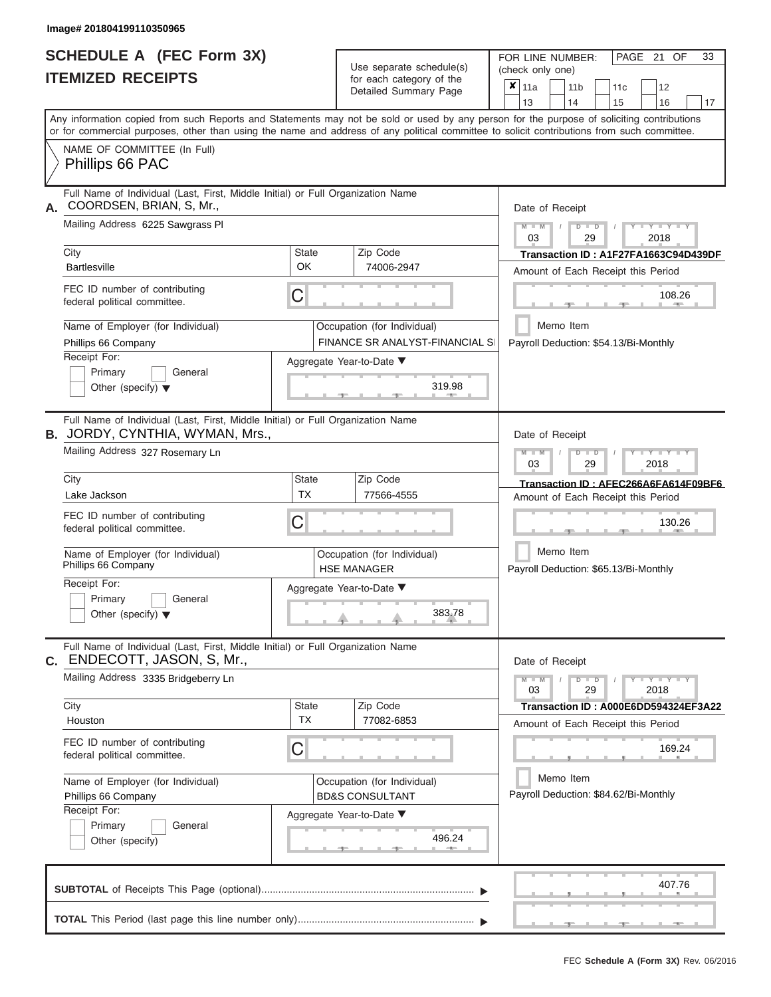|                          | <b>SCHEDULE A (FEC Form 3X)</b> |
|--------------------------|---------------------------------|
| <b>ITEMIZED RECEIPTS</b> |                                 |

Use separate schedule(s)<br>for each category of the

FOR LINE NUMBER:<br>(check only one)

PAGE 21 OF 33

|                                                                                                                                                                                                                                                                                         |             | ivi vavii valvyviy vi liiv<br>Detailed Summary Page            |  | $x \mid$ 11a                                          |           | 11 <sub>b</sub> |               | 11 <sub>c</sub> | 12                                    |    |  |  |  |  |
|-----------------------------------------------------------------------------------------------------------------------------------------------------------------------------------------------------------------------------------------------------------------------------------------|-------------|----------------------------------------------------------------|--|-------------------------------------------------------|-----------|-----------------|---------------|-----------------|---------------------------------------|----|--|--|--|--|
|                                                                                                                                                                                                                                                                                         |             |                                                                |  | 13                                                    |           | 14              |               | 15              | 16                                    | 17 |  |  |  |  |
| Any information copied from such Reports and Statements may not be sold or used by any person for the purpose of soliciting contributions<br>or for commercial purposes, other than using the name and address of any political committee to solicit contributions from such committee. |             |                                                                |  |                                                       |           |                 |               |                 |                                       |    |  |  |  |  |
| NAME OF COMMITTEE (In Full)                                                                                                                                                                                                                                                             |             |                                                                |  |                                                       |           |                 |               |                 |                                       |    |  |  |  |  |
| Phillips 66 PAC                                                                                                                                                                                                                                                                         |             |                                                                |  |                                                       |           |                 |               |                 |                                       |    |  |  |  |  |
| Full Name of Individual (Last, First, Middle Initial) or Full Organization Name<br>COORDSEN, BRIAN, S, Mr.,<br>А.                                                                                                                                                                       |             | Date of Receipt                                                |  |                                                       |           |                 |               |                 |                                       |    |  |  |  |  |
| Mailing Address 6225 Sawgrass PI                                                                                                                                                                                                                                                        |             |                                                                |  | $M - M$<br>$D$ $D$<br>$Y - Y - Y$<br>03<br>29<br>2018 |           |                 |               |                 |                                       |    |  |  |  |  |
| City                                                                                                                                                                                                                                                                                    | State       | Zip Code                                                       |  |                                                       |           |                 |               |                 | Transaction ID: A1F27FA1663C94D439DF  |    |  |  |  |  |
| <b>Bartlesville</b>                                                                                                                                                                                                                                                                     | OK          | 74006-2947                                                     |  | Amount of Each Receipt this Period                    |           |                 |               |                 |                                       |    |  |  |  |  |
| FEC ID number of contributing<br>federal political committee.                                                                                                                                                                                                                           | C           |                                                                |  | 108.26<br><b>CONTRACTOR</b>                           |           |                 |               |                 |                                       |    |  |  |  |  |
| Name of Employer (for Individual)<br>Phillips 66 Company                                                                                                                                                                                                                                |             | Occupation (for Individual)<br>FINANCE SR ANALYST-FINANCIAL SI |  |                                                       | Memo Item |                 |               |                 | Payroll Deduction: \$54.13/Bi-Monthly |    |  |  |  |  |
| Receipt For:                                                                                                                                                                                                                                                                            |             | Aggregate Year-to-Date ▼                                       |  |                                                       |           |                 |               |                 |                                       |    |  |  |  |  |
| Primary<br>General<br>Other (specify) $\blacktriangledown$                                                                                                                                                                                                                              |             | 319.98<br>-91                                                  |  |                                                       |           |                 |               |                 |                                       |    |  |  |  |  |
| Full Name of Individual (Last, First, Middle Initial) or Full Organization Name<br><b>B.</b> JORDY, CYNTHIA, WYMAN, Mrs.,                                                                                                                                                               |             |                                                                |  | Date of Receipt                                       |           |                 |               |                 |                                       |    |  |  |  |  |
| Mailing Address 327 Rosemary Ln                                                                                                                                                                                                                                                         |             |                                                                |  | $M - M$<br>$D$ $D$<br>Y TY<br>03<br>29<br>2018        |           |                 |               |                 |                                       |    |  |  |  |  |
| City                                                                                                                                                                                                                                                                                    | State       | Zip Code                                                       |  |                                                       |           |                 |               |                 | Transaction ID: AFEC266A6FA614F09BF6  |    |  |  |  |  |
| Lake Jackson                                                                                                                                                                                                                                                                            | <b>TX</b>   | 77566-4555                                                     |  |                                                       |           |                 |               |                 | Amount of Each Receipt this Period    |    |  |  |  |  |
| FEC ID number of contributing<br>federal political committee.                                                                                                                                                                                                                           | С           |                                                                |  |                                                       | 130.26    |                 |               |                 |                                       |    |  |  |  |  |
| Name of Employer (for Individual)<br>Phillips 66 Company                                                                                                                                                                                                                                |             | Occupation (for Individual)<br><b>HSE MANAGER</b>              |  | Memo Item<br>Payroll Deduction: \$65.13/Bi-Monthly    |           |                 |               |                 |                                       |    |  |  |  |  |
| Receipt For:                                                                                                                                                                                                                                                                            |             | Aggregate Year-to-Date ▼                                       |  |                                                       |           |                 |               |                 |                                       |    |  |  |  |  |
| Primary<br>General<br>Other (specify) $\blacktriangledown$                                                                                                                                                                                                                              |             | 383.78                                                         |  |                                                       |           |                 |               |                 |                                       |    |  |  |  |  |
| Full Name of Individual (Last, First, Middle Initial) or Full Organization Name<br>ENDECOTT, JASON, S, Mr.,<br>С.                                                                                                                                                                       |             |                                                                |  | Date of Receipt                                       |           |                 |               |                 |                                       |    |  |  |  |  |
| Mailing Address 3335 Bridgeberry Ln                                                                                                                                                                                                                                                     |             |                                                                |  | $M - M$<br>03                                         |           |                 | $D$ $D$<br>29 |                 | $T - Y = Y + Y$<br>2018               |    |  |  |  |  |
| City<br>Houston                                                                                                                                                                                                                                                                         | State<br>TX | Zip Code<br>77082-6853                                         |  |                                                       |           |                 |               |                 | Transaction ID: A000E6DD594324EF3A22  |    |  |  |  |  |
|                                                                                                                                                                                                                                                                                         |             |                                                                |  |                                                       |           |                 |               |                 | Amount of Each Receipt this Period    |    |  |  |  |  |
| FEC ID number of contributing<br>federal political committee.                                                                                                                                                                                                                           | C           |                                                                |  |                                                       |           |                 |               |                 | 169.24                                |    |  |  |  |  |
| Name of Employer (for Individual)                                                                                                                                                                                                                                                       |             | Occupation (for Individual)                                    |  |                                                       | Memo Item |                 |               |                 |                                       |    |  |  |  |  |
| Phillips 66 Company                                                                                                                                                                                                                                                                     |             | <b>BD&amp;S CONSULTANT</b>                                     |  |                                                       |           |                 |               |                 | Payroll Deduction: \$84.62/Bi-Monthly |    |  |  |  |  |
| Receipt For:<br>Primary<br>General                                                                                                                                                                                                                                                      |             | Aggregate Year-to-Date ▼                                       |  |                                                       |           |                 |               |                 |                                       |    |  |  |  |  |
| Other (specify)                                                                                                                                                                                                                                                                         |             | 496.24                                                         |  |                                                       |           |                 |               |                 |                                       |    |  |  |  |  |
|                                                                                                                                                                                                                                                                                         |             |                                                                |  |                                                       |           |                 |               |                 | 407.76                                |    |  |  |  |  |
|                                                                                                                                                                                                                                                                                         |             |                                                                |  |                                                       |           |                 |               |                 |                                       |    |  |  |  |  |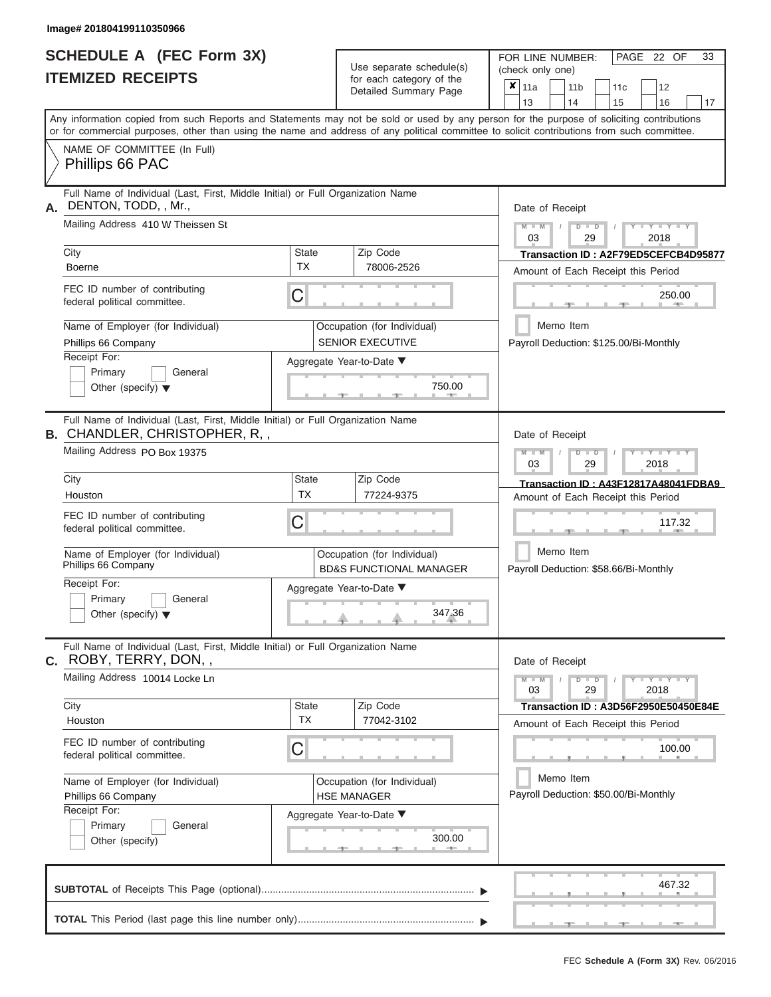| <b>SCHEDULE A (FEC Form 3X)</b> |  |  |
|---------------------------------|--|--|
| <b>ITEMIZED RECEIPTS</b>        |  |  |

Use separate schedule(s)<br>for each category of the

FOR LINE NUMBER:<br>(check only one)

PAGE 22 OF 33

|                                                                                                                                                                                                                                                                                         |                           | $\frac{1}{2}$<br>Detailed Summary Page                            | $\boldsymbol{x}$                               | 11a                                                |           | 11 <sub>b</sub> |               | 11 <sub>c</sub> | 12                                       |    |  |  |  |
|-----------------------------------------------------------------------------------------------------------------------------------------------------------------------------------------------------------------------------------------------------------------------------------------|---------------------------|-------------------------------------------------------------------|------------------------------------------------|----------------------------------------------------|-----------|-----------------|---------------|-----------------|------------------------------------------|----|--|--|--|
| Any information copied from such Reports and Statements may not be sold or used by any person for the purpose of soliciting contributions<br>or for commercial purposes, other than using the name and address of any political committee to solicit contributions from such committee. |                           |                                                                   |                                                | 13                                                 |           | 14              |               | 15              | 16                                       | 17 |  |  |  |
| NAME OF COMMITTEE (In Full)<br>Phillips 66 PAC                                                                                                                                                                                                                                          |                           |                                                                   |                                                |                                                    |           |                 |               |                 |                                          |    |  |  |  |
| Full Name of Individual (Last, First, Middle Initial) or Full Organization Name<br>DENTON, TODD, , Mr.,<br>А.                                                                                                                                                                           |                           | Date of Receipt                                                   |                                                |                                                    |           |                 |               |                 |                                          |    |  |  |  |
| Mailing Address 410 W Theissen St                                                                                                                                                                                                                                                       |                           |                                                                   |                                                | $M - M$<br>03                                      |           |                 | $D$ $D$<br>29 |                 | $Y - Y - Y$<br>2018                      |    |  |  |  |
| City<br><b>Boerne</b>                                                                                                                                                                                                                                                                   | <b>State</b><br><b>TX</b> | Zip Code<br>78006-2526                                            | Transaction ID: A2F79ED5CEFCB4D95877           |                                                    |           |                 |               |                 |                                          |    |  |  |  |
|                                                                                                                                                                                                                                                                                         |                           |                                                                   | Amount of Each Receipt this Period             |                                                    |           |                 |               |                 |                                          |    |  |  |  |
| FEC ID number of contributing<br>federal political committee.                                                                                                                                                                                                                           | С                         |                                                                   |                                                |                                                    |           |                 |               |                 | 250.00                                   |    |  |  |  |
| Name of Employer (for Individual)<br>Phillips 66 Company                                                                                                                                                                                                                                |                           | Occupation (for Individual)<br><b>SENIOR EXECUTIVE</b>            |                                                |                                                    | Memo Item |                 |               |                 | Payroll Deduction: \$125.00/Bi-Monthly   |    |  |  |  |
| Receipt For:                                                                                                                                                                                                                                                                            |                           | Aggregate Year-to-Date ▼                                          |                                                |                                                    |           |                 |               |                 |                                          |    |  |  |  |
| Primary<br>General<br>Other (specify) $\blacktriangledown$                                                                                                                                                                                                                              |                           | 750.00                                                            |                                                |                                                    |           |                 |               |                 |                                          |    |  |  |  |
| Full Name of Individual (Last, First, Middle Initial) or Full Organization Name<br>B. CHANDLER, CHRISTOPHER, R,,                                                                                                                                                                        |                           |                                                                   |                                                | Date of Receipt                                    |           |                 |               |                 |                                          |    |  |  |  |
| Mailing Address PO Box 19375                                                                                                                                                                                                                                                            |                           |                                                                   | $M - M$<br>Y TY<br>$D$ $D$<br>03<br>29<br>2018 |                                                    |           |                 |               |                 |                                          |    |  |  |  |
| City                                                                                                                                                                                                                                                                                    | <b>State</b>              | Zip Code                                                          |                                                |                                                    |           |                 |               |                 | Transaction ID: A43F12817A48041FDBA9     |    |  |  |  |
| Houston                                                                                                                                                                                                                                                                                 | <b>TX</b>                 | 77224-9375                                                        |                                                |                                                    |           |                 |               |                 | Amount of Each Receipt this Period       |    |  |  |  |
| FEC ID number of contributing<br>federal political committee.                                                                                                                                                                                                                           | С                         | 117.32                                                            |                                                |                                                    |           |                 |               |                 |                                          |    |  |  |  |
| Name of Employer (for Individual)<br>Phillips 66 Company                                                                                                                                                                                                                                |                           | Occupation (for Individual)<br><b>BD&amp;S FUNCTIONAL MANAGER</b> |                                                | Memo Item<br>Payroll Deduction: \$58.66/Bi-Monthly |           |                 |               |                 |                                          |    |  |  |  |
| Receipt For:<br>Primary<br>General<br>Other (specify) $\blacktriangledown$                                                                                                                                                                                                              |                           | Aggregate Year-to-Date ▼<br>347.36                                |                                                |                                                    |           |                 |               |                 |                                          |    |  |  |  |
| Full Name of Individual (Last, First, Middle Initial) or Full Organization Name<br>C. ROBY, TERRY, DON,,                                                                                                                                                                                |                           |                                                                   |                                                | Date of Receipt                                    |           |                 |               |                 |                                          |    |  |  |  |
| Mailing Address 10014 Locke Ln                                                                                                                                                                                                                                                          |                           |                                                                   |                                                | $M - M$<br>03                                      |           |                 | $D$ $D$<br>29 |                 | $\overline{Y} = Y = Y' + Y' + Y$<br>2018 |    |  |  |  |
| City                                                                                                                                                                                                                                                                                    | <b>State</b><br><b>TX</b> | Zip Code                                                          |                                                |                                                    |           |                 |               |                 | Transaction ID: A3D56F2950E50450E84E     |    |  |  |  |
| Houston                                                                                                                                                                                                                                                                                 |                           | 77042-3102                                                        |                                                |                                                    |           |                 |               |                 | Amount of Each Receipt this Period       |    |  |  |  |
| FEC ID number of contributing<br>federal political committee.                                                                                                                                                                                                                           | С                         |                                                                   |                                                |                                                    |           |                 |               |                 | 100.00                                   |    |  |  |  |
| Name of Employer (for Individual)                                                                                                                                                                                                                                                       |                           | Occupation (for Individual)                                       |                                                |                                                    | Memo Item |                 |               |                 |                                          |    |  |  |  |
| Phillips 66 Company                                                                                                                                                                                                                                                                     |                           | <b>HSE MANAGER</b>                                                |                                                |                                                    |           |                 |               |                 | Payroll Deduction: \$50.00/Bi-Monthly    |    |  |  |  |
| Receipt For:<br>Primary<br>General                                                                                                                                                                                                                                                      |                           | Aggregate Year-to-Date ▼                                          |                                                |                                                    |           |                 |               |                 |                                          |    |  |  |  |
| Other (specify)                                                                                                                                                                                                                                                                         |                           | 300.00                                                            |                                                |                                                    |           |                 |               |                 |                                          |    |  |  |  |
|                                                                                                                                                                                                                                                                                         |                           |                                                                   |                                                |                                                    |           |                 |               |                 | 467.32                                   |    |  |  |  |
|                                                                                                                                                                                                                                                                                         |                           |                                                                   |                                                |                                                    |           |                 |               |                 |                                          |    |  |  |  |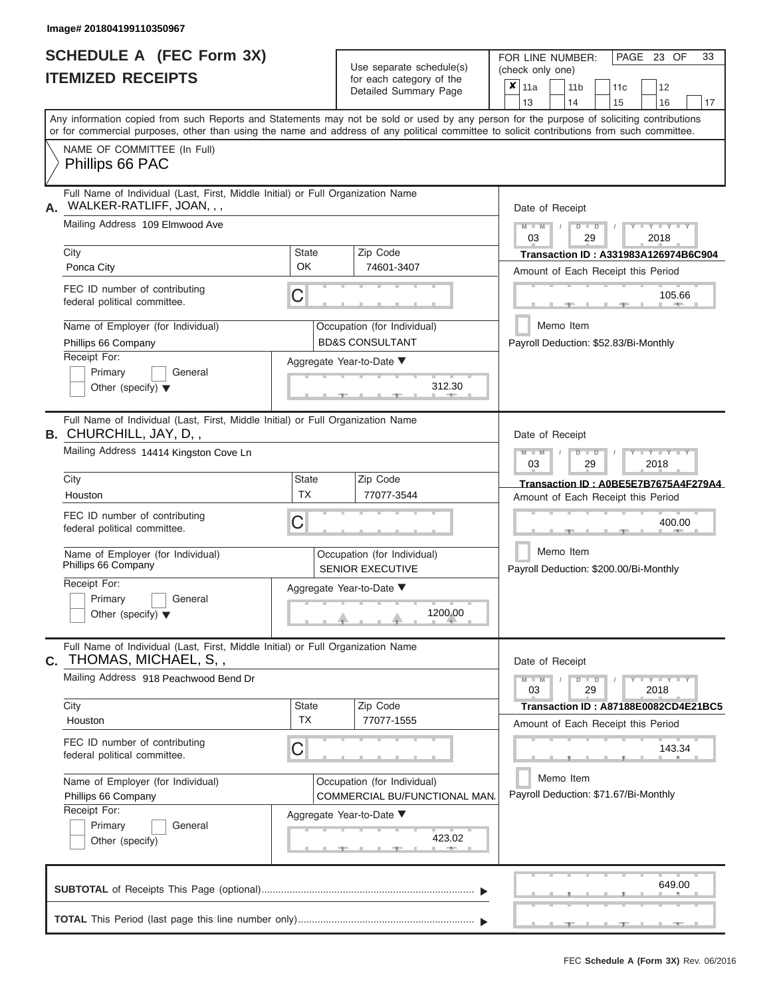|                          | <b>SCHEDULE A (FEC Form 3X)</b> |
|--------------------------|---------------------------------|
| <b>ITEMIZED RECEIPTS</b> |                                 |

Use separate schedule(s)<br>for each category of the

FOR LINE NUMBER:<br>(check only one)

PAGE 23 OF 33

|    | IILMILLY INLVLII I                                                                                                                         |              | iui cauli ualcyuly ul lilc<br>Detailed Summary Page          | x                                  | 11a                                                                |        | 11 <sub>b</sub> |               | 11 <sub>c</sub> | 12                                          |    |  |  |  |
|----|--------------------------------------------------------------------------------------------------------------------------------------------|--------------|--------------------------------------------------------------|------------------------------------|--------------------------------------------------------------------|--------|-----------------|---------------|-----------------|---------------------------------------------|----|--|--|--|
|    | Any information copied from such Reports and Statements may not be sold or used by any person for the purpose of soliciting contributions  |              |                                                              |                                    | 13                                                                 |        | 14              |               | 15              | 16                                          | 17 |  |  |  |
|    | or for commercial purposes, other than using the name and address of any political committee to solicit contributions from such committee. |              |                                                              |                                    |                                                                    |        |                 |               |                 |                                             |    |  |  |  |
|    | NAME OF COMMITTEE (In Full)<br>Phillips 66 PAC                                                                                             |              |                                                              |                                    |                                                                    |        |                 |               |                 |                                             |    |  |  |  |
| А. | Full Name of Individual (Last, First, Middle Initial) or Full Organization Name<br>WALKER-RATLIFF, JOAN, , ,                               |              | Date of Receipt                                              |                                    |                                                                    |        |                 |               |                 |                                             |    |  |  |  |
|    | Mailing Address 109 Elmwood Ave                                                                                                            |              |                                                              |                                    | $M - M$<br>03                                                      |        |                 | $D$ $D$<br>29 |                 | $Y - Y$<br>2018                             |    |  |  |  |
|    | City                                                                                                                                       | <b>State</b> | Zip Code                                                     |                                    |                                                                    |        |                 |               |                 | <b>Transaction ID: A331983A126974B6C904</b> |    |  |  |  |
|    | Ponca City                                                                                                                                 | OK.          | 74601-3407                                                   | Amount of Each Receipt this Period |                                                                    |        |                 |               |                 |                                             |    |  |  |  |
|    | FEC ID number of contributing<br>federal political committee.                                                                              | C            |                                                              |                                    |                                                                    |        |                 |               |                 | 105.66                                      |    |  |  |  |
|    | Name of Employer (for Individual)<br>Phillips 66 Company                                                                                   |              | Occupation (for Individual)<br><b>BD&amp;S CONSULTANT</b>    |                                    |                                                                    |        | Memo Item       |               |                 | Payroll Deduction: \$52.83/Bi-Monthly       |    |  |  |  |
|    | Receipt For:                                                                                                                               |              | Aggregate Year-to-Date ▼                                     |                                    |                                                                    |        |                 |               |                 |                                             |    |  |  |  |
|    | Primary<br>General<br>Other (specify) $\blacktriangledown$                                                                                 |              | 312.30                                                       |                                    |                                                                    |        |                 |               |                 |                                             |    |  |  |  |
|    | Full Name of Individual (Last, First, Middle Initial) or Full Organization Name<br><b>B.</b> CHURCHILL, JAY, D,,                           |              |                                                              |                                    | Date of Receipt                                                    |        |                 |               |                 |                                             |    |  |  |  |
|    | Mailing Address 14414 Kingston Cove Ln                                                                                                     |              |                                                              |                                    | $M - M$<br>$D$ $\Box$ $D$<br><b>TELEVISION</b><br>03<br>29<br>2018 |        |                 |               |                 |                                             |    |  |  |  |
|    | City                                                                                                                                       | <b>State</b> | Zip Code                                                     |                                    |                                                                    |        |                 |               |                 | Transaction ID: A0BE5E7B7675A4F279A4        |    |  |  |  |
|    | Houston                                                                                                                                    | <b>TX</b>    | 77077-3544                                                   |                                    |                                                                    |        |                 |               |                 | Amount of Each Receipt this Period          |    |  |  |  |
|    | FEC ID number of contributing<br>federal political committee.                                                                              | C            |                                                              |                                    |                                                                    | 400.00 |                 |               |                 |                                             |    |  |  |  |
|    | Name of Employer (for Individual)<br>Phillips 66 Company                                                                                   |              | Occupation (for Individual)<br><b>SENIOR EXECUTIVE</b>       |                                    | Memo Item<br>Payroll Deduction: \$200.00/Bi-Monthly                |        |                 |               |                 |                                             |    |  |  |  |
|    | Receipt For:                                                                                                                               |              | Aggregate Year-to-Date ▼                                     |                                    |                                                                    |        |                 |               |                 |                                             |    |  |  |  |
|    | Primary<br>General<br>Other (specify) $\blacktriangledown$                                                                                 |              | 1200.00                                                      |                                    |                                                                    |        |                 |               |                 |                                             |    |  |  |  |
| С. | Full Name of Individual (Last, First, Middle Initial) or Full Organization Name<br>THOMAS, MICHAEL, S,,                                    |              |                                                              |                                    | Date of Receipt                                                    |        |                 |               |                 |                                             |    |  |  |  |
|    | Mailing Address 918 Peachwood Bend Dr                                                                                                      |              |                                                              |                                    | $M - M$<br>03                                                      |        |                 | $D$ $D$<br>29 |                 | $+Y+Y+Y$<br>2018                            |    |  |  |  |
|    | City                                                                                                                                       | <b>State</b> | Zip Code                                                     |                                    |                                                                    |        |                 |               |                 | Transaction ID: A87188E0082CD4E21BC5        |    |  |  |  |
|    | Houston                                                                                                                                    | <b>TX</b>    | 77077-1555                                                   |                                    |                                                                    |        |                 |               |                 | Amount of Each Receipt this Period          |    |  |  |  |
|    | FEC ID number of contributing<br>federal political committee.                                                                              | С            |                                                              |                                    |                                                                    |        |                 |               |                 | 143.34                                      |    |  |  |  |
|    | Name of Employer (for Individual)<br>Phillips 66 Company                                                                                   |              | Occupation (for Individual)<br>COMMERCIAL BU/FUNCTIONAL MAN. |                                    |                                                                    |        | Memo Item       |               |                 | Payroll Deduction: \$71.67/Bi-Monthly       |    |  |  |  |
|    | Receipt For:                                                                                                                               |              | Aggregate Year-to-Date ▼                                     |                                    |                                                                    |        |                 |               |                 |                                             |    |  |  |  |
|    | Primary<br>General<br>Other (specify)                                                                                                      |              | 423.02                                                       |                                    |                                                                    |        |                 |               |                 |                                             |    |  |  |  |
|    |                                                                                                                                            |              |                                                              |                                    |                                                                    |        |                 |               |                 | 649.00                                      |    |  |  |  |
|    |                                                                                                                                            |              |                                                              |                                    |                                                                    |        |                 |               |                 |                                             |    |  |  |  |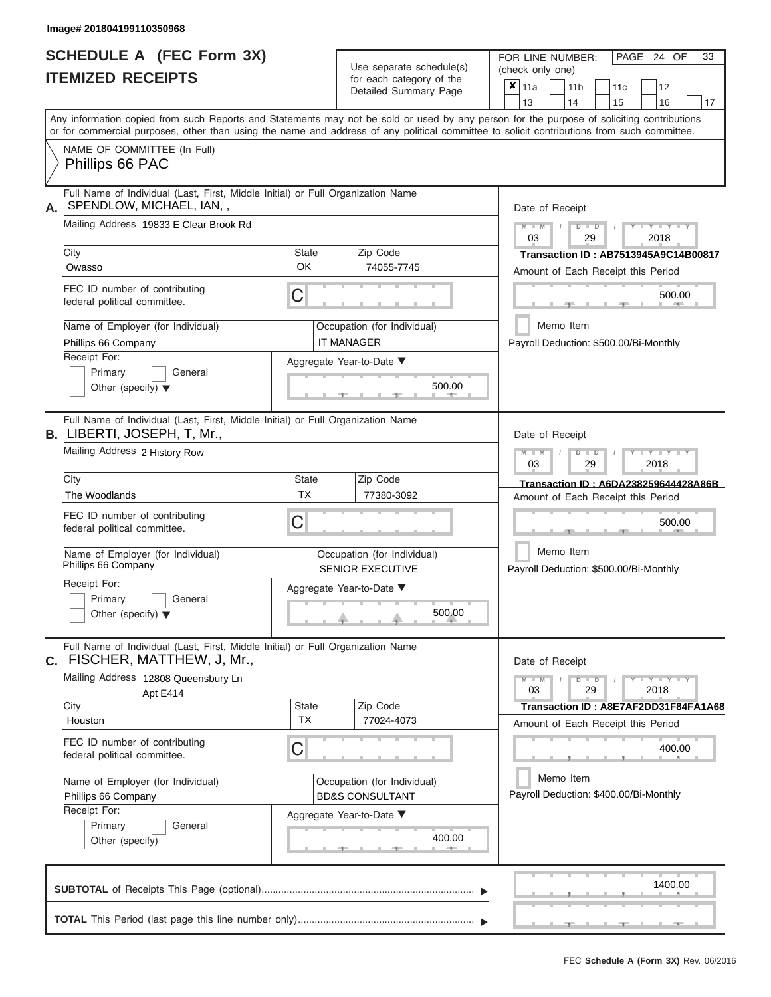|                          | <b>SCHEDULE A (FEC Form 3X)</b> |
|--------------------------|---------------------------------|
| <b>ITEMIZED RECEIPTS</b> |                                 |

Use separate schedule(s) (check only one)<br>for each category of the  $\begin{array}{|c|c|c|c|c|}\n\hline\n\text{Initial Summary goes} & & \text{with } & \text{with } & \text{with } & \text{with } & \text{with } & \text{with } & \text{with } & \text{with } & \text{with } & \text{with } & \text{with } & \text{with } & \text{with } & \text{with } & \text{with } & \text{with } & \text{with } & \text{with } & \text{with } & \text{with } & \text$ 

FOR LINE NUMBER:

 $\overline{\phantom{0}}$ 

PAGE 24 OF 33

 $\Box$ 

|                                                                                                                                            |              | Detailed Summary Page                                  | Х<br>  11a<br>11 b<br>11c<br>12<br>13<br>14<br>15<br>16<br>17                                                                             |  |  |  |  |  |  |  |
|--------------------------------------------------------------------------------------------------------------------------------------------|--------------|--------------------------------------------------------|-------------------------------------------------------------------------------------------------------------------------------------------|--|--|--|--|--|--|--|
| or for commercial purposes, other than using the name and address of any political committee to solicit contributions from such committee. |              |                                                        | Any information copied from such Reports and Statements may not be sold or used by any person for the purpose of soliciting contributions |  |  |  |  |  |  |  |
| NAME OF COMMITTEE (In Full)<br>Phillips 66 PAC                                                                                             |              |                                                        |                                                                                                                                           |  |  |  |  |  |  |  |
| Full Name of Individual (Last, First, Middle Initial) or Full Organization Name<br>SPENDLOW, MICHAEL, IAN,,<br>А.                          |              |                                                        | Date of Receipt                                                                                                                           |  |  |  |  |  |  |  |
| Mailing Address 19833 E Clear Brook Rd                                                                                                     |              |                                                        | $Y - Y - Y$<br>$D$ $\Box$ $D$<br>$M - M$<br>03<br>29<br>2018                                                                              |  |  |  |  |  |  |  |
| City                                                                                                                                       | <b>State</b> | Zip Code                                               | <b>Transaction ID: AB7513945A9C14B00817</b>                                                                                               |  |  |  |  |  |  |  |
| Owasso                                                                                                                                     | OK           | 74055-7745                                             | Amount of Each Receipt this Period                                                                                                        |  |  |  |  |  |  |  |
| FEC ID number of contributing<br>federal political committee.                                                                              | C            |                                                        | 500.00<br><b>STATES</b>                                                                                                                   |  |  |  |  |  |  |  |
| Name of Employer (for Individual)                                                                                                          |              | Occupation (for Individual)                            | Memo Item                                                                                                                                 |  |  |  |  |  |  |  |
| Phillips 66 Company                                                                                                                        |              | <b>IT MANAGER</b>                                      | Payroll Deduction: \$500.00/Bi-Monthly                                                                                                    |  |  |  |  |  |  |  |
| Receipt For:                                                                                                                               |              | Aggregate Year-to-Date ▼                               |                                                                                                                                           |  |  |  |  |  |  |  |
| Primary<br>General                                                                                                                         |              |                                                        |                                                                                                                                           |  |  |  |  |  |  |  |
| Other (specify) $\blacktriangledown$                                                                                                       |              | 500.00                                                 |                                                                                                                                           |  |  |  |  |  |  |  |
| Full Name of Individual (Last, First, Middle Initial) or Full Organization Name<br><b>B. LIBERTI, JOSEPH, T, Mr.,</b>                      |              |                                                        | Date of Receipt                                                                                                                           |  |  |  |  |  |  |  |
| Mailing Address 2 History Row                                                                                                              |              |                                                        | $T - Y = T - Y = T - Y$<br>$M - M$<br>$D - D$<br>03<br>29<br>2018                                                                         |  |  |  |  |  |  |  |
| City                                                                                                                                       | <b>State</b> | Zip Code                                               | Transaction ID: A6DA238259644428A86B                                                                                                      |  |  |  |  |  |  |  |
| The Woodlands                                                                                                                              | ТX           | 77380-3092                                             | Amount of Each Receipt this Period                                                                                                        |  |  |  |  |  |  |  |
| FEC ID number of contributing<br>federal political committee.                                                                              | $\mathsf C$  |                                                        | 500.00                                                                                                                                    |  |  |  |  |  |  |  |
| Name of Employer (for Individual)<br>Phillips 66 Company                                                                                   |              | Occupation (for Individual)<br><b>SENIOR EXECUTIVE</b> | Memo Item<br>Payroll Deduction: \$500.00/Bi-Monthly                                                                                       |  |  |  |  |  |  |  |
| Receipt For:                                                                                                                               |              | Aggregate Year-to-Date ▼                               |                                                                                                                                           |  |  |  |  |  |  |  |
| Primary<br>General                                                                                                                         |              |                                                        |                                                                                                                                           |  |  |  |  |  |  |  |
| Other (specify) $\blacktriangledown$                                                                                                       |              | 500.00                                                 |                                                                                                                                           |  |  |  |  |  |  |  |
| Full Name of Individual (Last, First, Middle Initial) or Full Organization Name<br>C. FISCHER, MATTHEW, J, Mr.,                            |              |                                                        | Date of Receipt                                                                                                                           |  |  |  |  |  |  |  |
| Mailing Address 12808 Queensbury Ln<br>Apt E414                                                                                            |              |                                                        | $Y - Y - Y - Y - Y$<br>$M - M$<br>$D$ $D$<br>03<br>29<br>2018                                                                             |  |  |  |  |  |  |  |
| City                                                                                                                                       | <b>State</b> | Zip Code                                               | Transaction ID: A8E7AF2DD31F84FA1A68                                                                                                      |  |  |  |  |  |  |  |
| Houston                                                                                                                                    | <b>TX</b>    | 77024-4073                                             | Amount of Each Receipt this Period                                                                                                        |  |  |  |  |  |  |  |
| FEC ID number of contributing<br>federal political committee.                                                                              | C            |                                                        | 400.00                                                                                                                                    |  |  |  |  |  |  |  |
| Name of Employer (for Individual)                                                                                                          |              | Occupation (for Individual)                            | Memo Item                                                                                                                                 |  |  |  |  |  |  |  |
| Phillips 66 Company                                                                                                                        |              | <b>BD&amp;S CONSULTANT</b>                             | Payroll Deduction: \$400.00/Bi-Monthly                                                                                                    |  |  |  |  |  |  |  |
| Receipt For:                                                                                                                               |              | Aggregate Year-to-Date ▼                               |                                                                                                                                           |  |  |  |  |  |  |  |
| Primary<br>General                                                                                                                         |              |                                                        |                                                                                                                                           |  |  |  |  |  |  |  |
| Other (specify)                                                                                                                            |              | 400.00                                                 |                                                                                                                                           |  |  |  |  |  |  |  |
|                                                                                                                                            |              |                                                        | 1400.00                                                                                                                                   |  |  |  |  |  |  |  |
|                                                                                                                                            |              |                                                        |                                                                                                                                           |  |  |  |  |  |  |  |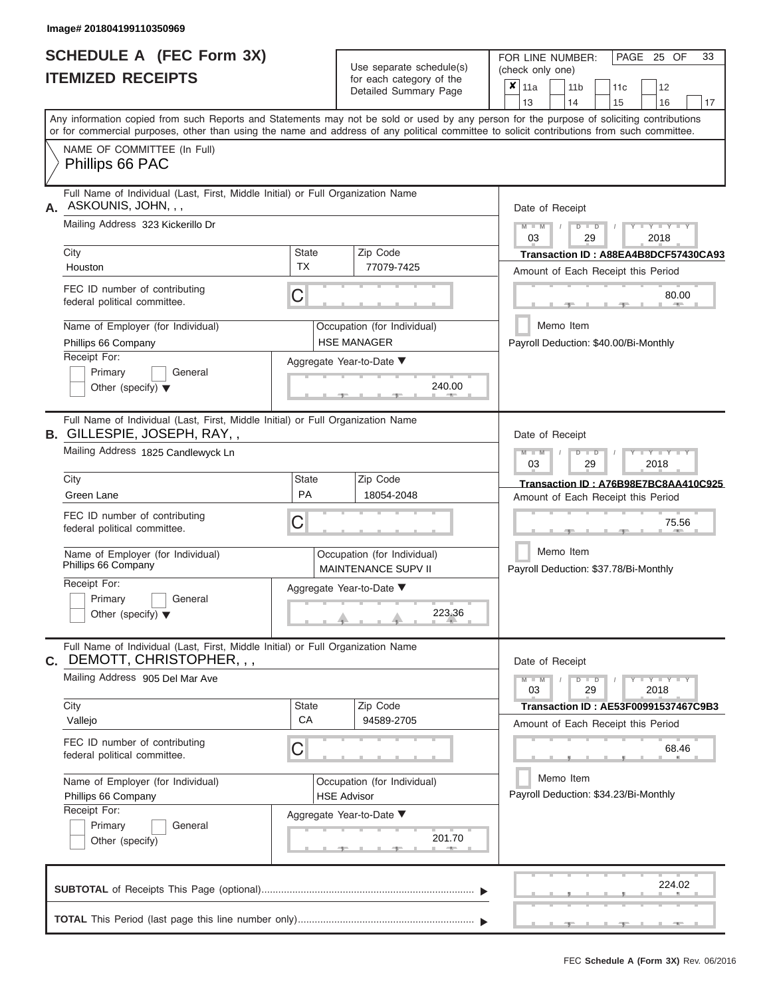|                          | <b>SCHEDULE A (FEC Form 3X)</b> |
|--------------------------|---------------------------------|
| <b>ITEMIZED RECEIPTS</b> |                                 |

Use separate schedule(s)<br>for each category of the

FOR LINE NUMBER:

PAGE 25 OF 33

|                                                                                                                                            |                    | Use separate schedule(s)                           | (check only one)                                                                                                                          |  |  |  |  |  |  |  |
|--------------------------------------------------------------------------------------------------------------------------------------------|--------------------|----------------------------------------------------|-------------------------------------------------------------------------------------------------------------------------------------------|--|--|--|--|--|--|--|
| <b>ITEMIZED RECEIPTS</b>                                                                                                                   |                    | for each category of the<br>Detailed Summary Page  | $\boldsymbol{x}$   11a<br>11 <sub>b</sub><br>12<br>11c<br>13<br>14<br>15<br>16<br>17                                                      |  |  |  |  |  |  |  |
| or for commercial purposes, other than using the name and address of any political committee to solicit contributions from such committee. |                    |                                                    | Any information copied from such Reports and Statements may not be sold or used by any person for the purpose of soliciting contributions |  |  |  |  |  |  |  |
| NAME OF COMMITTEE (In Full)<br>Phillips 66 PAC                                                                                             |                    |                                                    |                                                                                                                                           |  |  |  |  |  |  |  |
| Full Name of Individual (Last, First, Middle Initial) or Full Organization Name<br>ASKOUNIS, JOHN, , ,<br>А.                               |                    |                                                    | Date of Receipt                                                                                                                           |  |  |  |  |  |  |  |
| Mailing Address 323 Kickerillo Dr                                                                                                          |                    |                                                    | $Y = Y - I$<br>2018<br>03<br>29                                                                                                           |  |  |  |  |  |  |  |
| City<br>Houston                                                                                                                            | <b>State</b><br>ТX | Zip Code<br>77079-7425                             | Transaction ID: A88EA4B8DCF57430CA93<br>Amount of Each Receipt this Period                                                                |  |  |  |  |  |  |  |
| FEC ID number of contributing<br>federal political committee.                                                                              | C                  |                                                    | 80.00                                                                                                                                     |  |  |  |  |  |  |  |
| Name of Employer (for Individual)<br>Phillips 66 Company                                                                                   |                    | Occupation (for Individual)<br><b>HSE MANAGER</b>  | Memo Item<br>Payroll Deduction: \$40.00/Bi-Monthly                                                                                        |  |  |  |  |  |  |  |
| Receipt For:<br>Primary<br>General<br>Other (specify) $\blacktriangledown$                                                                 |                    | Aggregate Year-to-Date ▼<br>240.00                 |                                                                                                                                           |  |  |  |  |  |  |  |
| Full Name of Individual (Last, First, Middle Initial) or Full Organization Name<br>B. GILLESPIE, JOSEPH, RAY,,                             |                    |                                                    | Date of Receipt                                                                                                                           |  |  |  |  |  |  |  |
| Mailing Address 1825 Candlewyck Ln                                                                                                         |                    |                                                    | Y I Y I Y<br>$M - M$<br>$\Box$<br>03<br>29<br>2018                                                                                        |  |  |  |  |  |  |  |
| City<br>Green Lane                                                                                                                         | State<br><b>PA</b> | Zip Code<br>18054-2048                             | Transaction ID: A76B98E7BC8AA410C925<br>Amount of Each Receipt this Period                                                                |  |  |  |  |  |  |  |
| FEC ID number of contributing<br>federal political committee.                                                                              | C                  |                                                    | 75.56                                                                                                                                     |  |  |  |  |  |  |  |
| Name of Employer (for Individual)<br>Phillips 66 Company                                                                                   |                    | Occupation (for Individual)<br>MAINTENANCE SUPV II | Memo Item<br>Payroll Deduction: \$37.78/Bi-Monthly                                                                                        |  |  |  |  |  |  |  |
| Receipt For:<br>Primary<br>General<br>Other (specify) $\blacktriangledown$                                                                 |                    | Aggregate Year-to-Date ▼<br>223.36                 |                                                                                                                                           |  |  |  |  |  |  |  |
| Full Name of Individual (Last, First, Middle Initial) or Full Organization Name<br><b>c.</b> DEMOTT, CHRISTOPHER, , ,                      |                    |                                                    | Date of Receipt                                                                                                                           |  |  |  |  |  |  |  |
| Mailing Address 905 Del Mar Ave                                                                                                            |                    |                                                    | $Y - Y - Y$<br>$\blacksquare$<br>03<br>29<br>2018                                                                                         |  |  |  |  |  |  |  |
| City<br>Vallejo                                                                                                                            | <b>State</b><br>CA | Zip Code<br>94589-2705                             | Transaction ID: AE53F00991537467C9B3<br>Amount of Each Receipt this Period                                                                |  |  |  |  |  |  |  |
| FEC ID number of contributing<br>federal political committee.                                                                              | C                  |                                                    | 68.46                                                                                                                                     |  |  |  |  |  |  |  |
| Name of Employer (for Individual)<br>Phillips 66 Company<br>Receipt For:                                                                   |                    | Occupation (for Individual)<br><b>HSE Advisor</b>  | Memo Item<br>Payroll Deduction: \$34.23/Bi-Monthly                                                                                        |  |  |  |  |  |  |  |
| Primary<br>General<br>Other (specify)                                                                                                      |                    | Aggregate Year-to-Date ▼<br>201.70                 |                                                                                                                                           |  |  |  |  |  |  |  |
|                                                                                                                                            |                    |                                                    | 224.02                                                                                                                                    |  |  |  |  |  |  |  |
|                                                                                                                                            |                    |                                                    |                                                                                                                                           |  |  |  |  |  |  |  |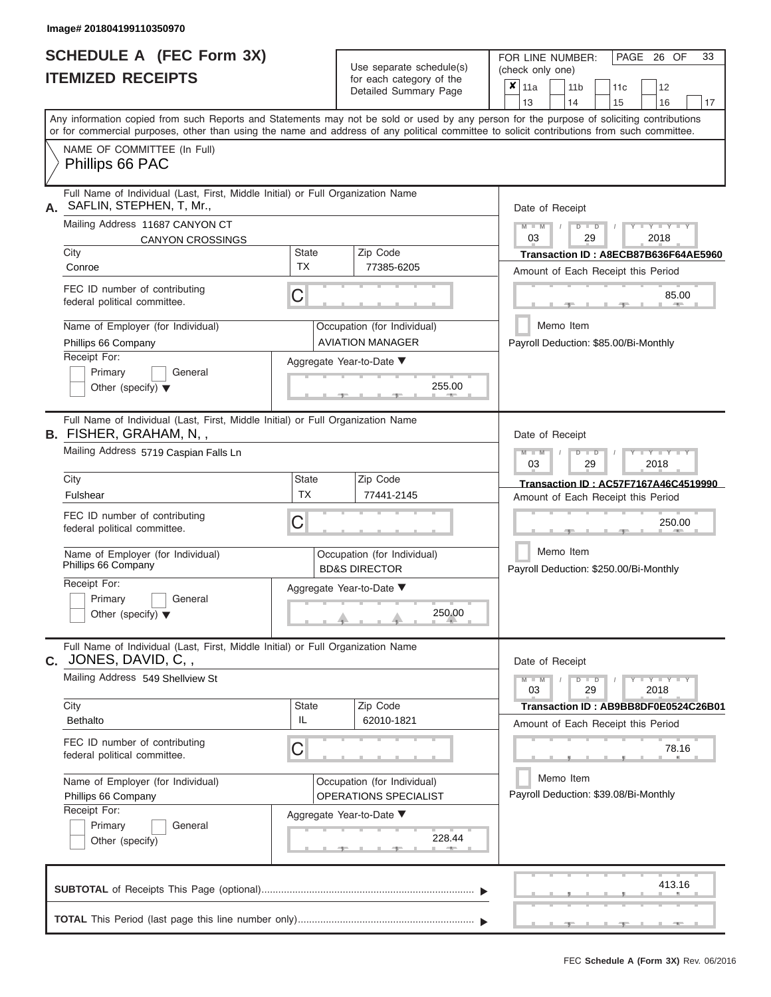# **SCHEDULE A (FEC Form 3X) ITEMIZED RECEIPTS**

FOR LINE NUMBER:

| <b>ITEMIZED RECEIPTS</b>                                                                                          |                           | Use separate schedule(s)<br>for each category of the<br>Detailed Summary Page | (check only one)<br>$x _{11a}$<br>12<br>11 <sub>b</sub><br>11c                                                                                                                                                                                                                                                        |
|-------------------------------------------------------------------------------------------------------------------|---------------------------|-------------------------------------------------------------------------------|-----------------------------------------------------------------------------------------------------------------------------------------------------------------------------------------------------------------------------------------------------------------------------------------------------------------------|
|                                                                                                                   |                           |                                                                               | 13<br>14<br>16<br>15<br>17<br>Any information copied from such Reports and Statements may not be sold or used by any person for the purpose of soliciting contributions<br>or for commercial purposes, other than using the name and address of any political committee to solicit contributions from such committee. |
| NAME OF COMMITTEE (In Full)<br>Phillips 66 PAC                                                                    |                           |                                                                               |                                                                                                                                                                                                                                                                                                                       |
| Full Name of Individual (Last, First, Middle Initial) or Full Organization Name<br>SAFLIN, STEPHEN, T, Mr.,<br>А. |                           |                                                                               | Date of Receipt                                                                                                                                                                                                                                                                                                       |
| Mailing Address 11687 CANYON CT<br><b>CANYON CROSSINGS</b>                                                        |                           |                                                                               | $M - M$<br>$Y - Y - Y$<br>$D$ $D$<br>03<br>29<br>2018                                                                                                                                                                                                                                                                 |
| City<br>Conroe                                                                                                    | <b>State</b><br>TX        | Zip Code<br>77385-6205                                                        | Transaction ID: A8ECB87B636F64AE5960<br>Amount of Each Receipt this Period                                                                                                                                                                                                                                            |
| FEC ID number of contributing<br>federal political committee.                                                     | С                         |                                                                               | 85.00                                                                                                                                                                                                                                                                                                                 |
| Name of Employer (for Individual)<br>Phillips 66 Company                                                          |                           | Occupation (for Individual)<br><b>AVIATION MANAGER</b>                        | Memo Item<br>Payroll Deduction: \$85.00/Bi-Monthly                                                                                                                                                                                                                                                                    |
| Receipt For:<br>Primary<br>General<br>Other (specify) $\blacktriangledown$                                        |                           | Aggregate Year-to-Date ▼<br>255.00<br><b>ALCOHOL:</b>                         |                                                                                                                                                                                                                                                                                                                       |
| Full Name of Individual (Last, First, Middle Initial) or Full Organization Name<br><b>B.</b> FISHER, GRAHAM, N, , |                           |                                                                               | Date of Receipt                                                                                                                                                                                                                                                                                                       |
| Mailing Address 5719 Caspian Falls Ln                                                                             |                           |                                                                               | $M - M$<br>$D$ $\Box$ $D$<br>Y I Y I<br>03<br>29<br>2018                                                                                                                                                                                                                                                              |
| City<br>Fulshear                                                                                                  | <b>State</b><br><b>TX</b> | Zip Code<br>77441-2145                                                        | Transaction ID: AC57F7167A46C4519990<br>Amount of Each Receipt this Period                                                                                                                                                                                                                                            |
| FEC ID number of contributing<br>federal political committee.                                                     | С                         |                                                                               | 250.00                                                                                                                                                                                                                                                                                                                |
| Name of Employer (for Individual)<br>Phillips 66 Company                                                          |                           | Occupation (for Individual)<br><b>BD&amp;S DIRECTOR</b>                       | Memo Item<br>Payroll Deduction: \$250.00/Bi-Monthly                                                                                                                                                                                                                                                                   |
| Receipt For:<br>Primary<br>General<br>Other (specify) $\blacktriangledown$                                        |                           | Aggregate Year-to-Date ▼<br>250.00                                            |                                                                                                                                                                                                                                                                                                                       |
| Full Name of Individual (Last, First, Middle Initial) or Full Organization Name<br><b>c.</b> JONES, DAVID, C, ,   |                           |                                                                               | Date of Receipt                                                                                                                                                                                                                                                                                                       |
| Mailing Address 549 Shellview St                                                                                  |                           |                                                                               | $Y - Y - Y - Y - I - Y$<br>$M - M$<br>$D$ $D$<br>03<br>29<br>2018                                                                                                                                                                                                                                                     |
| City<br><b>Bethalto</b>                                                                                           | State<br>IL               | Zip Code<br>62010-1821                                                        | Transaction ID: AB9BB8DF0E0524C26B01<br>Amount of Each Receipt this Period                                                                                                                                                                                                                                            |
| FEC ID number of contributing<br>federal political committee.                                                     | C                         |                                                                               | 78.16                                                                                                                                                                                                                                                                                                                 |
| Name of Employer (for Individual)<br>Phillips 66 Company                                                          |                           | Occupation (for Individual)<br>OPERATIONS SPECIALIST                          | Memo Item<br>Payroll Deduction: \$39.08/Bi-Monthly                                                                                                                                                                                                                                                                    |
| Receipt For:<br>Primary<br>General<br>Other (specify)                                                             |                           | Aggregate Year-to-Date ▼<br>228.44                                            |                                                                                                                                                                                                                                                                                                                       |
|                                                                                                                   |                           |                                                                               | 413.16                                                                                                                                                                                                                                                                                                                |
|                                                                                                                   |                           |                                                                               |                                                                                                                                                                                                                                                                                                                       |

PAGE 26 OF 33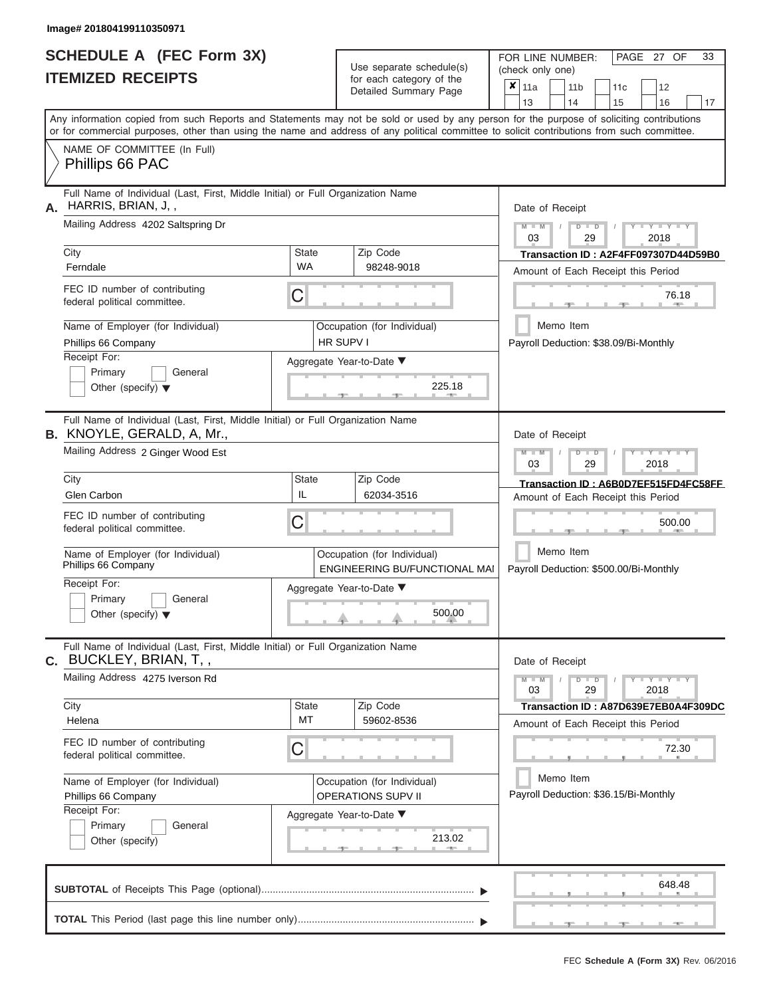|                          | SCHEDULE A (FEC Form 3X) |
|--------------------------|--------------------------|
| <b>ITEMIZED RECEIPTS</b> |                          |

Use separate schedule(s)<br>for each category of the

FOR LINE NUMBER:<br>(check only one)

PAGE 27 OF 33

| IILMILLU NLVLIF IJ                                                                                                                      |                                                                                                                                                                                                                                                                                         |                                                              |  | iul each caleguly of the<br>Detailed Summary Page        | $\boldsymbol{\mathsf{x}}$                                                  | 11a<br>13                             |                                                     | 11 <sub>b</sub><br>14 |                           |  | 11c<br>15 |      | 12<br>16              | 17                                   |  |
|-----------------------------------------------------------------------------------------------------------------------------------------|-----------------------------------------------------------------------------------------------------------------------------------------------------------------------------------------------------------------------------------------------------------------------------------------|--------------------------------------------------------------|--|----------------------------------------------------------|----------------------------------------------------------------------------|---------------------------------------|-----------------------------------------------------|-----------------------|---------------------------|--|-----------|------|-----------------------|--------------------------------------|--|
|                                                                                                                                         | Any information copied from such Reports and Statements may not be sold or used by any person for the purpose of soliciting contributions<br>or for commercial purposes, other than using the name and address of any political committee to solicit contributions from such committee. |                                                              |  |                                                          |                                                                            |                                       |                                                     |                       |                           |  |           |      |                       |                                      |  |
|                                                                                                                                         | NAME OF COMMITTEE (In Full)<br>Phillips 66 PAC                                                                                                                                                                                                                                          |                                                              |  |                                                          |                                                                            |                                       |                                                     |                       |                           |  |           |      |                       |                                      |  |
| Α.                                                                                                                                      | Full Name of Individual (Last, First, Middle Initial) or Full Organization Name<br>HARRIS, BRIAN, J,,                                                                                                                                                                                   |                                                              |  |                                                          |                                                                            | Date of Receipt                       |                                                     |                       |                           |  |           |      |                       |                                      |  |
|                                                                                                                                         | Mailing Address 4202 Saltspring Dr                                                                                                                                                                                                                                                      |                                                              |  |                                                          |                                                                            | $M - M$<br>03                         |                                                     |                       | $D$ $D$<br>29             |  |           | 2018 | $Y = Y$               |                                      |  |
|                                                                                                                                         | City<br>Ferndale                                                                                                                                                                                                                                                                        | <b>State</b><br>WA                                           |  | Zip Code<br>98248-9018                                   | Transaction ID: A2F4FF097307D44D59B0<br>Amount of Each Receipt this Period |                                       |                                                     |                       |                           |  |           |      |                       |                                      |  |
|                                                                                                                                         | FEC ID number of contributing<br>federal political committee.                                                                                                                                                                                                                           | С                                                            |  |                                                          |                                                                            |                                       |                                                     |                       |                           |  |           |      | 76.18                 |                                      |  |
|                                                                                                                                         | Name of Employer (for Individual)<br>Phillips 66 Company                                                                                                                                                                                                                                | HR SUPV I                                                    |  | Occupation (for Individual)                              |                                                                            | Payroll Deduction: \$38.09/Bi-Monthly | Memo Item                                           |                       |                           |  |           |      |                       |                                      |  |
|                                                                                                                                         | Receipt For:<br>Primary<br>General<br>Other (specify) $\blacktriangledown$                                                                                                                                                                                                              |                                                              |  | Aggregate Year-to-Date ▼<br>225.18                       |                                                                            |                                       |                                                     |                       |                           |  |           |      |                       |                                      |  |
| Full Name of Individual (Last, First, Middle Initial) or Full Organization Name<br><b>B.</b> KNOYLE, GERALD, A, Mr.,<br>Date of Receipt |                                                                                                                                                                                                                                                                                         |                                                              |  |                                                          |                                                                            |                                       |                                                     |                       |                           |  |           |      |                       |                                      |  |
|                                                                                                                                         | Mailing Address 2 Ginger Wood Est                                                                                                                                                                                                                                                       |                                                              |  |                                                          |                                                                            | $M - M$<br>03                         |                                                     |                       | т<br>$\blacksquare$<br>29 |  |           | 2018 | Y I Y I               |                                      |  |
|                                                                                                                                         | City<br>Glen Carbon                                                                                                                                                                                                                                                                     | State<br>IL                                                  |  | Zip Code<br>62034-3516                                   |                                                                            |                                       |                                                     |                       |                           |  |           |      |                       | Transaction ID: A6B0D7EF515FD4FC58FF |  |
|                                                                                                                                         | FEC ID number of contributing<br>federal political committee.                                                                                                                                                                                                                           | С                                                            |  |                                                          |                                                                            |                                       | Amount of Each Receipt this Period                  |                       |                           |  |           |      |                       | 500.00                               |  |
|                                                                                                                                         | Name of Employer (for Individual)<br>Phillips 66 Company                                                                                                                                                                                                                                | Occupation (for Individual)<br>ENGINEERING BU/FUNCTIONAL MAI |  |                                                          |                                                                            |                                       | Memo Item<br>Payroll Deduction: \$500.00/Bi-Monthly |                       |                           |  |           |      |                       |                                      |  |
|                                                                                                                                         | Receipt For:<br>Primary<br>General<br>Other (specify) $\blacktriangledown$                                                                                                                                                                                                              | Aggregate Year-to-Date ▼                                     |  |                                                          |                                                                            |                                       |                                                     |                       |                           |  |           |      |                       |                                      |  |
| С.                                                                                                                                      | Full Name of Individual (Last, First, Middle Initial) or Full Organization Name<br>BUCKLEY, BRIAN, T,,                                                                                                                                                                                  |                                                              |  |                                                          |                                                                            | Date of Receipt                       |                                                     |                       |                           |  |           |      |                       |                                      |  |
|                                                                                                                                         | Mailing Address 4275 Iverson Rd                                                                                                                                                                                                                                                         |                                                              |  |                                                          |                                                                            | $M - M$<br>03                         |                                                     |                       | $D$ $D$<br>29             |  |           | 2018 | $  Y - 1 - Y - 1 - Y$ |                                      |  |
|                                                                                                                                         | City<br>Helena                                                                                                                                                                                                                                                                          | <b>State</b><br>MT                                           |  | Zip Code<br>59602-8536                                   |                                                                            | Amount of Each Receipt this Period    |                                                     |                       |                           |  |           |      |                       | Transaction ID: A87D639E7EB0A4F309DC |  |
|                                                                                                                                         | FEC ID number of contributing<br>federal political committee.                                                                                                                                                                                                                           | С                                                            |  |                                                          |                                                                            |                                       |                                                     |                       |                           |  |           |      | 72.30                 |                                      |  |
|                                                                                                                                         | Name of Employer (for Individual)<br>Phillips 66 Company                                                                                                                                                                                                                                |                                                              |  | Occupation (for Individual)<br><b>OPERATIONS SUPV II</b> |                                                                            | Payroll Deduction: \$36.15/Bi-Monthly | Memo Item                                           |                       |                           |  |           |      |                       |                                      |  |
|                                                                                                                                         | Receipt For:<br>General<br>Primary<br>Other (specify)                                                                                                                                                                                                                                   |                                                              |  | Aggregate Year-to-Date ▼<br>213.02                       |                                                                            |                                       |                                                     |                       |                           |  |           |      |                       |                                      |  |
|                                                                                                                                         |                                                                                                                                                                                                                                                                                         |                                                              |  |                                                          |                                                                            |                                       |                                                     |                       |                           |  |           |      | 648.48                |                                      |  |
|                                                                                                                                         |                                                                                                                                                                                                                                                                                         |                                                              |  |                                                          |                                                                            |                                       |                                                     |                       |                           |  |           |      |                       |                                      |  |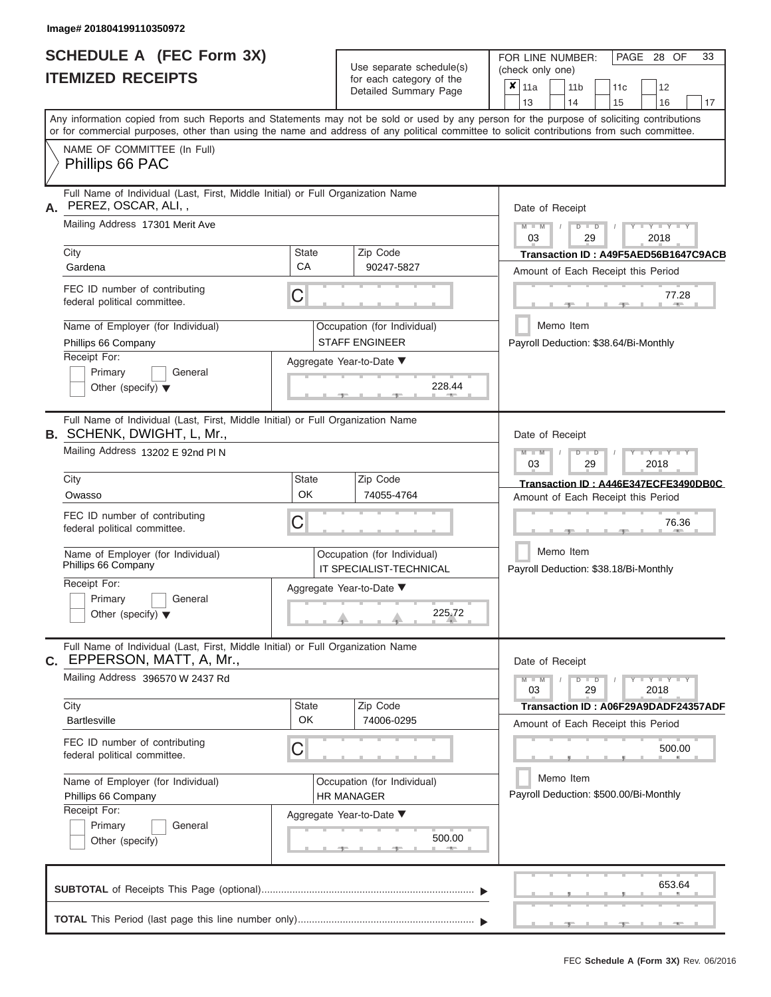|                          | SCHEDULE A (FEC Form 3X) |
|--------------------------|--------------------------|
| <b>ITEMIZED RECEIPTS</b> |                          |

Use separate schedule(s)<br>for each category of the

FOR LINE NUMBER:<br>(check only one)

PAGE 28 OF 33

|    | <u>IIEMIZED REVEIFIJ</u>                                                                                                                                                                                                                                                                |                                                                                    |  | for each category of the<br>Detailed Summary Page    |                                                            | $\pmb{\times}$<br>11a                               |           | 11 <sub>b</sub>                                                   |               | 11c                                  |                             | 12     |    |  |  |  |  |  |
|----|-----------------------------------------------------------------------------------------------------------------------------------------------------------------------------------------------------------------------------------------------------------------------------------------|------------------------------------------------------------------------------------|--|------------------------------------------------------|------------------------------------------------------------|-----------------------------------------------------|-----------|-------------------------------------------------------------------|---------------|--------------------------------------|-----------------------------|--------|----|--|--|--|--|--|
|    |                                                                                                                                                                                                                                                                                         |                                                                                    |  |                                                      |                                                            | 13                                                  |           | 14                                                                |               | 15                                   |                             | 16     | 17 |  |  |  |  |  |
|    | Any information copied from such Reports and Statements may not be sold or used by any person for the purpose of soliciting contributions<br>or for commercial purposes, other than using the name and address of any political committee to solicit contributions from such committee. |                                                                                    |  |                                                      |                                                            |                                                     |           |                                                                   |               |                                      |                             |        |    |  |  |  |  |  |
|    | NAME OF COMMITTEE (In Full)<br>Phillips 66 PAC                                                                                                                                                                                                                                          |                                                                                    |  |                                                      |                                                            |                                                     |           |                                                                   |               |                                      |                             |        |    |  |  |  |  |  |
| А. | Full Name of Individual (Last, First, Middle Initial) or Full Organization Name<br>PEREZ, OSCAR, ALI,,                                                                                                                                                                                  |                                                                                    |  |                                                      |                                                            | Date of Receipt                                     |           |                                                                   |               |                                      |                             |        |    |  |  |  |  |  |
|    | Mailing Address 17301 Merit Ave                                                                                                                                                                                                                                                         |                                                                                    |  |                                                      | $M - M$<br>$-Y - Y - Y - Y$<br>$D$ $D$<br>03<br>29<br>2018 |                                                     |           |                                                                   |               |                                      |                             |        |    |  |  |  |  |  |
|    | City                                                                                                                                                                                                                                                                                    | <b>State</b>                                                                       |  | Zip Code                                             |                                                            |                                                     |           |                                                                   |               | Transaction ID: A49F5AED56B1647C9ACB |                             |        |    |  |  |  |  |  |
|    | Gardena                                                                                                                                                                                                                                                                                 | CA                                                                                 |  | 90247-5827                                           |                                                            | Amount of Each Receipt this Period                  |           |                                                                   |               |                                      |                             |        |    |  |  |  |  |  |
|    | FEC ID number of contributing<br>federal political committee.                                                                                                                                                                                                                           | C                                                                                  |  |                                                      | 77.28                                                      |                                                     |           |                                                                   |               |                                      |                             |        |    |  |  |  |  |  |
|    | Name of Employer (for Individual)<br>Phillips 66 Company                                                                                                                                                                                                                                |                                                                                    |  | Occupation (for Individual)<br><b>STAFF ENGINEER</b> |                                                            | Payroll Deduction: \$38.64/Bi-Monthly               | Memo Item |                                                                   |               |                                      |                             |        |    |  |  |  |  |  |
|    | Receipt For:                                                                                                                                                                                                                                                                            |                                                                                    |  | Aggregate Year-to-Date ▼                             |                                                            |                                                     |           |                                                                   |               |                                      |                             |        |    |  |  |  |  |  |
|    | Primary<br>General<br>Other (specify) $\blacktriangledown$                                                                                                                                                                                                                              |                                                                                    |  | 228.44                                               |                                                            |                                                     |           |                                                                   |               |                                      |                             |        |    |  |  |  |  |  |
|    | Full Name of Individual (Last, First, Middle Initial) or Full Organization Name<br><b>B.</b> SCHENK, DWIGHT, L, Mr.,                                                                                                                                                                    |                                                                                    |  |                                                      |                                                            | Date of Receipt                                     |           |                                                                   |               |                                      |                             |        |    |  |  |  |  |  |
|    | Mailing Address 13202 E 92nd PIN                                                                                                                                                                                                                                                        |                                                                                    |  |                                                      |                                                            |                                                     |           | $M - M$<br>$T - Y = T - Y = T - Y$<br>$D$ $D$<br>03<br>29<br>2018 |               |                                      |                             |        |    |  |  |  |  |  |
|    | City                                                                                                                                                                                                                                                                                    | <b>State</b>                                                                       |  | Zip Code                                             | Transaction ID: A446E347ECFE3490DB0C                       |                                                     |           |                                                                   |               |                                      |                             |        |    |  |  |  |  |  |
|    | Owasso                                                                                                                                                                                                                                                                                  | OK                                                                                 |  | 74055-4764                                           |                                                            | Amount of Each Receipt this Period                  |           |                                                                   |               |                                      |                             |        |    |  |  |  |  |  |
|    | FEC ID number of contributing<br>federal political committee.                                                                                                                                                                                                                           | C                                                                                  |  |                                                      |                                                            |                                                     | 76.36     |                                                                   |               |                                      |                             |        |    |  |  |  |  |  |
|    | Name of Employer (for Individual)<br>Phillips 66 Company                                                                                                                                                                                                                                | Occupation (for Individual)<br>IT SPECIALIST-TECHNICAL<br>Aggregate Year-to-Date ▼ |  |                                                      |                                                            | Memo Item<br>Payroll Deduction: \$38.18/Bi-Monthly  |           |                                                                   |               |                                      |                             |        |    |  |  |  |  |  |
|    | Receipt For:                                                                                                                                                                                                                                                                            |                                                                                    |  |                                                      |                                                            |                                                     |           |                                                                   |               |                                      |                             |        |    |  |  |  |  |  |
|    | Primary<br>General<br>Other (specify) $\blacktriangledown$                                                                                                                                                                                                                              |                                                                                    |  | 225.72                                               |                                                            |                                                     |           |                                                                   |               |                                      |                             |        |    |  |  |  |  |  |
|    | Full Name of Individual (Last, First, Middle Initial) or Full Organization Name<br>C. EPPERSON, MATT, A, Mr.,                                                                                                                                                                           |                                                                                    |  |                                                      |                                                            | Date of Receipt                                     |           |                                                                   |               |                                      |                             |        |    |  |  |  |  |  |
|    | Mailing Address 396570 W 2437 Rd                                                                                                                                                                                                                                                        |                                                                                    |  |                                                      |                                                            | $M - M$<br>03                                       |           |                                                                   | $D$ $D$<br>29 |                                      | $Y - Y - Y - Y - Y$<br>2018 |        |    |  |  |  |  |  |
|    | City                                                                                                                                                                                                                                                                                    | <b>State</b>                                                                       |  | Zip Code                                             |                                                            |                                                     |           |                                                                   |               | Transaction ID: A06F29A9DADF24357ADF |                             |        |    |  |  |  |  |  |
|    | <b>Bartlesville</b>                                                                                                                                                                                                                                                                     | OK                                                                                 |  | 74006-0295                                           |                                                            | Amount of Each Receipt this Period                  |           |                                                                   |               |                                      |                             |        |    |  |  |  |  |  |
|    | FEC ID number of contributing<br>federal political committee.                                                                                                                                                                                                                           | C                                                                                  |  |                                                      |                                                            |                                                     |           |                                                                   |               |                                      |                             | 500.00 |    |  |  |  |  |  |
|    | Name of Employer (for Individual)<br>Phillips 66 Company                                                                                                                                                                                                                                |                                                                                    |  | Occupation (for Individual)<br><b>HR MANAGER</b>     |                                                            | Memo Item<br>Payroll Deduction: \$500.00/Bi-Monthly |           |                                                                   |               |                                      |                             |        |    |  |  |  |  |  |
|    | Receipt For:                                                                                                                                                                                                                                                                            |                                                                                    |  | Aggregate Year-to-Date ▼                             |                                                            |                                                     |           |                                                                   |               |                                      |                             |        |    |  |  |  |  |  |
|    | Primary<br>General<br>Other (specify)                                                                                                                                                                                                                                                   |                                                                                    |  | 500.00<br>$-$                                        |                                                            |                                                     |           |                                                                   |               |                                      |                             |        |    |  |  |  |  |  |
|    |                                                                                                                                                                                                                                                                                         |                                                                                    |  |                                                      |                                                            |                                                     |           |                                                                   |               |                                      |                             | 653.64 |    |  |  |  |  |  |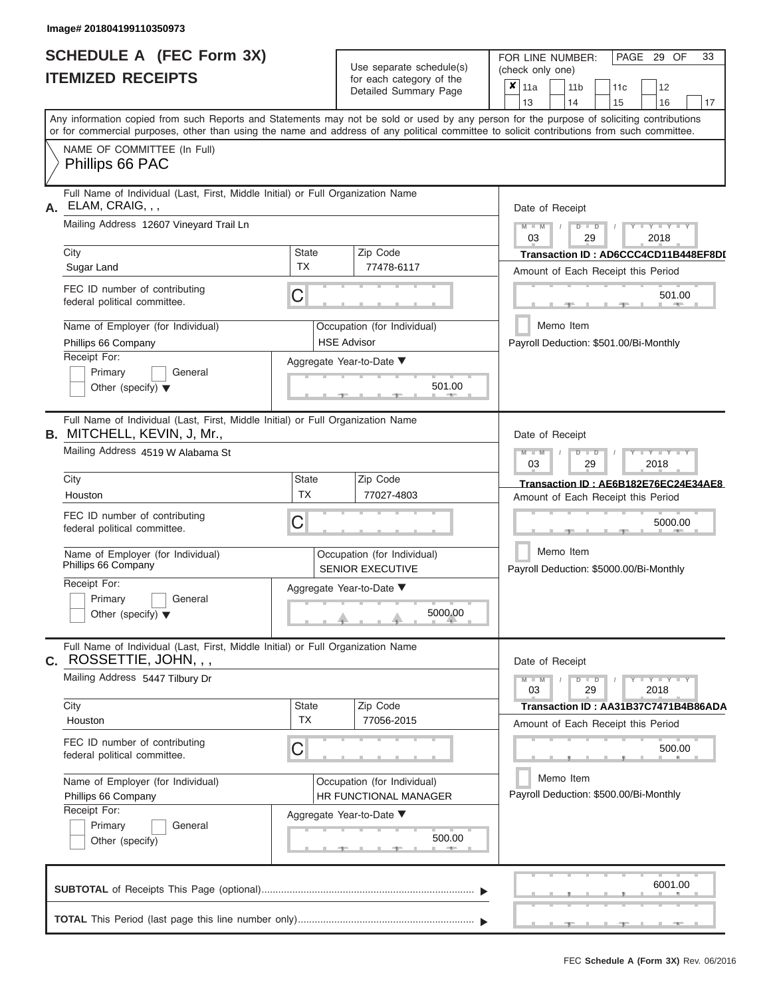|                          | SCHEDULE A (FEC Form 3X) |
|--------------------------|--------------------------|
| <b>ITEMIZED RECEIPTS</b> |                          |

Use separate schedule(s)

FOR LINE NUMBER:<br>(check only one)

PAGE 29 OF 33

| IIEMIZEU REVEIFIJ                                                                                                     |              | for each category of the<br>Detailed Summary Page      | X<br>11a<br>11 <sub>b</sub><br>11c<br>12                                                                                                                                |  |  |  |  |  |  |  |  |
|-----------------------------------------------------------------------------------------------------------------------|--------------|--------------------------------------------------------|-------------------------------------------------------------------------------------------------------------------------------------------------------------------------|--|--|--|--|--|--|--|--|
|                                                                                                                       |              |                                                        | 14<br>13<br>15<br>16<br>17<br>Any information copied from such Reports and Statements may not be sold or used by any person for the purpose of soliciting contributions |  |  |  |  |  |  |  |  |
|                                                                                                                       |              |                                                        | or for commercial purposes, other than using the name and address of any political committee to solicit contributions from such committee.                              |  |  |  |  |  |  |  |  |
| NAME OF COMMITTEE (In Full)                                                                                           |              |                                                        |                                                                                                                                                                         |  |  |  |  |  |  |  |  |
| Phillips 66 PAC                                                                                                       |              |                                                        |                                                                                                                                                                         |  |  |  |  |  |  |  |  |
| Full Name of Individual (Last, First, Middle Initial) or Full Organization Name<br>ELAM, CRAIG, , ,<br>А.             |              |                                                        | Date of Receipt                                                                                                                                                         |  |  |  |  |  |  |  |  |
| Mailing Address 12607 Vineyard Trail Ln                                                                               |              |                                                        | $Y = Y = Y$<br>$M - M$<br>$D$ $D$<br>03<br>29<br>2018                                                                                                                   |  |  |  |  |  |  |  |  |
| City                                                                                                                  | <b>State</b> | Zip Code                                               | Transaction ID: AD6CCC4CD11B448EF8DD                                                                                                                                    |  |  |  |  |  |  |  |  |
| Sugar Land                                                                                                            | <b>TX</b>    | 77478-6117                                             | Amount of Each Receipt this Period                                                                                                                                      |  |  |  |  |  |  |  |  |
| FEC ID number of contributing<br>federal political committee.                                                         | C            |                                                        | 501.00                                                                                                                                                                  |  |  |  |  |  |  |  |  |
| Name of Employer (for Individual)<br>Phillips 66 Company                                                              |              | Occupation (for Individual)<br><b>HSE Advisor</b>      | Memo Item<br>Payroll Deduction: \$501.00/Bi-Monthly                                                                                                                     |  |  |  |  |  |  |  |  |
| Receipt For:                                                                                                          |              | Aggregate Year-to-Date ▼                               |                                                                                                                                                                         |  |  |  |  |  |  |  |  |
| Primary<br>General<br>Other (specify) $\blacktriangledown$                                                            |              |                                                        |                                                                                                                                                                         |  |  |  |  |  |  |  |  |
| Full Name of Individual (Last, First, Middle Initial) or Full Organization Name<br><b>B.</b> MITCHELL, KEVIN, J, Mr., |              |                                                        | Date of Receipt                                                                                                                                                         |  |  |  |  |  |  |  |  |
| Mailing Address 4519 W Alabama St                                                                                     |              |                                                        | $M - M$<br>Y I Y I Y<br>$D$ $\Box$ $D$<br>03<br>29<br>2018                                                                                                              |  |  |  |  |  |  |  |  |
| City                                                                                                                  | <b>State</b> | Zip Code                                               | Transaction ID: AE6B182E76EC24E34AE8                                                                                                                                    |  |  |  |  |  |  |  |  |
| Houston                                                                                                               | <b>TX</b>    | 77027-4803                                             | Amount of Each Receipt this Period                                                                                                                                      |  |  |  |  |  |  |  |  |
| FEC ID number of contributing<br>federal political committee.                                                         | C            |                                                        | 5000.00                                                                                                                                                                 |  |  |  |  |  |  |  |  |
| Name of Employer (for Individual)<br>Phillips 66 Company                                                              |              | Occupation (for Individual)<br><b>SENIOR EXECUTIVE</b> | Memo Item<br>Payroll Deduction: \$5000.00/Bi-Monthly                                                                                                                    |  |  |  |  |  |  |  |  |
| Receipt For:<br>Primary<br>General                                                                                    |              | Aggregate Year-to-Date ▼                               |                                                                                                                                                                         |  |  |  |  |  |  |  |  |
| Other (specify) $\blacktriangledown$                                                                                  |              | 5000.00                                                |                                                                                                                                                                         |  |  |  |  |  |  |  |  |
| Full Name of Individual (Last, First, Middle Initial) or Full Organization Name<br>ROSSETTIE, JOHN, , ,<br>С.         |              |                                                        | Date of Receipt                                                                                                                                                         |  |  |  |  |  |  |  |  |
| Mailing Address 5447 Tilbury Dr                                                                                       |              |                                                        | $Y - Y - Y - Y - Y$<br>$M - M$<br>$D$ $D$<br>03<br>29<br>2018                                                                                                           |  |  |  |  |  |  |  |  |
| City                                                                                                                  | <b>State</b> | Zip Code                                               | Transaction ID: AA31B37C7471B4B86ADA                                                                                                                                    |  |  |  |  |  |  |  |  |
| Houston                                                                                                               | <b>TX</b>    | 77056-2015                                             | Amount of Each Receipt this Period                                                                                                                                      |  |  |  |  |  |  |  |  |
| FEC ID number of contributing<br>federal political committee.                                                         | C            |                                                        | 500.00                                                                                                                                                                  |  |  |  |  |  |  |  |  |
| Name of Employer (for Individual)                                                                                     |              | Occupation (for Individual)                            | Memo Item                                                                                                                                                               |  |  |  |  |  |  |  |  |
| Phillips 66 Company                                                                                                   |              | <b>HR FUNCTIONAL MANAGER</b>                           | Payroll Deduction: \$500.00/Bi-Monthly                                                                                                                                  |  |  |  |  |  |  |  |  |
| Receipt For:                                                                                                          |              |                                                        |                                                                                                                                                                         |  |  |  |  |  |  |  |  |
| Primary<br>General                                                                                                    |              | Aggregate Year-to-Date ▼                               |                                                                                                                                                                         |  |  |  |  |  |  |  |  |
| Other (specify)                                                                                                       |              | 500.00<br><b>CONTRACTOR</b>                            |                                                                                                                                                                         |  |  |  |  |  |  |  |  |
|                                                                                                                       |              |                                                        | 6001.00                                                                                                                                                                 |  |  |  |  |  |  |  |  |
|                                                                                                                       |              |                                                        |                                                                                                                                                                         |  |  |  |  |  |  |  |  |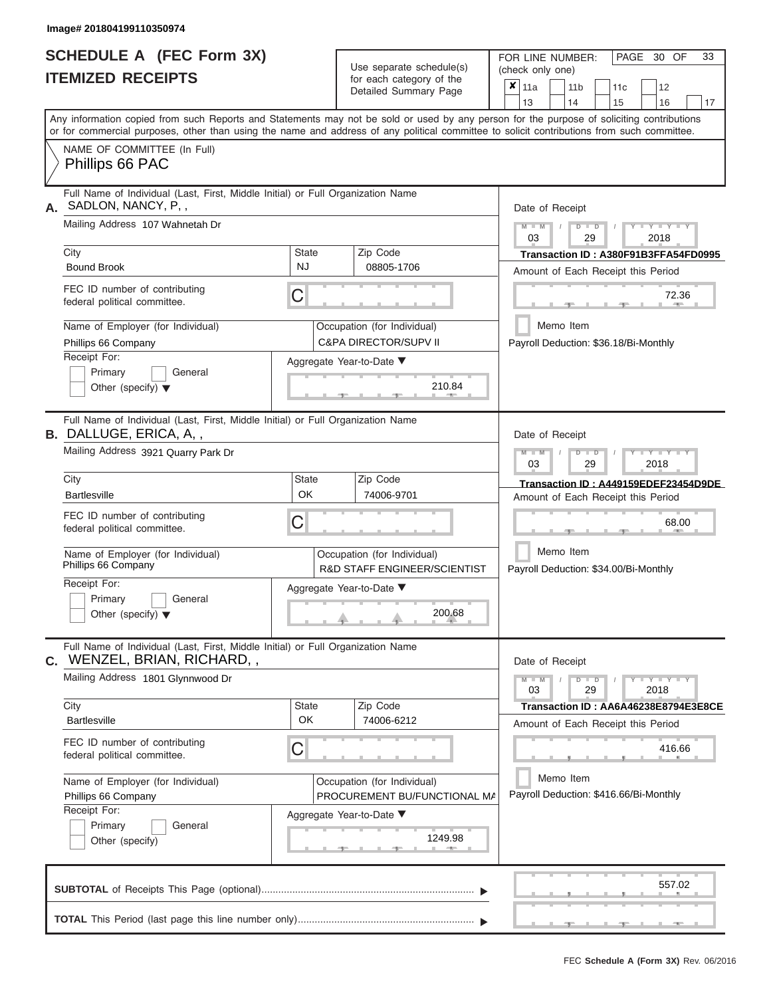ı

|                          | SCHEDULE A (FEC Form 3X) |
|--------------------------|--------------------------|
| <b>ITEMIZED RECEIPTS</b> |                          |

Use separate schedule(s)<br>for each category of the

FOR LINE NUMBER:

PAGE 30 OF 33

| <b>ITEMIZED RECEIPTS</b>                                                                                                                   |                           | Use separate schedule(s)                                               | (check only one)                                                                                                                          |  |  |  |  |  |  |  |  |
|--------------------------------------------------------------------------------------------------------------------------------------------|---------------------------|------------------------------------------------------------------------|-------------------------------------------------------------------------------------------------------------------------------------------|--|--|--|--|--|--|--|--|
|                                                                                                                                            |                           | for each category of the<br>Detailed Summary Page                      | $x _{11a}$<br>12<br>11 <sub>b</sub><br>11 <sub>c</sub><br>13<br>14<br>15<br>16<br>17                                                      |  |  |  |  |  |  |  |  |
| or for commercial purposes, other than using the name and address of any political committee to solicit contributions from such committee. |                           |                                                                        | Any information copied from such Reports and Statements may not be sold or used by any person for the purpose of soliciting contributions |  |  |  |  |  |  |  |  |
| NAME OF COMMITTEE (In Full)<br>Phillips 66 PAC                                                                                             |                           |                                                                        |                                                                                                                                           |  |  |  |  |  |  |  |  |
| Full Name of Individual (Last, First, Middle Initial) or Full Organization Name<br>SADLON, NANCY, P.,<br>А.                                |                           |                                                                        | Date of Receipt                                                                                                                           |  |  |  |  |  |  |  |  |
| Mailing Address 107 Wahnetah Dr                                                                                                            |                           |                                                                        | $+Y+Y+Y$<br>$M - M$<br>$D$ $\Box$ $D$<br>03<br>29<br>2018                                                                                 |  |  |  |  |  |  |  |  |
| City<br><b>Bound Brook</b>                                                                                                                 | <b>State</b><br><b>NJ</b> | Zip Code<br>08805-1706                                                 | Transaction ID: A380F91B3FFA54FD0995<br>Amount of Each Receipt this Period                                                                |  |  |  |  |  |  |  |  |
| FEC ID number of contributing<br>federal political committee.                                                                              | C                         |                                                                        | 72.36                                                                                                                                     |  |  |  |  |  |  |  |  |
| Name of Employer (for Individual)<br>Phillips 66 Company                                                                                   |                           | Occupation (for Individual)<br><b>C&amp;PA DIRECTOR/SUPV II</b>        | Memo Item<br>Payroll Deduction: \$36.18/Bi-Monthly                                                                                        |  |  |  |  |  |  |  |  |
| Receipt For:<br>Primary<br>General<br>Other (specify) $\blacktriangledown$                                                                 |                           | Aggregate Year-to-Date ▼<br>210.84                                     |                                                                                                                                           |  |  |  |  |  |  |  |  |
| Full Name of Individual (Last, First, Middle Initial) or Full Organization Name<br>B. DALLUGE, ERICA, A,,                                  |                           |                                                                        | Date of Receipt                                                                                                                           |  |  |  |  |  |  |  |  |
| Mailing Address 3921 Quarry Park Dr                                                                                                        |                           |                                                                        | $M - M$<br>$T - Y = Y + Y$<br>$D$ $\Box$ $D$<br>03<br>29<br>2018                                                                          |  |  |  |  |  |  |  |  |
| City<br><b>Bartlesville</b>                                                                                                                | State<br>OK               | Zip Code<br>74006-9701                                                 | Transaction ID: A449159EDEF23454D9DE<br>Amount of Each Receipt this Period                                                                |  |  |  |  |  |  |  |  |
| FEC ID number of contributing<br>federal political committee.                                                                              | C                         |                                                                        | 68.00                                                                                                                                     |  |  |  |  |  |  |  |  |
| Name of Employer (for Individual)<br>Phillips 66 Company                                                                                   |                           | Occupation (for Individual)<br><b>R&amp;D STAFF ENGINEER/SCIENTIST</b> | Memo Item<br>Payroll Deduction: \$34.00/Bi-Monthly                                                                                        |  |  |  |  |  |  |  |  |
| Receipt For:<br>Primary<br>General<br>Other (specify) $\blacktriangledown$                                                                 |                           | Aggregate Year-to-Date ▼<br>200.68                                     |                                                                                                                                           |  |  |  |  |  |  |  |  |
| Full Name of Individual (Last, First, Middle Initial) or Full Organization Name<br><b>C.</b> WENZEL, BRIAN, RICHARD, ,                     |                           |                                                                        | Date of Receipt                                                                                                                           |  |  |  |  |  |  |  |  |
| Mailing Address 1801 Glynnwood Dr                                                                                                          |                           |                                                                        | $Y - Y - Y - Y - Y$<br>$M - M$<br>$D$ $D$<br>03<br>29<br>2018                                                                             |  |  |  |  |  |  |  |  |
| City<br><b>Bartlesville</b>                                                                                                                | <b>State</b><br>OK        | Zip Code<br>74006-6212                                                 | Transaction ID: AA6A46238E8794E3E8CE<br>Amount of Each Receipt this Period                                                                |  |  |  |  |  |  |  |  |
| FEC ID number of contributing<br>federal political committee.                                                                              | C                         |                                                                        | 416.66                                                                                                                                    |  |  |  |  |  |  |  |  |
| Name of Employer (for Individual)<br>Phillips 66 Company                                                                                   |                           | Occupation (for Individual)<br>PROCUREMENT BU/FUNCTIONAL MA            | Memo Item<br>Payroll Deduction: \$416.66/Bi-Monthly                                                                                       |  |  |  |  |  |  |  |  |
| Receipt For:<br>Primary<br>General<br>Other (specify)                                                                                      |                           | Aggregate Year-to-Date ▼<br>1249.98<br>$-$                             |                                                                                                                                           |  |  |  |  |  |  |  |  |
|                                                                                                                                            |                           |                                                                        | 557.02                                                                                                                                    |  |  |  |  |  |  |  |  |
|                                                                                                                                            |                           |                                                                        |                                                                                                                                           |  |  |  |  |  |  |  |  |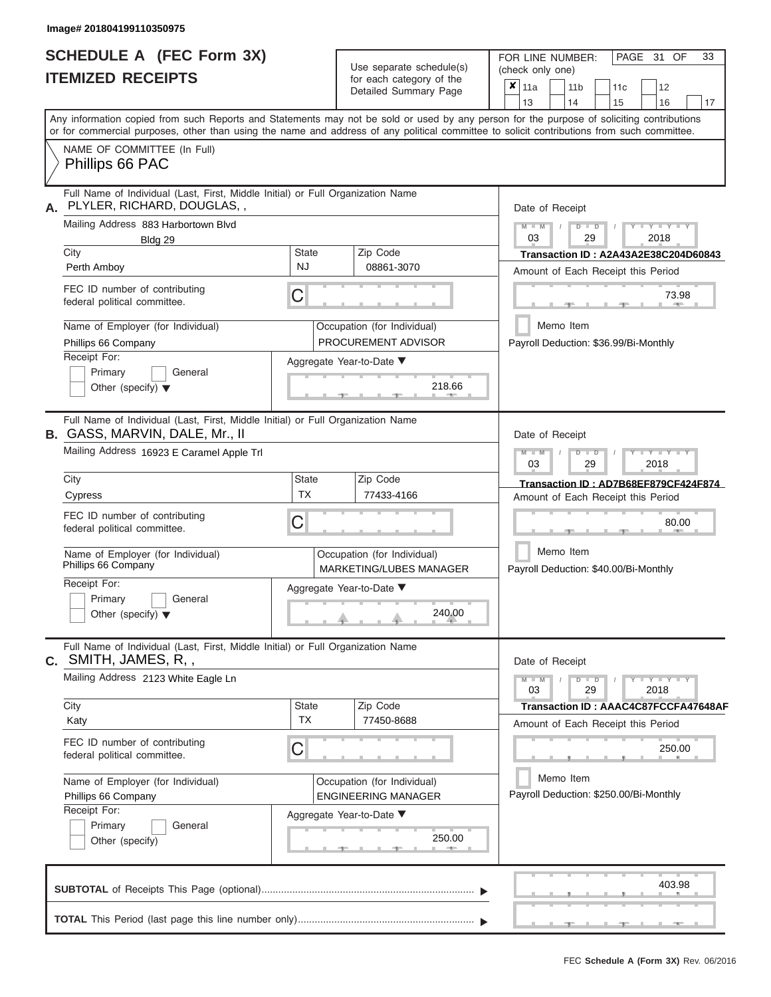# **SCHEDULE A (FEC Form 3X)**

| <b>SCHEDULE A (FEC Form 3X)</b>                                                                                                                                                                                                                                                                                                                                                                     | Use separate schedule(s)                                                                                                                                    | PAGE 31<br>OF<br>33<br>FOR LINE NUMBER:<br>(check only one)                                                                                                                                                                     |  |  |  |  |  |  |  |  |
|-----------------------------------------------------------------------------------------------------------------------------------------------------------------------------------------------------------------------------------------------------------------------------------------------------------------------------------------------------------------------------------------------------|-------------------------------------------------------------------------------------------------------------------------------------------------------------|---------------------------------------------------------------------------------------------------------------------------------------------------------------------------------------------------------------------------------|--|--|--|--|--|--|--|--|
| <b>ITEMIZED RECEIPTS</b>                                                                                                                                                                                                                                                                                                                                                                            | for each category of the<br>Detailed Summary Page                                                                                                           | ×<br>11a<br>11 <sub>b</sub><br>11 <sub>c</sub><br>12<br>13<br>14<br>15<br>16<br>17                                                                                                                                              |  |  |  |  |  |  |  |  |
| Any information copied from such Reports and Statements may not be sold or used by any person for the purpose of soliciting contributions<br>or for commercial purposes, other than using the name and address of any political committee to solicit contributions from such committee.                                                                                                             |                                                                                                                                                             |                                                                                                                                                                                                                                 |  |  |  |  |  |  |  |  |
| NAME OF COMMITTEE (In Full)<br>Phillips 66 PAC                                                                                                                                                                                                                                                                                                                                                      |                                                                                                                                                             |                                                                                                                                                                                                                                 |  |  |  |  |  |  |  |  |
| Full Name of Individual (Last, First, Middle Initial) or Full Organization Name<br>PLYLER, RICHARD, DOUGLAS,,<br>А.<br>Mailing Address 883 Harbortown Blvd<br>Bldg 29<br>City<br>Perth Amboy<br>FEC ID number of contributing<br>federal political committee.<br>Name of Employer (for Individual)                                                                                                  | Zip Code<br><b>State</b><br><b>NJ</b><br>08861-3070<br>C<br>Occupation (for Individual)                                                                     | Date of Receipt<br>$M - M$<br>$Y$ $Y$ $Y$ $Y$<br>$D$ $D$<br>03<br>29<br>2018<br>Transaction ID: A2A43A2E38C204D60843<br>Amount of Each Receipt this Period<br>73.98<br>Memo Item                                                |  |  |  |  |  |  |  |  |
| Phillips 66 Company<br>Receipt For:<br>Primary<br>General<br>Other (specify) $\blacktriangledown$                                                                                                                                                                                                                                                                                                   | PROCUREMENT ADVISOR<br>Aggregate Year-to-Date ▼<br>218.66                                                                                                   | Payroll Deduction: \$36.99/Bi-Monthly                                                                                                                                                                                           |  |  |  |  |  |  |  |  |
| Full Name of Individual (Last, First, Middle Initial) or Full Organization Name<br><b>B.</b> GASS, MARVIN, DALE, Mr., II<br>Mailing Address 16923 E Caramel Apple Trl<br>City<br>Cypress<br>FEC ID number of contributing<br>federal political committee.<br>Name of Employer (for Individual)<br>Phillips 66 Company<br>Receipt For:<br>Primary<br>General<br>Other (specify) $\blacktriangledown$ | Zip Code<br><b>State</b><br><b>TX</b><br>77433-4166<br>С<br>Occupation (for Individual)<br>MARKETING/LUBES MANAGER<br>Aggregate Year-to-Date ▼<br>240.00    | Date of Receipt<br>$M - M$<br>$D$ $D$<br>Y I Y I Y<br>03<br>29<br>2018<br>Transaction ID: AD7B68EF879CF424F874<br>Amount of Each Receipt this Period<br>80.00<br>Memo Item<br>Payroll Deduction: \$40.00/Bi-Monthly             |  |  |  |  |  |  |  |  |
| Full Name of Individual (Last, First, Middle Initial) or Full Organization Name<br><b>c.</b> SMITH, JAMES, R, ,<br>Mailing Address 2123 White Eagle Ln<br>City<br>Katy<br>FEC ID number of contributing<br>federal political committee.<br>Name of Employer (for Individual)<br>Phillips 66 Company<br>Receipt For:<br>Primary<br>General<br>Other (specify)                                        | Zip Code<br><b>State</b><br><b>TX</b><br>77450-8688<br>Ĉ<br>Occupation (for Individual)<br><b>ENGINEERING MANAGER</b><br>Aggregate Year-to-Date ▼<br>250.00 | Date of Receipt<br>$Y - Y - Y - Y - Y$<br>$M - M$<br>$D$ $D$<br>03<br>2018<br>29<br>Transaction ID: AAAC4C87FCCFA47648AF<br>Amount of Each Receipt this Period<br>250.00<br>Memo Item<br>Payroll Deduction: \$250.00/Bi-Monthly |  |  |  |  |  |  |  |  |
|                                                                                                                                                                                                                                                                                                                                                                                                     |                                                                                                                                                             | 403.98                                                                                                                                                                                                                          |  |  |  |  |  |  |  |  |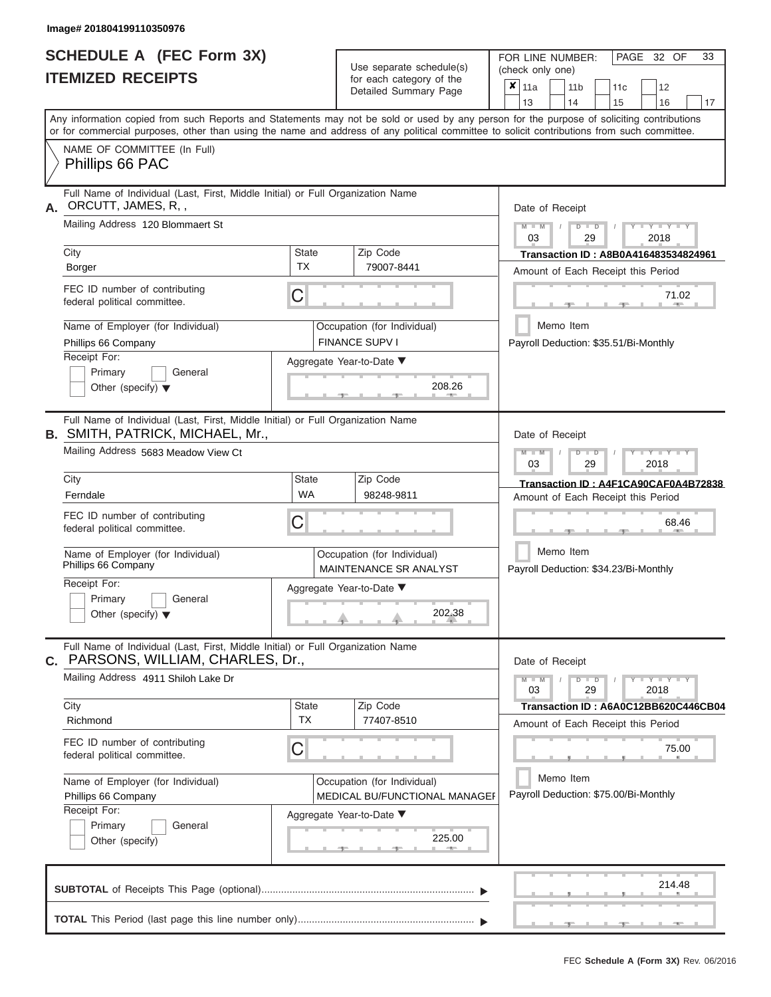# **SCHEDULE A (FEC Form 3X) ITEMIZED RECEIPTS**

Use separate schedule(s)

FOR LINE NUMBER:<br>(check only one)

PAGE 32 OF 33

|                                                                                                                                           | II EMIZEV REVEIF I J                                                                                                                       |                                    |  | for each category of the<br>Detailed Summary Page                   | X                                                  | 11a                                                                      |                                      |    | 11 <sub>b</sub> |  | 11c                                   |                         | 12          |                                      |  |  |
|-------------------------------------------------------------------------------------------------------------------------------------------|--------------------------------------------------------------------------------------------------------------------------------------------|------------------------------------|--|---------------------------------------------------------------------|----------------------------------------------------|--------------------------------------------------------------------------|--------------------------------------|----|-----------------|--|---------------------------------------|-------------------------|-------------|--------------------------------------|--|--|
| Any information copied from such Reports and Statements may not be sold or used by any person for the purpose of soliciting contributions |                                                                                                                                            |                                    |  |                                                                     |                                                    | 13                                                                       |                                      | 14 |                 |  | 15                                    |                         | 16          | 17                                   |  |  |
|                                                                                                                                           | or for commercial purposes, other than using the name and address of any political committee to solicit contributions from such committee. |                                    |  |                                                                     |                                                    |                                                                          |                                      |    |                 |  |                                       |                         |             |                                      |  |  |
|                                                                                                                                           | NAME OF COMMITTEE (In Full)                                                                                                                |                                    |  |                                                                     |                                                    |                                                                          |                                      |    |                 |  |                                       |                         |             |                                      |  |  |
|                                                                                                                                           | Phillips 66 PAC                                                                                                                            |                                    |  |                                                                     |                                                    |                                                                          |                                      |    |                 |  |                                       |                         |             |                                      |  |  |
| А.                                                                                                                                        | Full Name of Individual (Last, First, Middle Initial) or Full Organization Name<br>ORCUTT, JAMES, R,,                                      |                                    |  |                                                                     |                                                    | Date of Receipt                                                          |                                      |    |                 |  |                                       |                         |             |                                      |  |  |
|                                                                                                                                           | Mailing Address 120 Blommaert St                                                                                                           |                                    |  |                                                                     |                                                    | $M - M$<br>03                                                            |                                      |    | $D$ $D$<br>29   |  |                                       | 2018                    | $Y = Y = Y$ |                                      |  |  |
|                                                                                                                                           | City                                                                                                                                       | <b>State</b>                       |  | Zip Code                                                            |                                                    | Transaction ID: A8B0A416483534824961                                     |                                      |    |                 |  |                                       |                         |             |                                      |  |  |
|                                                                                                                                           | Borger                                                                                                                                     | <b>TX</b>                          |  | 79007-8441                                                          | Amount of Each Receipt this Period                 |                                                                          |                                      |    |                 |  |                                       |                         |             |                                      |  |  |
|                                                                                                                                           | FEC ID number of contributing<br>federal political committee.                                                                              | C                                  |  |                                                                     |                                                    |                                                                          |                                      |    |                 |  |                                       |                         | 71.02       |                                      |  |  |
|                                                                                                                                           | Name of Employer (for Individual)<br>Phillips 66 Company                                                                                   |                                    |  | Occupation (for Individual)<br><b>FINANCE SUPV I</b>                |                                                    |                                                                          | Memo Item                            |    |                 |  | Payroll Deduction: \$35.51/Bi-Monthly |                         |             |                                      |  |  |
|                                                                                                                                           | Receipt For:                                                                                                                               | Aggregate Year-to-Date ▼           |  |                                                                     |                                                    |                                                                          |                                      |    |                 |  |                                       |                         |             |                                      |  |  |
|                                                                                                                                           | Primary<br>General<br>Other (specify) $\blacktriangledown$                                                                                 |                                    |  | 208.26                                                              |                                                    |                                                                          |                                      |    |                 |  |                                       |                         |             |                                      |  |  |
|                                                                                                                                           | Full Name of Individual (Last, First, Middle Initial) or Full Organization Name<br><b>B. SMITH, PATRICK, MICHAEL, Mr.,</b>                 |                                    |  |                                                                     |                                                    | Date of Receipt                                                          |                                      |    |                 |  |                                       |                         |             |                                      |  |  |
|                                                                                                                                           | Mailing Address 5683 Meadow View Ct                                                                                                        |                                    |  |                                                                     |                                                    | $M - M$<br>$T - Y = T - Y = T - Y$<br>$D$ $\Box$ $D$<br>03<br>29<br>2018 |                                      |    |                 |  |                                       |                         |             |                                      |  |  |
|                                                                                                                                           | City                                                                                                                                       | Zip Code<br><b>State</b>           |  |                                                                     |                                                    |                                                                          | Transaction ID: A4F1CA90CAF0A4B72838 |    |                 |  |                                       |                         |             |                                      |  |  |
|                                                                                                                                           | Ferndale                                                                                                                                   | <b>WA</b>                          |  | 98248-9811                                                          |                                                    |                                                                          |                                      |    |                 |  | Amount of Each Receipt this Period    |                         |             |                                      |  |  |
|                                                                                                                                           | FEC ID number of contributing<br>federal political committee.                                                                              | C                                  |  |                                                                     |                                                    |                                                                          |                                      |    |                 |  |                                       |                         | 68.46       |                                      |  |  |
|                                                                                                                                           | Name of Employer (for Individual)<br>Phillips 66 Company                                                                                   |                                    |  | Occupation (for Individual)<br><b>MAINTENANCE SR ANALYST</b>        | Memo Item<br>Payroll Deduction: \$34.23/Bi-Monthly |                                                                          |                                      |    |                 |  |                                       |                         |             |                                      |  |  |
|                                                                                                                                           | Receipt For:                                                                                                                               |                                    |  |                                                                     |                                                    |                                                                          |                                      |    |                 |  |                                       |                         |             |                                      |  |  |
|                                                                                                                                           | Primary<br>General<br>Other (specify) $\blacktriangledown$                                                                                 | Aggregate Year-to-Date ▼<br>202.38 |  |                                                                     |                                                    |                                                                          |                                      |    |                 |  |                                       |                         |             |                                      |  |  |
| С.                                                                                                                                        | Full Name of Individual (Last, First, Middle Initial) or Full Organization Name<br>PARSONS, WILLIAM, CHARLES, Dr.,                         |                                    |  |                                                                     |                                                    | Date of Receipt                                                          |                                      |    |                 |  |                                       |                         |             |                                      |  |  |
|                                                                                                                                           | Mailing Address 4911 Shiloh Lake Dr                                                                                                        |                                    |  |                                                                     |                                                    | $M - M$<br>03                                                            |                                      |    | $D$ $D$<br>29   |  |                                       | $Y = Y = Y = Y$<br>2018 |             |                                      |  |  |
|                                                                                                                                           | City<br>Richmond                                                                                                                           | State<br><b>TX</b>                 |  | Zip Code<br>77407-8510                                              |                                                    |                                                                          |                                      |    |                 |  |                                       |                         |             | Transaction ID: A6A0C12BB620C446CB04 |  |  |
|                                                                                                                                           |                                                                                                                                            |                                    |  |                                                                     |                                                    |                                                                          |                                      |    |                 |  | Amount of Each Receipt this Period    |                         |             |                                      |  |  |
|                                                                                                                                           | FEC ID number of contributing<br>federal political committee.                                                                              | С                                  |  |                                                                     |                                                    |                                                                          |                                      |    |                 |  |                                       |                         | 75.00       |                                      |  |  |
|                                                                                                                                           | Name of Employer (for Individual)<br>Phillips 66 Company                                                                                   |                                    |  | Occupation (for Individual)<br><b>MEDICAL BU/FUNCTIONAL MANAGEF</b> |                                                    |                                                                          | Memo Item                            |    |                 |  | Payroll Deduction: \$75.00/Bi-Monthly |                         |             |                                      |  |  |
|                                                                                                                                           | Receipt For:                                                                                                                               |                                    |  | Aggregate Year-to-Date ▼                                            |                                                    |                                                                          |                                      |    |                 |  |                                       |                         |             |                                      |  |  |
|                                                                                                                                           | Primary<br>General<br>Other (specify)                                                                                                      |                                    |  | 225.00<br>483                                                       |                                                    |                                                                          |                                      |    |                 |  |                                       |                         |             |                                      |  |  |
|                                                                                                                                           |                                                                                                                                            |                                    |  |                                                                     |                                                    |                                                                          |                                      |    |                 |  |                                       |                         | 214.48      |                                      |  |  |
|                                                                                                                                           |                                                                                                                                            |                                    |  |                                                                     |                                                    |                                                                          |                                      |    |                 |  |                                       |                         |             |                                      |  |  |